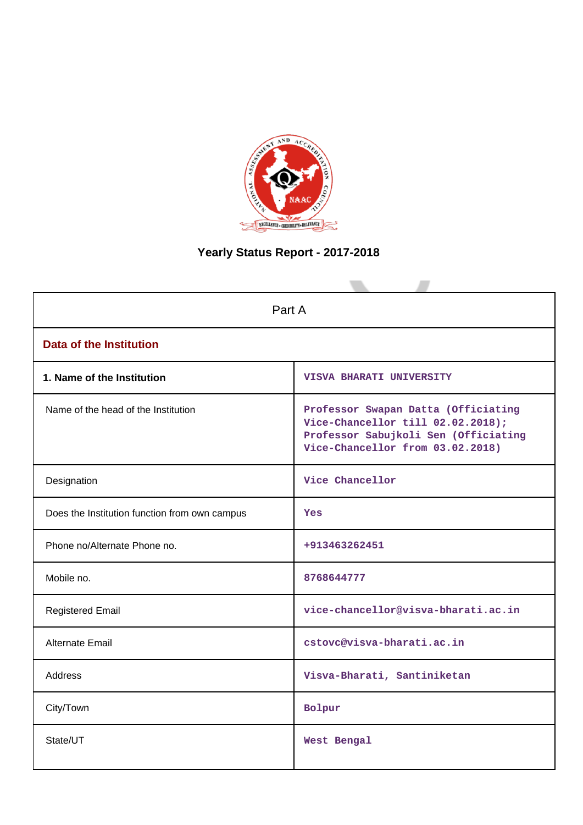

# **Yearly Status Report - 2017-2018**

| Part A                                        |                                                                                                                                                      |  |  |
|-----------------------------------------------|------------------------------------------------------------------------------------------------------------------------------------------------------|--|--|
| <b>Data of the Institution</b>                |                                                                                                                                                      |  |  |
| 1. Name of the Institution                    | VISVA BHARATI UNIVERSITY                                                                                                                             |  |  |
| Name of the head of the Institution           | Professor Swapan Datta (Officiating<br>Vice-Chancellor till 02.02.2018);<br>Professor Sabujkoli Sen (Officiating<br>Vice-Chancellor from 03.02.2018) |  |  |
| Designation                                   | Vice Chancellor                                                                                                                                      |  |  |
| Does the Institution function from own campus | <b>Yes</b>                                                                                                                                           |  |  |
| Phone no/Alternate Phone no.                  | +913463262451                                                                                                                                        |  |  |
| Mobile no.                                    | 8768644777                                                                                                                                           |  |  |
| <b>Registered Email</b>                       | vice-chancellor@visva-bharati.ac.in                                                                                                                  |  |  |
| Alternate Email                               | cstovc@visva-bharati.ac.in                                                                                                                           |  |  |
| <b>Address</b>                                | Visva-Bharati, Santiniketan                                                                                                                          |  |  |
| City/Town                                     | Bolpur                                                                                                                                               |  |  |
| State/UT                                      | West Bengal                                                                                                                                          |  |  |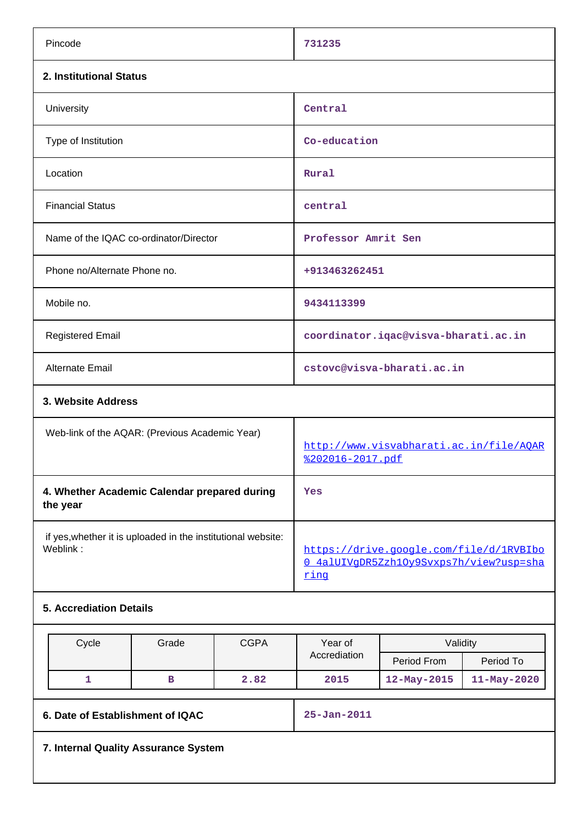| Pincode                                                                  | 731235                                                                                     |  |  |
|--------------------------------------------------------------------------|--------------------------------------------------------------------------------------------|--|--|
| 2. Institutional Status                                                  |                                                                                            |  |  |
| University                                                               | Central                                                                                    |  |  |
| Type of Institution                                                      | Co-education                                                                               |  |  |
| Location                                                                 | Rural                                                                                      |  |  |
| <b>Financial Status</b>                                                  | central                                                                                    |  |  |
| Name of the IQAC co-ordinator/Director                                   | Professor Amrit Sen                                                                        |  |  |
| Phone no/Alternate Phone no.                                             | +913463262451                                                                              |  |  |
| Mobile no.                                                               | 9434113399                                                                                 |  |  |
| <b>Registered Email</b>                                                  | coordinator.iqac@visva-bharati.ac.in                                                       |  |  |
| Alternate Email                                                          | cstovc@visva-bharati.ac.in                                                                 |  |  |
| 3. Website Address                                                       |                                                                                            |  |  |
| Web-link of the AQAR: (Previous Academic Year)                           | http://www.visvabharati.ac.in/file/AOAR<br><u> %202016-2017.pdf</u>                        |  |  |
| 4. Whether Academic Calendar prepared during<br>the year                 | Yes                                                                                        |  |  |
| if yes, whether it is uploaded in the institutional website:<br>Weblink: | https://drive.google.com/file/d/1RVBIbo<br>0 4alUIVqDR5Zzh10y9Svxps7h/view?usp=sha<br>ring |  |  |
| <b>5. Accrediation Details</b>                                           |                                                                                            |  |  |
|                                                                          |                                                                                            |  |  |

| Cycle                                                 | Grade | <b>CGPA</b> | Year of      | Validity      |                   |
|-------------------------------------------------------|-------|-------------|--------------|---------------|-------------------|
|                                                       |       |             | Accrediation | Period From   | Period To         |
| 1                                                     | в     | 2.82        | 2015         | $12-May-2015$ | $11 - May - 2020$ |
|                                                       |       |             |              |               |                   |
| 6. Date of Establishment of IQAC<br>$25 - Jan - 2011$ |       |             |              |               |                   |
| 7. Internal Quality Assurance System                  |       |             |              |               |                   |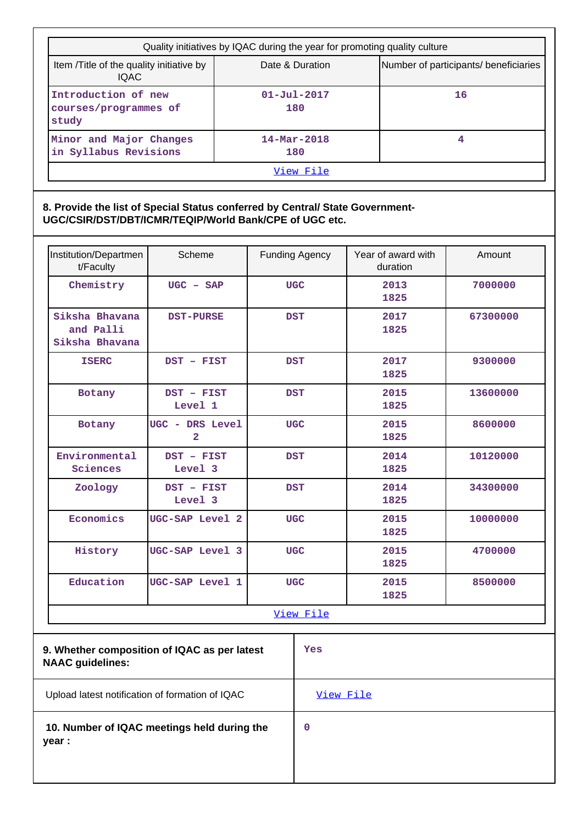| Quality initiatives by IQAC during the year for promoting quality culture |                                 |                                       |  |  |
|---------------------------------------------------------------------------|---------------------------------|---------------------------------------|--|--|
| Item / Title of the quality initiative by<br><b>IQAC</b>                  | Date & Duration                 | Number of participants/ beneficiaries |  |  |
| Introduction of new<br>courses/programmes of<br>study                     | $01 - Ju1 - 2017$<br>180        | 16                                    |  |  |
| Minor and Major Changes<br>in Syllabus Revisions                          | $14 - \text{Mar} - 2018$<br>180 | 4                                     |  |  |
| View File                                                                 |                                 |                                       |  |  |

**8. Provide the list of Special Status conferred by Central/ State Government-UGC/CSIR/DST/DBT/ICMR/TEQIP/World Bank/CPE of UGC etc.**

| Institution/Departmen<br>t/Faculty                                      | Scheme                            | <b>Funding Agency</b> |           | Year of award with<br>duration | Amount   |
|-------------------------------------------------------------------------|-----------------------------------|-----------------------|-----------|--------------------------------|----------|
| Chemistry                                                               | $UGC - SAP$                       | <b>UGC</b>            |           | 2013<br>1825                   | 7000000  |
| Siksha Bhavana<br>and Palli<br>Siksha Bhavana                           | <b>DST-PURSE</b>                  | <b>DST</b>            |           | 2017<br>1825                   | 67300000 |
| <b>ISERC</b>                                                            | DST - FIST                        | <b>DST</b>            |           | 2017<br>1825                   | 9300000  |
| Botany                                                                  | DST - FIST<br>Level 1             | <b>DST</b>            |           | 2015<br>1825                   | 13600000 |
| Botany                                                                  | UGC - DRS Level<br>$\overline{a}$ | <b>UGC</b>            |           | 2015<br>1825                   | 8600000  |
| Environmental<br>Sciences                                               | DST - FIST<br>Level 3             | <b>DST</b>            |           | 2014<br>1825                   | 10120000 |
| Zoology                                                                 | DST - FIST<br>Level 3             | <b>DST</b>            |           | 2014<br>1825                   | 34300000 |
| Economics                                                               | UGC-SAP Level 2                   | <b>UGC</b>            |           | 2015<br>1825                   | 10000000 |
| History                                                                 | UGC-SAP Level 3                   | <b>UGC</b>            |           | 2015<br>1825                   | 4700000  |
| Education                                                               | UGC-SAP Level 1                   | <b>UGC</b>            |           | 2015<br>1825                   | 8500000  |
| View File                                                               |                                   |                       |           |                                |          |
| 9. Whether composition of IQAC as per latest<br><b>NAAC</b> guidelines: |                                   |                       | Yes       |                                |          |
| Upload latest notification of formation of IQAC                         |                                   |                       | View File |                                |          |

 **10. Number of IQAC meetings held during the year :**

**0**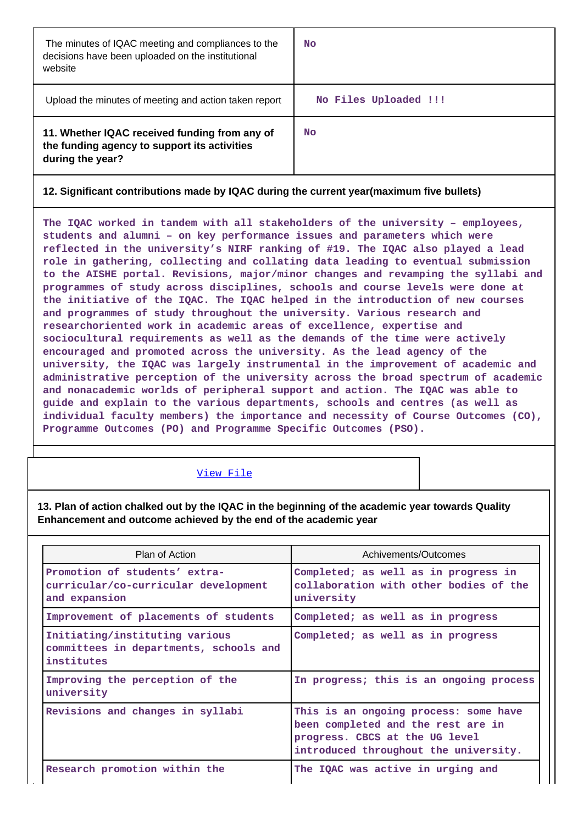| The minutes of IQAC meeting and compliances to the<br>decisions have been uploaded on the institutional<br>website | <b>No</b>             |
|--------------------------------------------------------------------------------------------------------------------|-----------------------|
| Upload the minutes of meeting and action taken report                                                              | No Files Uploaded !!! |
| 11. Whether IQAC received funding from any of<br>the funding agency to support its activities<br>during the year?  | <b>No</b>             |

### **12. Significant contributions made by IQAC during the current year(maximum five bullets)**

**The IQAC worked in tandem with all stakeholders of the university – employees, students and alumni – on key performance issues and parameters which were reflected in the university's NIRF ranking of #19. The IQAC also played a lead role in gathering, collecting and collating data leading to eventual submission to the AISHE portal. Revisions, major/minor changes and revamping the syllabi and programmes of study across disciplines, schools and course levels were done at the initiative of the IQAC. The IQAC helped in the introduction of new courses and programmes of study throughout the university. Various research and researchoriented work in academic areas of excellence, expertise and sociocultural requirements as well as the demands of the time were actively encouraged and promoted across the university. As the lead agency of the university, the IQAC was largely instrumental in the improvement of academic and administrative perception of the university across the broad spectrum of academic and nonacademic worlds of peripheral support and action. The IQAC was able to guide and explain to the various departments, schools and centres (as well as individual faculty members) the importance and necessity of Course Outcomes (CO), Programme Outcomes (PO) and Programme Specific Outcomes (PSO).**

#### [View File](https://assessmentonline.naac.gov.in/public/Postacc/Contribution/7604_Contribution.xlsx)

**13. Plan of action chalked out by the IQAC in the beginning of the academic year towards Quality Enhancement and outcome achieved by the end of the academic year**

| Plan of Action                                                                         | Achivements/Outcomes                                                                                                                                   |
|----------------------------------------------------------------------------------------|--------------------------------------------------------------------------------------------------------------------------------------------------------|
| Promotion of students' extra-<br>curricular/co-curricular development<br>and expansion | Completed; as well as in progress in<br>collaboration with other bodies of the<br>university                                                           |
| Improvement of placements of students                                                  | Completed; as well as in progress                                                                                                                      |
| Initiating/instituting various<br>committees in departments, schools and<br>institutes | Completed; as well as in progress                                                                                                                      |
| Improving the perception of the<br>university                                          | In progress; this is an ongoing process                                                                                                                |
| Revisions and changes in syllabi                                                       | This is an ongoing process: some have<br>been completed and the rest are in<br>progress. CBCS at the UG level<br>introduced throughout the university. |
| Research promotion within the                                                          | The IQAC was active in urging and                                                                                                                      |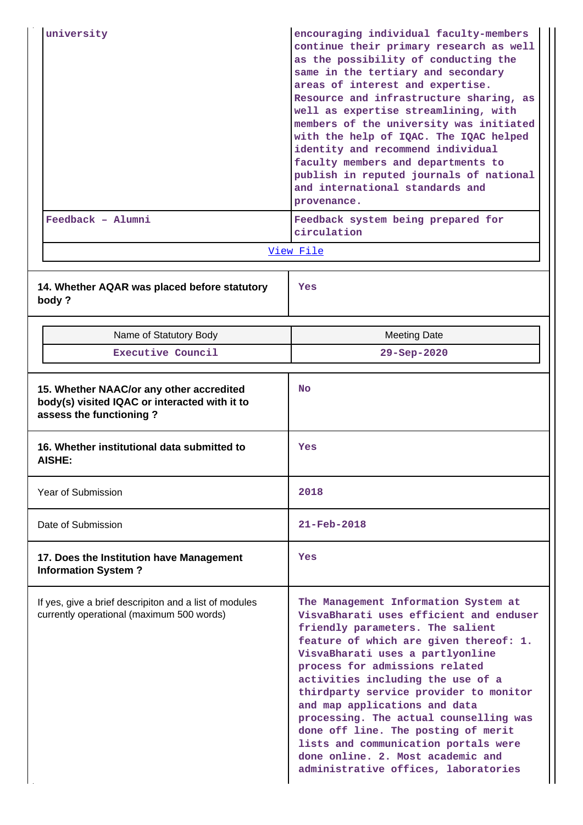|                                                                                                                      | university                                                             | encouraging individual faculty-members<br>continue their primary research as well<br>as the possibility of conducting the<br>same in the tertiary and secondary<br>areas of interest and expertise.<br>Resource and infrastructure sharing, as<br>well as expertise streamlining, with<br>members of the university was initiated<br>with the help of IQAC. The IQAC helped<br>identity and recommend individual<br>faculty members and departments to<br>publish in reputed journals of national<br>and international standards and<br>provenance.       |  |
|----------------------------------------------------------------------------------------------------------------------|------------------------------------------------------------------------|-----------------------------------------------------------------------------------------------------------------------------------------------------------------------------------------------------------------------------------------------------------------------------------------------------------------------------------------------------------------------------------------------------------------------------------------------------------------------------------------------------------------------------------------------------------|--|
|                                                                                                                      | Feedback - Alumni                                                      | Feedback system being prepared for<br>circulation                                                                                                                                                                                                                                                                                                                                                                                                                                                                                                         |  |
|                                                                                                                      |                                                                        | View File                                                                                                                                                                                                                                                                                                                                                                                                                                                                                                                                                 |  |
| body?                                                                                                                | 14. Whether AQAR was placed before statutory                           | Yes                                                                                                                                                                                                                                                                                                                                                                                                                                                                                                                                                       |  |
|                                                                                                                      | Name of Statutory Body                                                 | <b>Meeting Date</b>                                                                                                                                                                                                                                                                                                                                                                                                                                                                                                                                       |  |
|                                                                                                                      | Executive Council                                                      | 29-Sep-2020                                                                                                                                                                                                                                                                                                                                                                                                                                                                                                                                               |  |
| 15. Whether NAAC/or any other accredited<br>body(s) visited IQAC or interacted with it to<br>assess the functioning? |                                                                        | <b>No</b>                                                                                                                                                                                                                                                                                                                                                                                                                                                                                                                                                 |  |
| <b>AISHE:</b>                                                                                                        | 16. Whether institutional data submitted to                            | Yes                                                                                                                                                                                                                                                                                                                                                                                                                                                                                                                                                       |  |
|                                                                                                                      | <b>Year of Submission</b>                                              | 2018                                                                                                                                                                                                                                                                                                                                                                                                                                                                                                                                                      |  |
|                                                                                                                      | Date of Submission                                                     | $21 - \text{Feb} - 2018$                                                                                                                                                                                                                                                                                                                                                                                                                                                                                                                                  |  |
|                                                                                                                      | 17. Does the Institution have Management<br><b>Information System?</b> | Yes                                                                                                                                                                                                                                                                                                                                                                                                                                                                                                                                                       |  |
| If yes, give a brief descripiton and a list of modules<br>currently operational (maximum 500 words)                  |                                                                        | The Management Information System at<br>VisvaBharati uses efficient and enduser<br>friendly parameters. The salient<br>feature of which are given thereof: 1.<br>VisvaBharati uses a partlyonline<br>process for admissions related<br>activities including the use of a<br>thirdparty service provider to monitor<br>and map applications and data<br>processing. The actual counselling was<br>done off line. The posting of merit<br>lists and communication portals were<br>done online. 2. Most academic and<br>administrative offices, laboratories |  |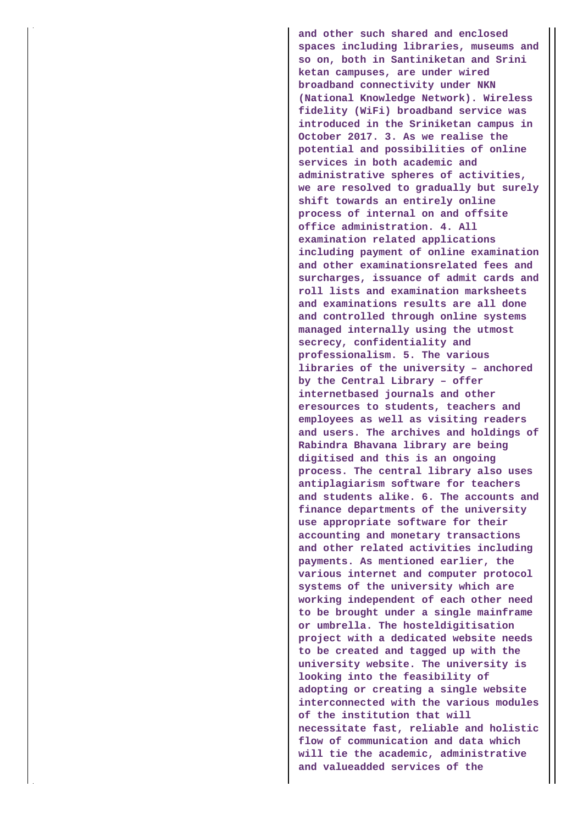**and other such shared and enclosed spaces including libraries, museums and so on, both in Santiniketan and Srini ketan campuses, are under wired broadband connectivity under NKN (National Knowledge Network). Wireless fidelity (WiFi) broadband service was introduced in the Sriniketan campus in October 2017. 3. As we realise the potential and possibilities of online services in both academic and administrative spheres of activities, we are resolved to gradually but surely shift towards an entirely online process of internal on and offsite office administration. 4. All examination related applications including payment of online examination and other examinationsrelated fees and surcharges, issuance of admit cards and roll lists and examination marksheets and examinations results are all done and controlled through online systems managed internally using the utmost secrecy, confidentiality and professionalism. 5. The various libraries of the university – anchored by the Central Library – offer internetbased journals and other eresources to students, teachers and employees as well as visiting readers and users. The archives and holdings of Rabindra Bhavana library are being digitised and this is an ongoing process. The central library also uses antiplagiarism software for teachers and students alike. 6. The accounts and finance departments of the university use appropriate software for their accounting and monetary transactions and other related activities including payments. As mentioned earlier, the various internet and computer protocol systems of the university which are working independent of each other need to be brought under a single mainframe or umbrella. The hosteldigitisation project with a dedicated website needs to be created and tagged up with the university website. The university is looking into the feasibility of adopting or creating a single website interconnected with the various modules of the institution that will necessitate fast, reliable and holistic flow of communication and data which will tie the academic, administrative and valueadded services of the**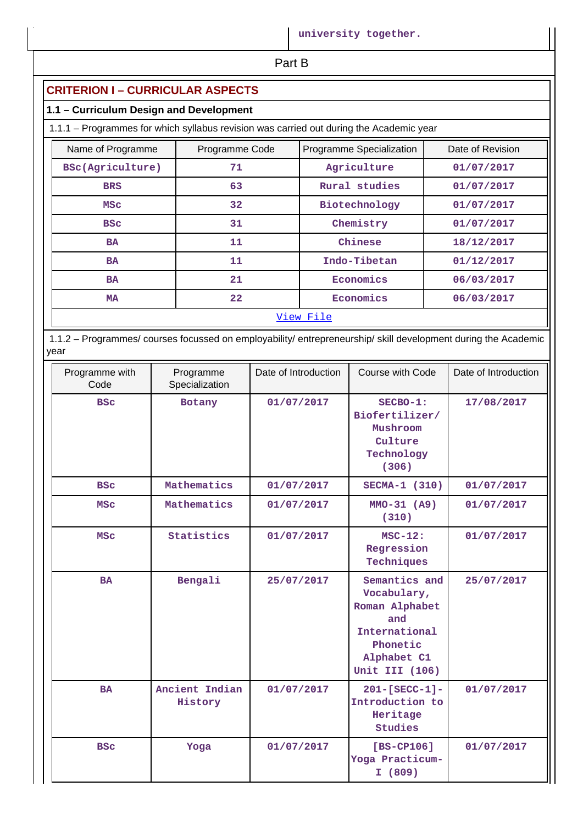| Part B |  |
|--------|--|
|        |  |

# **CRITERION I – CURRICULAR ASPECTS**

### **1.1 – Curriculum Design and Development**

1.1.1 – Programmes for which syllabus revision was carried out during the Academic year

| Name of Programme | Programme Code  | Programme Specialization | Date of Revision |  |
|-------------------|-----------------|--------------------------|------------------|--|
| BSc(Agriculture)  | 71              | Agriculture              | 01/07/2017       |  |
| <b>BRS</b>        | 63              | Rural studies            | 01/07/2017       |  |
| MSC               | 32              | Biotechnology            | 01/07/2017       |  |
| <b>BSC</b>        | 31              | Chemistry                | 01/07/2017       |  |
| <b>BA</b>         | 11              | Chinese                  | 18/12/2017       |  |
| <b>BA</b>         | 11              | Indo-Tibetan             | 01/12/2017       |  |
| <b>BA</b>         | 21              | Economics                | 06/03/2017       |  |
| MA                | 22 <sub>1</sub> | Economics                | 06/03/2017       |  |
|                   | View File       |                          |                  |  |

 1.1.2 – Programmes/ courses focussed on employability/ entrepreneurship/ skill development during the Academic year

| Programme with<br>Code | Programme<br>Specialization | Date of Introduction | Course with Code                                                                                                    | Date of Introduction |
|------------------------|-----------------------------|----------------------|---------------------------------------------------------------------------------------------------------------------|----------------------|
| <b>BSC</b>             | Botany                      | 01/07/2017           | SECBO-1:<br>Biofertilizer/<br>Mushroom<br>Culture<br>Technology<br>(306)                                            | 17/08/2017           |
| <b>BSC</b>             | Mathematics                 | 01/07/2017           | SECMA-1 (310)                                                                                                       | 01/07/2017           |
| <b>MSC</b>             | Mathematics                 | 01/07/2017           | $MMO-31 (A9)$<br>(310)                                                                                              | 01/07/2017           |
| <b>MSC</b>             | Statistics                  | 01/07/2017           | $MSC-12:$<br>Regression<br>Techniques                                                                               | 01/07/2017           |
| <b>BA</b>              | Bengali                     | 25/07/2017           | Semantics and<br>Vocabulary,<br>Roman Alphabet<br>and<br>International<br>Phonetic<br>Alphabet C1<br>Unit III (106) | 25/07/2017           |
| <b>BA</b>              | Ancient Indian<br>History   | 01/07/2017           | 201-[SECC-1]-<br>Introduction to<br>Heritage<br><b>Studies</b>                                                      | 01/07/2017           |
| <b>BSC</b>             | Yoga                        | 01/07/2017           | $[BS-CP106]$<br>Yoga Practicum-<br>I(809)                                                                           | 01/07/2017           |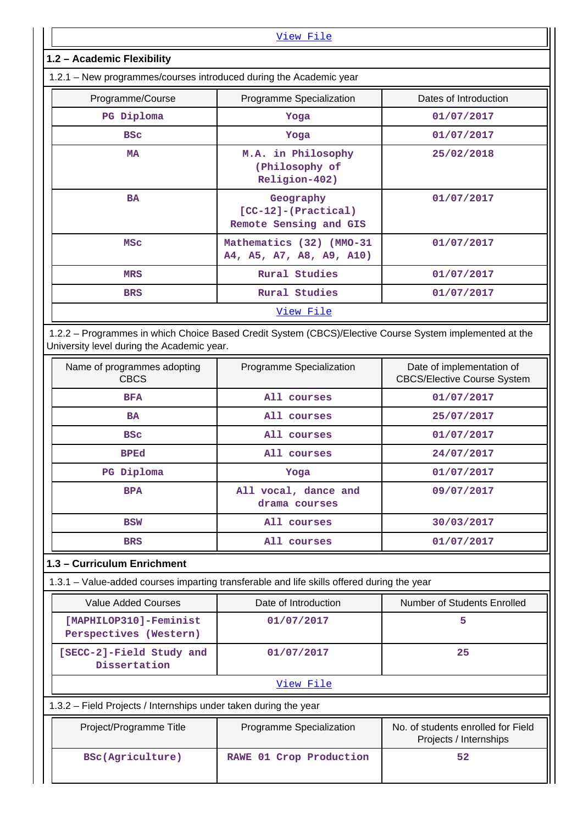| <u>View File</u>                                                                                                                                      |                                                       |                       |  |  |
|-------------------------------------------------------------------------------------------------------------------------------------------------------|-------------------------------------------------------|-----------------------|--|--|
| 1.2 - Academic Flexibility                                                                                                                            |                                                       |                       |  |  |
| 1.2.1 – New programmes/courses introduced during the Academic year                                                                                    |                                                       |                       |  |  |
| Programme/Course                                                                                                                                      | Programme Specialization                              | Dates of Introduction |  |  |
| PG Diploma                                                                                                                                            | Yoga                                                  | 01/07/2017            |  |  |
| <b>BSC</b>                                                                                                                                            | Yoga                                                  | 01/07/2017            |  |  |
| <b>MA</b>                                                                                                                                             | M.A. in Philosophy<br>(Philosophy of<br>Religion-402) | 25/02/2018            |  |  |
| Geography<br><b>BA</b><br>01/07/2017<br>$[CC-12] - (Practical)$<br>Remote Sensing and GIS                                                             |                                                       |                       |  |  |
| Mathematics (32) (MMO-31<br><b>MSC</b><br>01/07/2017<br>A4, A5, A7, A8, A9, A10)                                                                      |                                                       |                       |  |  |
| <b>MRS</b>                                                                                                                                            | Rural Studies                                         | 01/07/2017            |  |  |
| <b>BRS</b>                                                                                                                                            | Rural Studies                                         | 01/07/2017            |  |  |
| View File                                                                                                                                             |                                                       |                       |  |  |
| 1.2.2 - Programmes in which Choice Based Credit System (CBCS)/Elective Course System implemented at the<br>University level during the Academic year. |                                                       |                       |  |  |
| Programme Specialization<br>Date of implementation of<br>Name of programmes adopting                                                                  |                                                       |                       |  |  |

| Name of programmes adopting<br><b>CBCS</b> | Programme Specialization              | Date of implementation of<br><b>CBCS/Elective Course System</b> |
|--------------------------------------------|---------------------------------------|-----------------------------------------------------------------|
| <b>BFA</b>                                 | All courses                           | 01/07/2017                                                      |
| <b>BA</b>                                  | All courses                           | 25/07/2017                                                      |
| <b>BSC</b>                                 | All courses                           | 01/07/2017                                                      |
| <b>BPEd</b>                                | All courses                           | 24/07/2017                                                      |
| PG Diploma                                 | Yoga                                  | 01/07/2017                                                      |
| <b>BPA</b>                                 | All vocal, dance and<br>drama courses | 09/07/2017                                                      |
| <b>BSW</b>                                 | All courses                           | 30/03/2017                                                      |
| <b>BRS</b>                                 | All courses                           | 01/07/2017                                                      |

# **1.3 – Curriculum Enrichment**

|  |  | 1.3.1 – Value-added courses imparting transferable and life skills offered during the year |  |
|--|--|--------------------------------------------------------------------------------------------|--|
|  |  |                                                                                            |  |

| Value Added Courses                              | Date of Introduction | Number of Students Enrolled |  |  |
|--------------------------------------------------|----------------------|-----------------------------|--|--|
| [MAPHILOP310]-Feminist<br>Perspectives (Western) | 01/07/2017           |                             |  |  |
| [SECC-2]-Field Study and<br>Dissertation         | 01/07/2017           | 25                          |  |  |
| View File                                        |                      |                             |  |  |

1.3.2 – Field Projects / Internships under taken during the year

| Project/Programme Title | Programme Specialization | No. of students enrolled for Field<br>Projects / Internships |
|-------------------------|--------------------------|--------------------------------------------------------------|
| BSc(Agriculture)        | RAWE 01 Crop Production  | 52                                                           |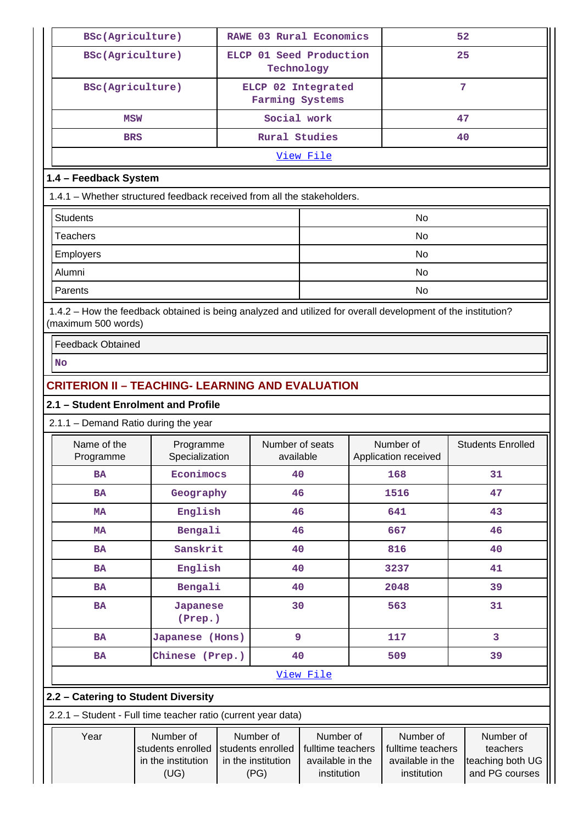| BSc(Agriculture)                                                                                                                    |                                                              |                                       |                                                                                                                                   | RAWE 03 Rural Economics |                                                                   | 52                                |                                                             |                          |
|-------------------------------------------------------------------------------------------------------------------------------------|--------------------------------------------------------------|---------------------------------------|-----------------------------------------------------------------------------------------------------------------------------------|-------------------------|-------------------------------------------------------------------|-----------------------------------|-------------------------------------------------------------|--------------------------|
| BSc(Agriculture)                                                                                                                    |                                                              | ELCP 01 Seed Production<br>Technology |                                                                                                                                   |                         |                                                                   |                                   | 25                                                          |                          |
| BSc(Agriculture)                                                                                                                    |                                                              |                                       | Farming Systems                                                                                                                   | ELCP 02 Integrated      |                                                                   | 7                                 |                                                             |                          |
| <b>MSW</b>                                                                                                                          | Social work                                                  |                                       |                                                                                                                                   |                         | 47                                                                |                                   |                                                             |                          |
| <b>BRS</b>                                                                                                                          |                                                              |                                       | <b>Rural Studies</b>                                                                                                              |                         |                                                                   |                                   | 40                                                          |                          |
|                                                                                                                                     |                                                              |                                       |                                                                                                                                   | View File               |                                                                   |                                   |                                                             |                          |
|                                                                                                                                     | 1.4 - Feedback System                                        |                                       |                                                                                                                                   |                         |                                                                   |                                   |                                                             |                          |
| 1.4.1 - Whether structured feedback received from all the stakeholders.                                                             |                                                              |                                       |                                                                                                                                   |                         |                                                                   |                                   |                                                             |                          |
| <b>Students</b>                                                                                                                     |                                                              |                                       |                                                                                                                                   |                         |                                                                   | No                                |                                                             |                          |
| <b>Teachers</b>                                                                                                                     |                                                              |                                       |                                                                                                                                   |                         |                                                                   | <b>No</b>                         |                                                             |                          |
| Employers                                                                                                                           |                                                              |                                       |                                                                                                                                   |                         |                                                                   | No                                |                                                             |                          |
| Alumni                                                                                                                              |                                                              |                                       |                                                                                                                                   |                         |                                                                   | No                                |                                                             |                          |
| Parents                                                                                                                             |                                                              |                                       |                                                                                                                                   |                         |                                                                   | No                                |                                                             |                          |
| 1.4.2 - How the feedback obtained is being analyzed and utilized for overall development of the institution?<br>(maximum 500 words) |                                                              |                                       |                                                                                                                                   |                         |                                                                   |                                   |                                                             |                          |
| <b>Feedback Obtained</b>                                                                                                            |                                                              |                                       |                                                                                                                                   |                         |                                                                   |                                   |                                                             |                          |
| <b>No</b>                                                                                                                           |                                                              |                                       |                                                                                                                                   |                         |                                                                   |                                   |                                                             |                          |
| <b>CRITERION II - TEACHING- LEARNING AND EVALUATION</b>                                                                             |                                                              |                                       |                                                                                                                                   |                         |                                                                   |                                   |                                                             |                          |
| 2.1 - Student Enrolment and Profile                                                                                                 |                                                              |                                       |                                                                                                                                   |                         |                                                                   |                                   |                                                             |                          |
| 2.1.1 - Demand Ratio during the year                                                                                                |                                                              |                                       |                                                                                                                                   |                         |                                                                   |                                   |                                                             |                          |
| Name of the<br>Programme                                                                                                            | Programme<br>Specialization                                  |                                       | Number of seats<br>available                                                                                                      |                         |                                                                   | Number of<br>Application received |                                                             | <b>Students Enrolled</b> |
| BA                                                                                                                                  | Econimocs                                                    |                                       | 40                                                                                                                                |                         |                                                                   | 168                               |                                                             | 31                       |
| <b>BA</b>                                                                                                                           | Geography                                                    |                                       | 46                                                                                                                                |                         |                                                                   | 1516                              |                                                             | 47                       |
| <b>MA</b>                                                                                                                           | English                                                      |                                       | 46                                                                                                                                |                         |                                                                   | 641                               |                                                             | 43                       |
| <b>MA</b>                                                                                                                           | Bengali                                                      |                                       | 46                                                                                                                                |                         |                                                                   | 667                               |                                                             | 46                       |
| <b>BA</b>                                                                                                                           | Sanskrit                                                     |                                       | 40                                                                                                                                |                         |                                                                   | 816                               |                                                             | 40                       |
| BA                                                                                                                                  | English                                                      |                                       | 40                                                                                                                                |                         |                                                                   | 3237                              |                                                             | 41                       |
| <b>BA</b>                                                                                                                           | Bengali                                                      |                                       | 40                                                                                                                                |                         |                                                                   | 2048                              |                                                             | 39                       |
| <b>BA</b>                                                                                                                           | <b>Japanese</b><br>(Prep.)                                   |                                       | 30                                                                                                                                |                         |                                                                   | 563                               |                                                             | 31                       |
| BA                                                                                                                                  | Japanese (Hons)                                              |                                       | 9                                                                                                                                 |                         |                                                                   | 117                               |                                                             | 3                        |
| <b>BA</b>                                                                                                                           | Chinese (Prep.)                                              |                                       | 40                                                                                                                                |                         |                                                                   | 509                               |                                                             | 39                       |
|                                                                                                                                     |                                                              |                                       |                                                                                                                                   | View File               |                                                                   |                                   |                                                             |                          |
|                                                                                                                                     | 2.2 - Catering to Student Diversity                          |                                       |                                                                                                                                   |                         |                                                                   |                                   |                                                             |                          |
| 2.2.1 - Student - Full time teacher ratio (current year data)                                                                       |                                                              |                                       |                                                                                                                                   |                         |                                                                   |                                   |                                                             |                          |
| Year                                                                                                                                | Number of<br>students enrolled<br>in the institution<br>(UG) |                                       | Number of<br>Number of<br>students enrolled<br>fulltime teachers<br>in the institution<br>available in the<br>institution<br>(PG) |                         | Number of<br>fulltime teachers<br>available in the<br>institution |                                   | Number of<br>teachers<br>teaching both UG<br>and PG courses |                          |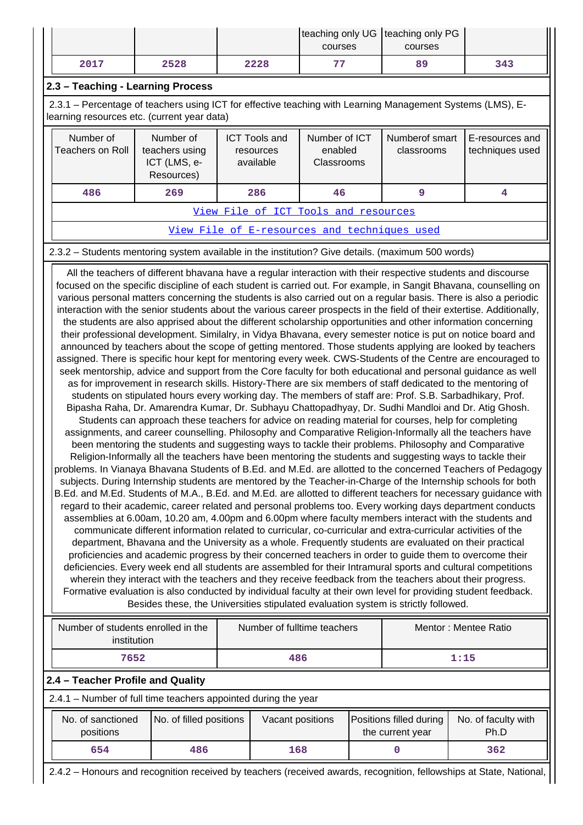|                                                                                                                                                                                                                                                                                                                                                                                                                                                                                                                                                                                                    |                                                           |                                                | teaching only UG   teaching only PG<br>courses | courses                      |                                    |  |
|----------------------------------------------------------------------------------------------------------------------------------------------------------------------------------------------------------------------------------------------------------------------------------------------------------------------------------------------------------------------------------------------------------------------------------------------------------------------------------------------------------------------------------------------------------------------------------------------------|-----------------------------------------------------------|------------------------------------------------|------------------------------------------------|------------------------------|------------------------------------|--|
| 2017                                                                                                                                                                                                                                                                                                                                                                                                                                                                                                                                                                                               | 2528                                                      | 2228                                           | 77                                             | 89                           | 343                                |  |
| 2.3 - Teaching - Learning Process                                                                                                                                                                                                                                                                                                                                                                                                                                                                                                                                                                  |                                                           |                                                |                                                |                              |                                    |  |
| 2.3.1 – Percentage of teachers using ICT for effective teaching with Learning Management Systems (LMS), E-<br>learning resources etc. (current year data)                                                                                                                                                                                                                                                                                                                                                                                                                                          |                                                           |                                                |                                                |                              |                                    |  |
| Number of<br>Teachers on Roll                                                                                                                                                                                                                                                                                                                                                                                                                                                                                                                                                                      | Number of<br>teachers using<br>ICT (LMS, e-<br>Resources) | <b>ICT Tools and</b><br>resources<br>available | Number of ICT<br>enabled<br>Classrooms         | Numberof smart<br>classrooms | E-resources and<br>techniques used |  |
| 486                                                                                                                                                                                                                                                                                                                                                                                                                                                                                                                                                                                                | 269<br>286                                                |                                                | 46                                             | 9                            | 4                                  |  |
|                                                                                                                                                                                                                                                                                                                                                                                                                                                                                                                                                                                                    |                                                           |                                                | View File of ICT Tools and resources           |                              |                                    |  |
|                                                                                                                                                                                                                                                                                                                                                                                                                                                                                                                                                                                                    |                                                           |                                                | View File of E-resources and techniques used   |                              |                                    |  |
| 2.3.2 – Students mentoring system available in the institution? Give details. (maximum 500 words)                                                                                                                                                                                                                                                                                                                                                                                                                                                                                                  |                                                           |                                                |                                                |                              |                                    |  |
| All the teachers of different bhavana have a regular interaction with their respective students and discourse<br>focused on the specific discipline of each student is carried out. For example, in Sangit Bhavana, counselling on<br>various personal matters concerning the students is also carried out on a regular basis. There is also a periodic<br>interaction with the senior students about the various career prospects in the field of their extertise. Additionally,<br>the students are also appriced about the different scholarship eppertunities and other information concerning |                                                           |                                                |                                                |                              |                                    |  |

the students are also apprised about the different scholarship opportunities and other information concerning their professional development. Similalry, in Vidya Bhavana, every semester notice is put on notice board and announced by teachers about the scope of getting mentored. Those students applying are looked by teachers assigned. There is specific hour kept for mentoring every week. CWS-Students of the Centre are encouraged to seek mentorship, advice and support from the Core faculty for both educational and personal guidance as well as for improvement in research skills. History-There are six members of staff dedicated to the mentoring of students on stipulated hours every working day. The members of staff are: Prof. S.B. Sarbadhikary, Prof. Bipasha Raha, Dr. Amarendra Kumar, Dr. Subhayu Chattopadhyay, Dr. Sudhi Mandloi and Dr. Atig Ghosh. Students can approach these teachers for advice on reading material for courses, help for completing assignments, and career counselling. Philosophy and Comparative Religion-Informally all the teachers have been mentoring the students and suggesting ways to tackle their problems. Philosophy and Comparative Religion-Informally all the teachers have been mentoring the students and suggesting ways to tackle their problems. In Vianaya Bhavana Students of B.Ed. and M.Ed. are allotted to the concerned Teachers of Pedagogy subjects. During Internship students are mentored by the Teacher-in-Charge of the Internship schools for both B.Ed. and M.Ed. Students of M.A., B.Ed. and M.Ed. are allotted to different teachers for necessary guidance with regard to their academic, career related and personal problems too. Every working days department conducts assemblies at 6.00am, 10.20 am, 4.00pm and 6.00pm where faculty members interact with the students and communicate different information related to curricular, co-curricular and extra-curricular activities of the department, Bhavana and the University as a whole. Frequently students are evaluated on their practical proficiencies and academic progress by their concerned teachers in order to guide them to overcome their deficiencies. Every week end all students are assembled for their Intramural sports and cultural competitions wherein they interact with the teachers and they receive feedback from the teachers about their progress. Formative evaluation is also conducted by individual faculty at their own level for providing student feedback. Besides these, the Universities stipulated evaluation system is strictly followed.

| Number of students enrolled in the<br>institution | Number of fulltime teachers | Mentor: Mentee Ratio |  |
|---------------------------------------------------|-----------------------------|----------------------|--|
| 7652                                              | 486                         | 1:15                 |  |

#### **2.4 – Teacher Profile and Quality**

2.4.1 – Number of full time teachers appointed during the year

| No. of sanctioned<br>positions | No. of filled positions | Vacant positions | Positions filled during<br>the current year | No. of faculty with<br>Ph.D |
|--------------------------------|-------------------------|------------------|---------------------------------------------|-----------------------------|
| 654                            | 486                     | 168              |                                             | 362                         |

2.4.2 – Honours and recognition received by teachers (received awards, recognition, fellowships at State, National,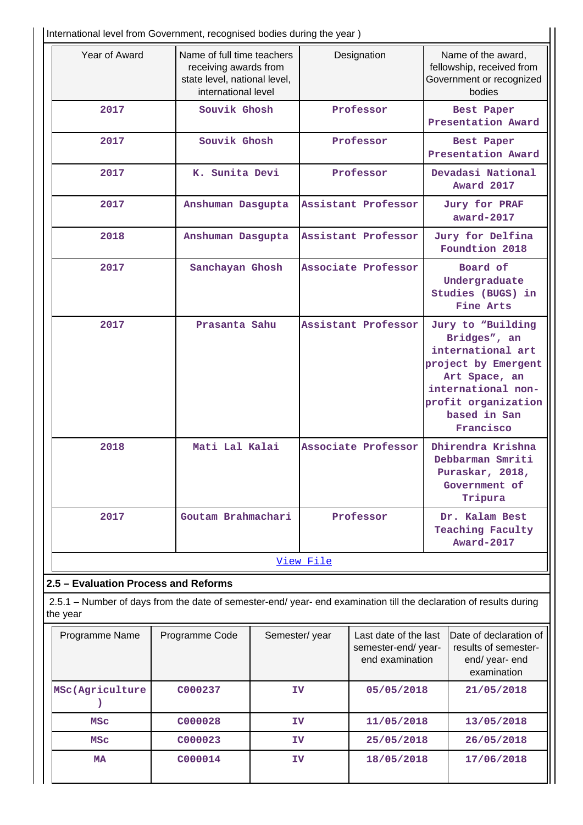International level from Government, recognised bodies during the year )

| Year of Award                  | Name of full time teachers<br>receiving awards from<br>state level, national level,<br>international level | Designation         | Name of the award,<br>fellowship, received from<br>Government or recognized<br>bodies                                                                                    |  |  |  |  |  |
|--------------------------------|------------------------------------------------------------------------------------------------------------|---------------------|--------------------------------------------------------------------------------------------------------------------------------------------------------------------------|--|--|--|--|--|
| 2017                           | Souvik Ghosh                                                                                               | Professor           | Best Paper<br>Presentation Award                                                                                                                                         |  |  |  |  |  |
| 2017                           | Souvik Ghosh                                                                                               | Professor           | Best Paper<br>Presentation Award                                                                                                                                         |  |  |  |  |  |
| 2017                           | K. Sunita Devi                                                                                             | Professor           | Devadasi National<br>Award 2017                                                                                                                                          |  |  |  |  |  |
| 2017                           | Anshuman Dasgupta                                                                                          | Assistant Professor | <b>Jury for PRAF</b><br>award-2017                                                                                                                                       |  |  |  |  |  |
| 2018                           | Anshuman Dasgupta                                                                                          | Assistant Professor | Jury for Delfina<br>Foundtion 2018                                                                                                                                       |  |  |  |  |  |
| 2017                           | Sanchayan Ghosh                                                                                            | Associate Professor | Board of<br>Undergraduate<br>Studies (BUGS) in<br>Fine Arts                                                                                                              |  |  |  |  |  |
| 2017                           | Prasanta Sahu                                                                                              | Assistant Professor | Jury to "Building<br>Bridges", an<br>international art<br>project by Emergent<br>Art Space, an<br>international non-<br>profit organization<br>based in San<br>Francisco |  |  |  |  |  |
| 2018                           | Mati Lal Kalai                                                                                             | Associate Professor | Dhirendra Krishna<br>Debbarman Smriti<br>Puraskar, 2018,<br>Government of<br>Tripura                                                                                     |  |  |  |  |  |
| 2017                           | Goutam Brahmachari                                                                                         | Professor           | Dr. Kalam Best<br><b>Teaching Faculty</b><br><b>Award-2017</b>                                                                                                           |  |  |  |  |  |
|                                |                                                                                                            | View File           |                                                                                                                                                                          |  |  |  |  |  |
| Evaluation Dreases and Deferme |                                                                                                            |                     |                                                                                                                                                                          |  |  |  |  |  |

**2.5 – Evaluation Process and Reforms**

 2.5.1 – Number of days from the date of semester-end/ year- end examination till the declaration of results during the year

| Programme Name  | Programme Code | Semester/year | Last date of the last<br>semester-end/year-<br>end examination | <b>IDate of declaration of</b><br>results of semester-<br>end/ year- end<br>examination |
|-----------------|----------------|---------------|----------------------------------------------------------------|-----------------------------------------------------------------------------------------|
| MSc(Agriculture | C000237        | ΙV            | 05/05/2018                                                     | 21/05/2018                                                                              |
| <b>MSC</b>      | C000028        | IV            | 11/05/2018                                                     | 13/05/2018                                                                              |
| <b>MSC</b>      | C000023        | ΙV            | 25/05/2018                                                     | 26/05/2018                                                                              |
| MA              | C000014        | ΙV            | 18/05/2018                                                     | 17/06/2018                                                                              |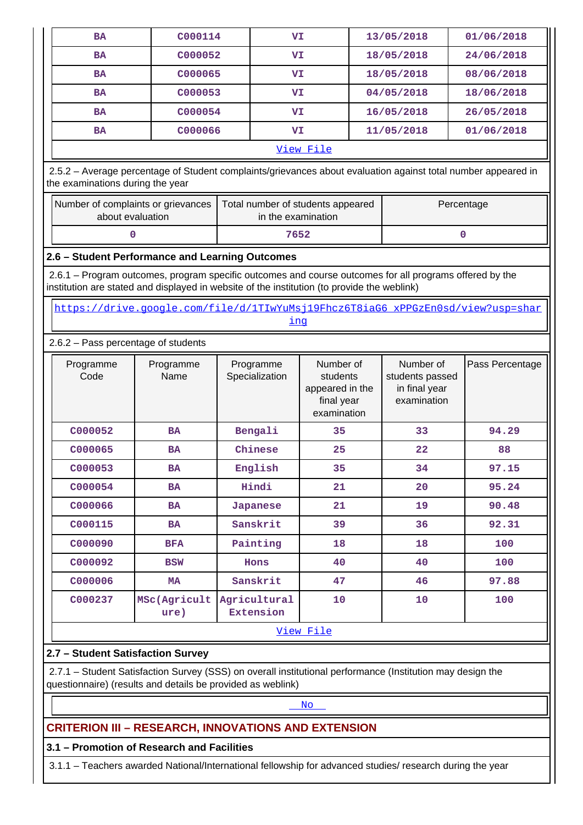| <b>BA</b>                                                                                                                                                                                              | C000114                                                                                       | VI                               |                                                                       |                                                              | 13/05/2018 | 01/06/2018      |  |
|--------------------------------------------------------------------------------------------------------------------------------------------------------------------------------------------------------|-----------------------------------------------------------------------------------------------|----------------------------------|-----------------------------------------------------------------------|--------------------------------------------------------------|------------|-----------------|--|
| <b>BA</b>                                                                                                                                                                                              | C000052                                                                                       | VI                               |                                                                       | 18/05/2018                                                   |            | 24/06/2018      |  |
| <b>BA</b>                                                                                                                                                                                              | C000065                                                                                       | VI                               |                                                                       | 18/05/2018                                                   |            | 08/06/2018      |  |
| <b>BA</b>                                                                                                                                                                                              | C000053                                                                                       | VI                               |                                                                       | 04/05/2018                                                   |            | 18/06/2018      |  |
| <b>BA</b>                                                                                                                                                                                              | C000054                                                                                       |                                  | VI                                                                    |                                                              | 16/05/2018 | 26/05/2018      |  |
| <b>BA</b>                                                                                                                                                                                              | C000066                                                                                       | VI                               |                                                                       |                                                              | 11/05/2018 | 01/06/2018      |  |
|                                                                                                                                                                                                        |                                                                                               |                                  | View File                                                             |                                                              |            |                 |  |
| 2.5.2 - Average percentage of Student complaints/grievances about evaluation against total number appeared in<br>the examinations during the year                                                      |                                                                                               |                                  |                                                                       |                                                              |            |                 |  |
| Number of complaints or grievances<br>Total number of students appeared<br>Percentage<br>about evaluation<br>in the examination                                                                        |                                                                                               |                                  |                                                                       |                                                              |            |                 |  |
|                                                                                                                                                                                                        | 0                                                                                             | 7652                             |                                                                       |                                                              |            | 0               |  |
| 2.6 - Student Performance and Learning Outcomes                                                                                                                                                        |                                                                                               |                                  |                                                                       |                                                              |            |                 |  |
| 2.6.1 – Program outcomes, program specific outcomes and course outcomes for all programs offered by the<br>institution are stated and displayed in website of the institution (to provide the weblink) |                                                                                               |                                  |                                                                       |                                                              |            |                 |  |
|                                                                                                                                                                                                        | https://drive.google.com/file/d/1TIwYuMsj19Fhcz6T8iaG6_xPPGzEn0sd/view?usp=shar<br><u>ing</u> |                                  |                                                                       |                                                              |            |                 |  |
| 2.6.2 - Pass percentage of students                                                                                                                                                                    |                                                                                               |                                  |                                                                       |                                                              |            |                 |  |
| Programme<br>Code                                                                                                                                                                                      | Programme<br>Name                                                                             | Programme<br>Specialization      | Number of<br>students<br>appeared in the<br>final year<br>examination | Number of<br>students passed<br>in final year<br>examination |            | Pass Percentage |  |
| C000052                                                                                                                                                                                                | <b>BA</b>                                                                                     | Bengali                          | 35                                                                    |                                                              | 33         | 94.29           |  |
| C000065                                                                                                                                                                                                | <b>BA</b>                                                                                     | Chinese                          | 25                                                                    |                                                              | 22         | 88              |  |
| C000053                                                                                                                                                                                                | <b>BA</b>                                                                                     | English                          | 35                                                                    |                                                              | 34         | 97.15           |  |
| C000054                                                                                                                                                                                                | <b>BA</b>                                                                                     | Hindi                            | 21                                                                    |                                                              | 20         | 95.24           |  |
| C000066                                                                                                                                                                                                | <b>BA</b>                                                                                     | <b>Japanese</b>                  | 21                                                                    |                                                              | 19         | 90.48           |  |
| C000115                                                                                                                                                                                                | <b>BA</b>                                                                                     | Sanskrit                         | 39                                                                    |                                                              | 36         | 92.31           |  |
| C000090                                                                                                                                                                                                | <b>BFA</b>                                                                                    | Painting                         | 18                                                                    |                                                              | 18         | 100             |  |
| C000092                                                                                                                                                                                                | <b>BSW</b>                                                                                    | Hons                             | 40                                                                    |                                                              | 40         | 100             |  |
| C000006                                                                                                                                                                                                | MA                                                                                            | Sanskrit                         | 47                                                                    |                                                              | 46         | 97.88           |  |
| C000237                                                                                                                                                                                                | MSc(Agricult<br>ure)                                                                          | Agricultural<br><b>Extension</b> | 10                                                                    |                                                              | 10         | 100             |  |
|                                                                                                                                                                                                        |                                                                                               |                                  | View File                                                             |                                                              |            |                 |  |
| 2.7 - Student Satisfaction Survey                                                                                                                                                                      |                                                                                               |                                  |                                                                       |                                                              |            |                 |  |
| 2.7.1 - Student Satisfaction Survey (SSS) on overall institutional performance (Institution may design the<br>questionnaire) (results and details be provided as weblink)                              |                                                                                               |                                  |                                                                       |                                                              |            |                 |  |
|                                                                                                                                                                                                        | No.                                                                                           |                                  |                                                                       |                                                              |            |                 |  |
| <b>CRITERION III - RESEARCH, INNOVATIONS AND EXTENSION</b>                                                                                                                                             |                                                                                               |                                  |                                                                       |                                                              |            |                 |  |
| 3.1 - Promotion of Research and Facilities                                                                                                                                                             |                                                                                               |                                  |                                                                       |                                                              |            |                 |  |
| 3.1.1 - Teachers awarded National/International fellowship for advanced studies/ research during the year                                                                                              |                                                                                               |                                  |                                                                       |                                                              |            |                 |  |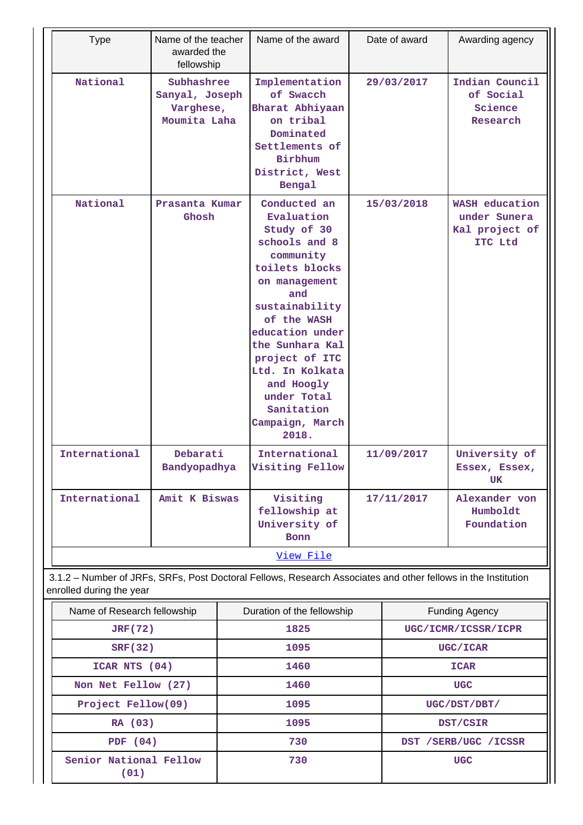| <b>Type</b>                    | Name of the teacher<br>awarded the<br>fellowship          |  | Name of the award                                                                                                                                                                                                                                                                                    |            | Date of award | Awarding agency                                             |
|--------------------------------|-----------------------------------------------------------|--|------------------------------------------------------------------------------------------------------------------------------------------------------------------------------------------------------------------------------------------------------------------------------------------------------|------------|---------------|-------------------------------------------------------------|
| National                       | Subhashree<br>Sanyal, Joseph<br>Varghese,<br>Moumita Laha |  | Implementation<br>of Swacch<br>Bharat Abhiyaan<br>on tribal<br>Dominated<br>Settlements of<br>Birbhum<br>District, West<br>Bengal                                                                                                                                                                    |            | 29/03/2017    | Indian Council<br>of Social<br>Science<br>Research          |
| National                       | Prasanta Kumar<br>Ghosh                                   |  | Conducted an<br>Evaluation<br>Study of 30<br>schools and 8<br>community<br>toilets blocks<br>on management<br>and<br>sustainability<br>of the WASH<br>education under<br>the Sunhara Kal<br>project of ITC<br>Ltd. In Kolkata<br>and Hoogly<br>under Total<br>Sanitation<br>Campaign, March<br>2018. | 15/03/2018 |               | WASH education<br>under Sunera<br>Kal project of<br>ITC Ltd |
| International                  | Debarati<br>Bandyopadhya                                  |  | International<br>Visiting Fellow                                                                                                                                                                                                                                                                     | 11/09/2017 |               | University of<br>Essex, Essex,<br>UK                        |
| International                  | Amit K Biswas                                             |  | Visiting<br>fellowship at<br>University of<br><b>Bonn</b>                                                                                                                                                                                                                                            | 17/11/2017 |               | Alexander von<br>Humboldt<br>Foundation                     |
|                                |                                                           |  | View File                                                                                                                                                                                                                                                                                            |            |               |                                                             |
| enrolled during the year       |                                                           |  | 3.1.2 - Number of JRFs, SRFs, Post Doctoral Fellows, Research Associates and other fellows in the Institution                                                                                                                                                                                        |            |               |                                                             |
| Name of Research fellowship    |                                                           |  | Duration of the fellowship                                                                                                                                                                                                                                                                           |            |               | <b>Funding Agency</b>                                       |
| <b>JRF(72)</b>                 |                                                           |  | 1825                                                                                                                                                                                                                                                                                                 |            |               | UGC/ICMR/ICSSR/ICPR                                         |
| <b>SRF(32)</b>                 |                                                           |  | 1095                                                                                                                                                                                                                                                                                                 |            |               | UGC/ICAR                                                    |
| ICAR NTS (04)                  |                                                           |  | 1460                                                                                                                                                                                                                                                                                                 |            |               | <b>ICAR</b>                                                 |
| Non Net Fellow (27)            |                                                           |  | 1460                                                                                                                                                                                                                                                                                                 |            |               | <b>UGC</b>                                                  |
| Project Fellow(09)             |                                                           |  | 1095                                                                                                                                                                                                                                                                                                 |            |               | UGC/DST/DBT/                                                |
| RA (03)                        |                                                           |  | 1095                                                                                                                                                                                                                                                                                                 |            |               | DST/CSIR                                                    |
| PDF $(04)$                     |                                                           |  | 730                                                                                                                                                                                                                                                                                                  |            |               | DST / SERB/UGC / ICSSR                                      |
| Senior National Fellow<br>(01) |                                                           |  | 730                                                                                                                                                                                                                                                                                                  |            |               | <b>UGC</b>                                                  |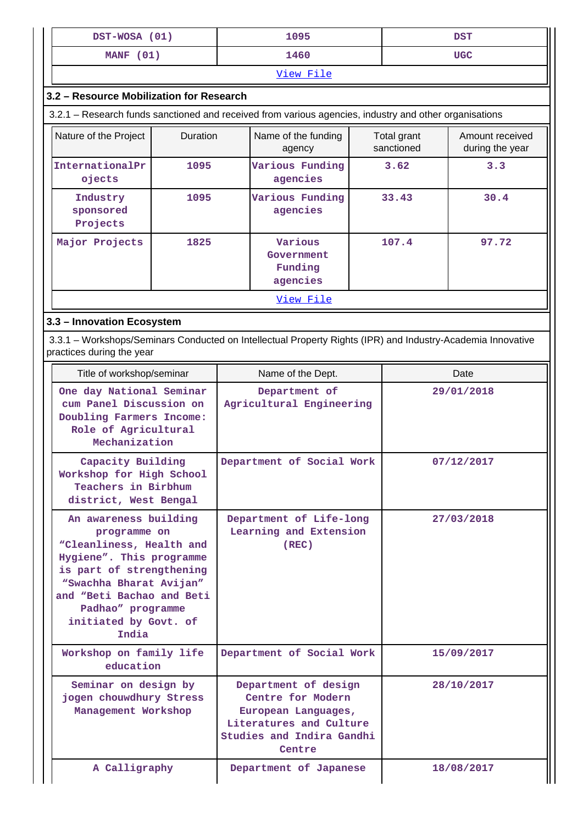| DST-WOSA (01) | 1095 | <b>DST</b> |  |  |  |
|---------------|------|------------|--|--|--|
| MANF (01)     | 1460 | <b>UGC</b> |  |  |  |
| View File     |      |            |  |  |  |

## **3.2 – Resource Mobilization for Research**

3.2.1 – Research funds sanctioned and received from various agencies, industry and other organisations

| Nature of the Project             | <b>Duration</b> | Name of the funding<br>agency                | Total grant<br>sanctioned | Amount received<br>during the year |  |  |
|-----------------------------------|-----------------|----------------------------------------------|---------------------------|------------------------------------|--|--|
| InternationalPr<br>ojects         | 1095            | Various Funding<br>agencies                  | 3.62                      | 3.3                                |  |  |
| Industry<br>sponsored<br>Projects | 1095            | Various Funding<br>agencies                  | 33.43                     | 30.4                               |  |  |
| Major Projects                    | 1825            | Various<br>Government<br>Funding<br>agencies | 107.4                     | 97.72                              |  |  |
| View File                         |                 |                                              |                           |                                    |  |  |

### **3.3 – Innovation Ecosystem**

 3.3.1 – Workshops/Seminars Conducted on Intellectual Property Rights (IPR) and Industry-Academia Innovative practices during the year

| Title of workshop/seminar                                                                                                                                                                                                                | Name of the Dept.                                                                                                                  | Date       |
|------------------------------------------------------------------------------------------------------------------------------------------------------------------------------------------------------------------------------------------|------------------------------------------------------------------------------------------------------------------------------------|------------|
| One day National Seminar<br>cum Panel Discussion on<br>Doubling Farmers Income:<br>Role of Agricultural<br>Mechanization                                                                                                                 | Department of<br>Agricultural Engineering                                                                                          | 29/01/2018 |
| Capacity Building<br>Workshop for High School<br>Teachers in Birbhum<br>district, West Bengal                                                                                                                                            | Department of Social Work                                                                                                          | 07/12/2017 |
| An awareness building<br>programme on<br>"Cleanliness, Health and<br>Hygiene". This programme<br>is part of strengthening<br>"Swachha Bharat Avijan"<br>and "Beti Bachao and Beti<br>Padhao" programme<br>initiated by Govt. of<br>India | Department of Life-long<br>Learning and Extension<br>(REC)                                                                         | 27/03/2018 |
| Workshop on family life<br>education                                                                                                                                                                                                     | Department of Social Work                                                                                                          | 15/09/2017 |
| Seminar on design by<br>jogen chouwdhury Stress<br>Management Workshop                                                                                                                                                                   | Department of design<br>Centre for Modern<br>European Languages,<br>Literatures and Culture<br>Studies and Indira Gandhi<br>Centre | 28/10/2017 |
| A Calligraphy                                                                                                                                                                                                                            | Department of Japanese                                                                                                             | 18/08/2017 |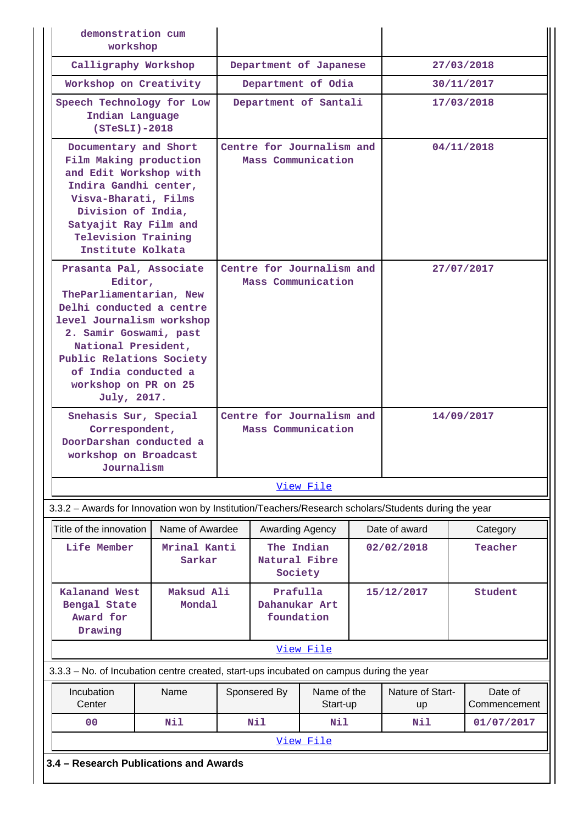| demonstration cum<br>workshop                                                                                                                                                                                                                                                                                 |                                                                              |                                                 |                       |                          |            |                        |                         |
|---------------------------------------------------------------------------------------------------------------------------------------------------------------------------------------------------------------------------------------------------------------------------------------------------------------|------------------------------------------------------------------------------|-------------------------------------------------|-----------------------|--------------------------|------------|------------------------|-------------------------|
| Calligraphy Workshop                                                                                                                                                                                                                                                                                          |                                                                              | Department of Japanese                          |                       |                          | 27/03/2018 |                        |                         |
|                                                                                                                                                                                                                                                                                                               | Workshop on Creativity                                                       |                                                 |                       | Department of Odia       |            | 30/11/2017             |                         |
| Speech Technology for Low<br>Indian Language<br>$(STestI) - 2018$                                                                                                                                                                                                                                             |                                                                              |                                                 | Department of Santali |                          |            |                        | 17/03/2018              |
| Documentary and Short<br>Film Making production<br>and Edit Workshop with<br>Indira Gandhi center,<br>Visva-Bharati, Films<br>Division of India,<br>Satyajit Ray Film and<br><b>Television Training</b><br>Institute Kolkata                                                                                  |                                                                              | Centre for Journalism and<br>Mass Communication |                       |                          |            | 04/11/2018             |                         |
| Prasanta Pal, Associate<br>Editor,<br>TheParliamentarian, New<br>Delhi conducted a centre<br>level Journalism workshop<br>2. Samir Goswami, past<br>National President,<br>Public Relations Society<br>of India conducted a<br>workshop on PR on 25<br>July, 2017.<br>Snehasis Sur, Special<br>Correspondent, | Centre for Journalism and<br>Mass Communication<br>Centre for Journalism and |                                                 |                       | 27/07/2017<br>14/09/2017 |            |                        |                         |
| DoorDarshan conducted a<br>workshop on Broadcast<br>Journalism                                                                                                                                                                                                                                                |                                                                              |                                                 |                       |                          |            |                        |                         |
|                                                                                                                                                                                                                                                                                                               |                                                                              |                                                 |                       | View File                |            |                        |                         |
| 3.3.2 - Awards for Innovation won by Institution/Teachers/Research scholars/Students during the year                                                                                                                                                                                                          |                                                                              |                                                 |                       |                          |            |                        |                         |
| Title of the innovation                                                                                                                                                                                                                                                                                       | Name of Awardee                                                              |                                                 | Awarding Agency       |                          |            | Date of award          | Category                |
| Life Member                                                                                                                                                                                                                                                                                                   | Mrinal Kanti<br>Sarkar                                                       | The Indian<br>Natural Fibre<br>Society          |                       | 02/02/2018               | Teacher    |                        |                         |
| <b>Kalanand West</b><br>Bengal State<br>Award for<br>Drawing                                                                                                                                                                                                                                                  | Maksud Ali<br><b>Mondal</b>                                                  | Prafulla<br>Dahanukar Art<br>foundation         |                       |                          | 15/12/2017 | Student                |                         |
|                                                                                                                                                                                                                                                                                                               |                                                                              |                                                 |                       | View File                |            |                        |                         |
| 3.3.3 - No. of Incubation centre created, start-ups incubated on campus during the year                                                                                                                                                                                                                       |                                                                              |                                                 |                       |                          |            |                        |                         |
| Incubation<br>Center                                                                                                                                                                                                                                                                                          | Name                                                                         |                                                 | Sponsered By          | Name of the<br>Start-up  |            | Nature of Start-<br>up | Date of<br>Commencement |
| 0 <sup>0</sup>                                                                                                                                                                                                                                                                                                | Nil                                                                          |                                                 | Nil                   | Nil                      |            | Nil                    | 01/07/2017              |
|                                                                                                                                                                                                                                                                                                               |                                                                              |                                                 |                       | View File                |            |                        |                         |
| 3.4 - Research Publications and Awards                                                                                                                                                                                                                                                                        |                                                                              |                                                 |                       |                          |            |                        |                         |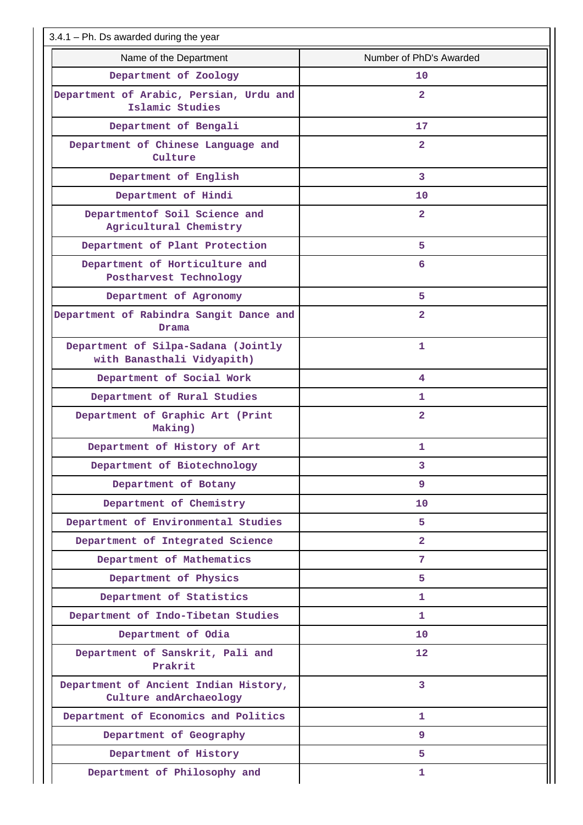| $3.4.1$ – Ph. Ds awarded during the year                          |                         |  |  |  |  |  |
|-------------------------------------------------------------------|-------------------------|--|--|--|--|--|
| Name of the Department                                            | Number of PhD's Awarded |  |  |  |  |  |
| Department of Zoology                                             | 10                      |  |  |  |  |  |
| Department of Arabic, Persian, Urdu and<br>Islamic Studies        | $\overline{2}$          |  |  |  |  |  |
| Department of Bengali                                             | 17                      |  |  |  |  |  |
| Department of Chinese Language and<br>Culture                     | $\overline{2}$          |  |  |  |  |  |
| Department of English                                             | 3                       |  |  |  |  |  |
| Department of Hindi                                               | 10                      |  |  |  |  |  |
| Departmentof Soil Science and<br>Agricultural Chemistry           | $\overline{2}$          |  |  |  |  |  |
| Department of Plant Protection                                    | 5                       |  |  |  |  |  |
| Department of Horticulture and<br>Postharvest Technology          | 6                       |  |  |  |  |  |
| Department of Agronomy                                            | 5                       |  |  |  |  |  |
| Department of Rabindra Sangit Dance and<br>Drama                  | $\overline{2}$          |  |  |  |  |  |
| Department of Silpa-Sadana (Jointly<br>with Banasthali Vidyapith) | 1                       |  |  |  |  |  |
| Department of Social Work                                         | 4                       |  |  |  |  |  |
| Department of Rural Studies                                       | 1.                      |  |  |  |  |  |
| Department of Graphic Art (Print<br>Making)                       | $\overline{2}$          |  |  |  |  |  |
| Department of History of Art                                      | 1                       |  |  |  |  |  |
| Department of Biotechnology                                       | 3                       |  |  |  |  |  |
| Department of Botany                                              | 9                       |  |  |  |  |  |
| Department of Chemistry                                           | 10                      |  |  |  |  |  |
| Department of Environmental Studies                               | 5.                      |  |  |  |  |  |
| Department of Integrated Science                                  | $\overline{2}$          |  |  |  |  |  |
| Department of Mathematics                                         | 7                       |  |  |  |  |  |
| Department of Physics                                             | 5                       |  |  |  |  |  |
| Department of Statistics                                          | 1                       |  |  |  |  |  |
| Department of Indo-Tibetan Studies                                | 1                       |  |  |  |  |  |
| Department of Odia                                                | 10                      |  |  |  |  |  |
| Department of Sanskrit, Pali and<br>Prakrit                       | 12                      |  |  |  |  |  |
| Department of Ancient Indian History,<br>Culture andArchaeology   | 3                       |  |  |  |  |  |
| Department of Economics and Politics                              | 1                       |  |  |  |  |  |
| Department of Geography                                           | 9                       |  |  |  |  |  |
| Department of History                                             | 5                       |  |  |  |  |  |
| Department of Philosophy and                                      | 1                       |  |  |  |  |  |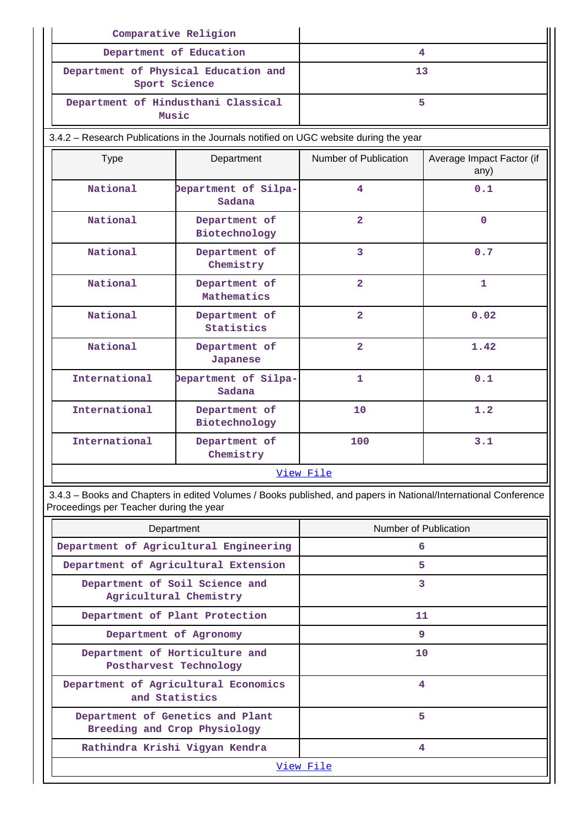| Comparative Religion                       |                                                                                                                 |                         |                                   |  |
|--------------------------------------------|-----------------------------------------------------------------------------------------------------------------|-------------------------|-----------------------------------|--|
| Department of Education                    |                                                                                                                 | $\overline{4}$          |                                   |  |
| Sport Science                              | Department of Physical Education and                                                                            | 13                      |                                   |  |
| Music                                      | Department of Hindusthani Classical                                                                             |                         | 5                                 |  |
|                                            | 3.4.2 - Research Publications in the Journals notified on UGC website during the year                           |                         |                                   |  |
| <b>Type</b>                                | Department                                                                                                      | Number of Publication   | Average Impact Factor (if<br>any) |  |
| National<br>Department of Silpa-<br>Sadana |                                                                                                                 | $\overline{\mathbf{4}}$ | 0.1                               |  |
| <b>National</b>                            | Department of<br>Biotechnology                                                                                  | $\overline{2}$          | $\Omega$                          |  |
| National<br>Department of<br>Chemistry     |                                                                                                                 | $\overline{3}$          | 0.7                               |  |
| National<br>Department of<br>Mathematics   |                                                                                                                 | $\overline{2}$          | $\mathbf{1}$                      |  |
| National                                   | Department of<br>Statistics                                                                                     | $\overline{2}$          | 0.02                              |  |
| National                                   | Department of<br>Japanese                                                                                       | $\overline{2}$          | 1.42                              |  |
| International                              | bepartment of Silpa-<br>Sadana                                                                                  | $\mathbf{1}$            | 0.1                               |  |
| International                              | Department of<br>Biotechnology                                                                                  | 10                      | 1.2                               |  |
| International                              | Department of<br>Chemistry                                                                                      | 3.1<br>100              |                                   |  |
|                                            |                                                                                                                 | View File               |                                   |  |
| Proceedings per Teacher during the year    | 3.4.3 - Books and Chapters in edited Volumes / Books published, and papers in National/International Conference |                         |                                   |  |

| Department                                                       | Number of Publication |
|------------------------------------------------------------------|-----------------------|
| Department of Agricultural Engineering                           | 6                     |
| Department of Agricultural Extension                             | 5                     |
| Department of Soil Science and<br>Agricultural Chemistry         | 3                     |
| Department of Plant Protection                                   | 11                    |
| Department of Agronomy                                           | 9                     |
| Department of Horticulture and<br>Postharvest Technology         | 10                    |
| Department of Agricultural Economics<br>and Statistics           | 4                     |
| Department of Genetics and Plant<br>Breeding and Crop Physiology | 5                     |
| Rathindra Krishi Vigyan Kendra                                   | 4                     |
|                                                                  | View File             |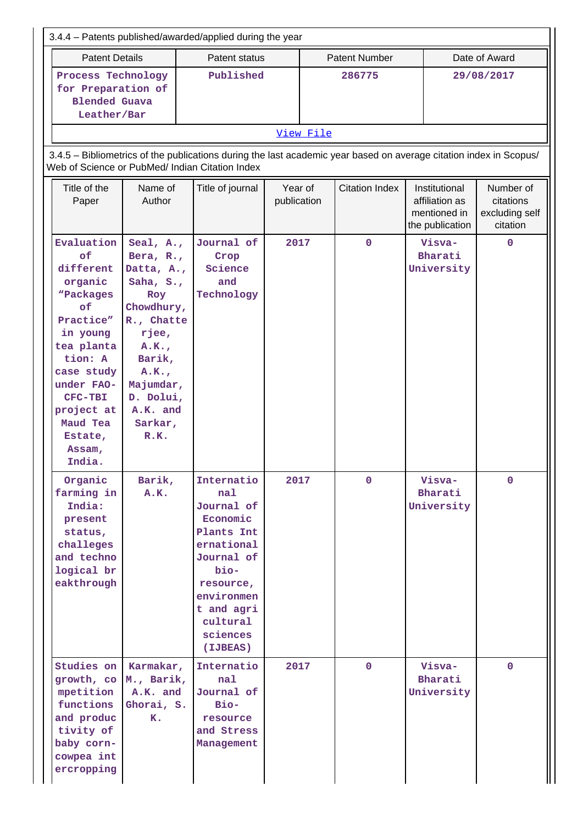|                                                                                                                                                                                                                      |                                                                                                                                                                                                        | 3.4.4 - Patents published/awarded/applied during the year                                                                                                                  |                        |  |                       |                                                                    |                                                      |  |
|----------------------------------------------------------------------------------------------------------------------------------------------------------------------------------------------------------------------|--------------------------------------------------------------------------------------------------------------------------------------------------------------------------------------------------------|----------------------------------------------------------------------------------------------------------------------------------------------------------------------------|------------------------|--|-----------------------|--------------------------------------------------------------------|------------------------------------------------------|--|
| <b>Patent Details</b>                                                                                                                                                                                                |                                                                                                                                                                                                        | Patent status                                                                                                                                                              |                        |  | <b>Patent Number</b>  |                                                                    | Date of Award                                        |  |
| Process Technology<br>for Preparation of<br><b>Blended Guava</b><br>Leather/Bar                                                                                                                                      |                                                                                                                                                                                                        | Published                                                                                                                                                                  | 286775                 |  |                       | 29/08/2017                                                         |                                                      |  |
|                                                                                                                                                                                                                      | View File                                                                                                                                                                                              |                                                                                                                                                                            |                        |  |                       |                                                                    |                                                      |  |
|                                                                                                                                                                                                                      | 3.4.5 - Bibliometrics of the publications during the last academic year based on average citation index in Scopus/<br>Web of Science or PubMed/ Indian Citation Index                                  |                                                                                                                                                                            |                        |  |                       |                                                                    |                                                      |  |
| Title of the<br>Paper                                                                                                                                                                                                | Name of<br>Author                                                                                                                                                                                      | Title of journal                                                                                                                                                           | Year of<br>publication |  | <b>Citation Index</b> | Institutional<br>affiliation as<br>mentioned in<br>the publication | Number of<br>citations<br>excluding self<br>citation |  |
| Evaluation<br>of<br>different<br>organic<br>"Packages<br>of<br>Practice"<br>in young<br>tea planta<br>tion: A<br>case study<br>under FAO-<br><b>CFC-TBI</b><br>project at<br>Maud Tea<br>Estate,<br>Assam,<br>India. | Seal, A.,<br>Bera, $R_{\bullet}$ ,<br>Datta, A.,<br>Saha, $S_{\cdot}$ ,<br>Roy<br>Chowdhury,<br>R., Chatte<br>rjee,<br>A.K.<br>Barik,<br>A.K.<br>Majumdar,<br>D. Dolui,<br>A.K. and<br>Sarkar,<br>R.K. | Journal of<br>Crop<br>Science<br>and<br>Technology                                                                                                                         | 2017                   |  | $\mathbf 0$           | Visva-<br>Bharati<br>University                                    | $\mathbf{O}$                                         |  |
| Organic<br>farming in<br>India:<br>present<br>status,<br>challeges<br>and techno<br>logical br<br>eakthrough                                                                                                         | Barik,<br>A.K.                                                                                                                                                                                         | Internatio<br>nal<br>Journal of<br>Economic<br>Plants Int<br>ernational<br>Journal of<br>bio-<br>resource,<br>environmen<br>t and agri<br>cultural<br>sciences<br>(IJBEAS) | 2017                   |  | $\mathbf{0}$          | Visva-<br>Bharati<br>University                                    | $\mathbf{0}$                                         |  |
| Studies on<br>growth, co M., Barik,<br>mpetition<br>functions<br>and produc<br>tivity of<br>baby corn-<br>cowpea int<br>ercropping                                                                                   | Karmakar,<br>A.K. and<br>Ghorai, S.<br>K.                                                                                                                                                              | Internatio<br>nal<br>Journal of<br>Bio-<br>resource<br>and Stress<br>Management                                                                                            | 2017                   |  | $\mathbf{0}$          | Visva-<br>Bharati<br>University                                    | $\mathbf{0}$                                         |  |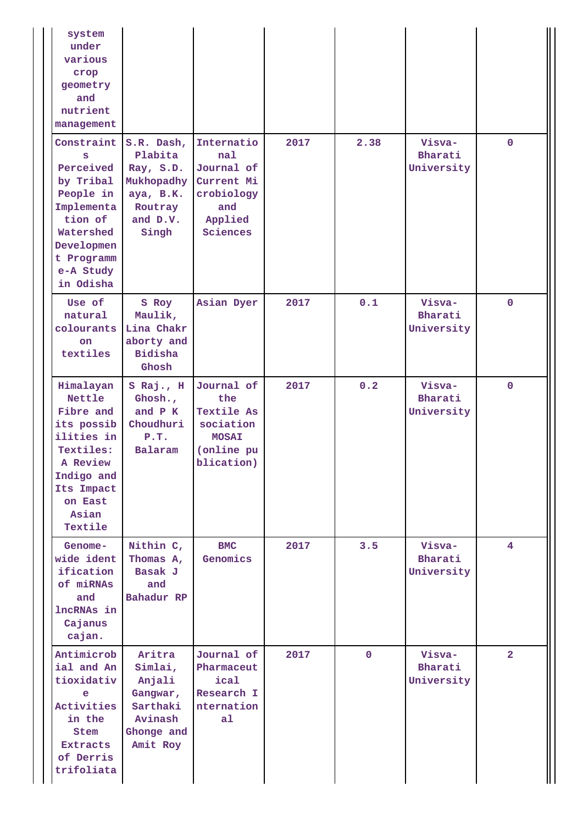| system<br>under<br>various<br>crop<br>geometry<br>and<br>nutrient<br>management                                                                         |                                                                                               |                                                                                                 |      |              |                                 |                |
|---------------------------------------------------------------------------------------------------------------------------------------------------------|-----------------------------------------------------------------------------------------------|-------------------------------------------------------------------------------------------------|------|--------------|---------------------------------|----------------|
| Constraint<br>s<br>Perceived<br>by Tribal<br>People in<br>Implementa<br>tion of<br>Watershed<br>Developmen<br>t Programm<br>e-A Study<br>in Odisha      | S.R. Dash,<br>Plabita<br>Ray, S.D.<br>Mukhopadhy<br>aya, B.K.<br>Routray<br>and D.V.<br>Singh | Internatio<br>nal<br>Journal of<br>Current Mi<br>crobiology<br>and<br>Applied<br>Sciences       | 2017 | 2.38         | Visva-<br>Bharati<br>University | $\mathbf{0}$   |
| Use of<br>natural<br>colourants<br>on.<br>textiles                                                                                                      | S Roy<br>Maulik,<br>Lina Chakr<br>aborty and<br><b>Bidisha</b><br>Ghosh                       | Asian Dyer                                                                                      | 2017 | 0.1          | Visva-<br>Bharati<br>University | $\mathbf{0}$   |
| Himalayan<br><b>Nettle</b><br>Fibre and<br>its possib<br>ilities in<br>Textiles:<br>A Review<br>Indigo and<br>Its Impact<br>on East<br>Asian<br>Textile | S Raj., H<br>Ghosh.,<br>and P K<br>Choudhuri<br>P.T.<br>Balaram                               | Journal of<br>the<br><b>Textile As</b><br>sociation<br><b>MOSAI</b><br>(online pu<br>blication) | 2017 | 0.2          | Visva-<br>Bharati<br>University | $\mathbf 0$    |
| Genome-<br>wide ident<br>ification<br>of miRNAs<br>and<br>lncRNAs in<br>Cajanus<br>cajan.                                                               | Nithin C,<br>Thomas A,<br>Basak J<br>and<br>Bahadur RP                                        | <b>BMC</b><br>Genomics                                                                          | 2017 | 3.5          | Visva-<br>Bharati<br>University | $\overline{4}$ |
| Antimicrob<br>ial and An<br>tioxidativ<br>e<br>Activities<br>in the<br>Stem<br><b>Extracts</b><br>of Derris<br>trifoliata                               | Aritra<br>Simlai,<br>Anjali<br>Gangwar,<br>Sarthaki<br>Avinash<br>Ghonge and<br>Amit Roy      | Journal of<br>Pharmaceut<br>ical<br>Research I<br>nternation<br>a1                              | 2017 | $\mathbf{0}$ | Visva-<br>Bharati<br>University | $\overline{a}$ |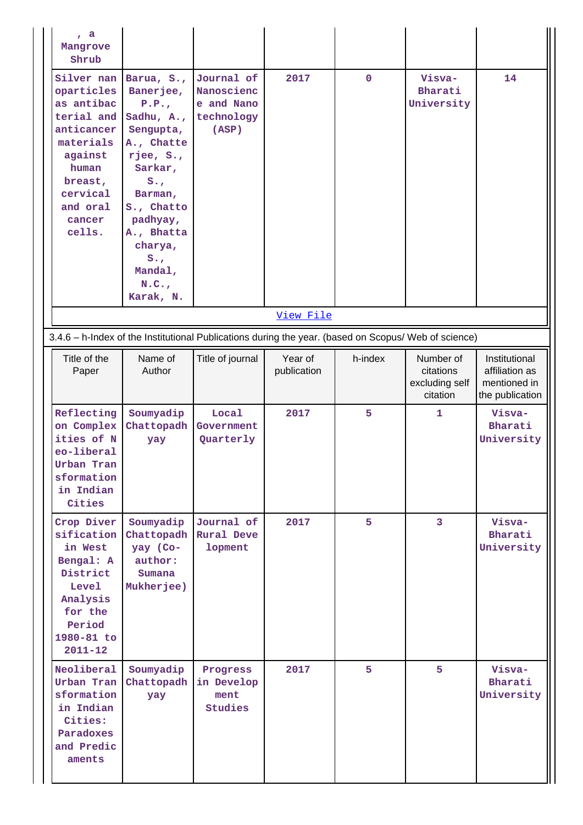| , a<br>Mangrove<br>Shrub                                                                                                                                   |                                                                                                                                                                                                                                    |                                                                                                      |                        |             |                                                      |                                                                    |
|------------------------------------------------------------------------------------------------------------------------------------------------------------|------------------------------------------------------------------------------------------------------------------------------------------------------------------------------------------------------------------------------------|------------------------------------------------------------------------------------------------------|------------------------|-------------|------------------------------------------------------|--------------------------------------------------------------------|
| Silver nan<br>oparticles<br>as antibac<br>terial and<br>anticancer<br>materials<br>against<br>human<br>breast,<br>cervical<br>and oral<br>cancer<br>cells. | Barua, S.,<br>Banerjee,<br>P.P.,<br>Sadhu, A.,<br>Sengupta,<br>A., Chatte<br>rjee, S.,<br>Sarkar,<br>$S_{\bullet}$<br>Barman,<br>S., Chatto<br>padhyay,<br>A., Bhatta<br>charya,<br>$S_{\bullet}$<br>Mandal,<br>N.C.,<br>Karak, N. | Journal of<br>Nanoscienc<br>e and Nano<br>technology<br>(ASP)                                        | 2017                   | $\mathbf 0$ | Visva-<br>Bharati<br>University                      | 14                                                                 |
|                                                                                                                                                            |                                                                                                                                                                                                                                    |                                                                                                      | View File              |             |                                                      |                                                                    |
|                                                                                                                                                            |                                                                                                                                                                                                                                    | 3.4.6 - h-Index of the Institutional Publications during the year. (based on Scopus/ Web of science) |                        |             |                                                      |                                                                    |
| Title of the<br>Paper                                                                                                                                      | Name of<br>Author                                                                                                                                                                                                                  | Title of journal                                                                                     | Year of<br>publication | h-index     | Number of<br>citations<br>excluding self<br>citation | Institutional<br>affiliation as<br>mentioned in<br>the publication |
| Reflecting<br>on Complex<br>ities of N<br>eo-liberal<br>Urban Tran<br>sformation<br>in Indian<br>Cities                                                    | Soumyadip<br>Chattopadh<br>yay                                                                                                                                                                                                     | Local<br>Government<br>Quarterly                                                                     | 2017                   | 5           | 1                                                    | Visva-<br>Bharati<br>University                                    |
| Crop Diver<br>sification<br>in West<br>Bengal: A<br>District<br>Level<br>Analysis                                                                          | Soumyadip<br>Chattopadh Rural Deve<br>yay (Co-<br>author:<br>Sumana<br>Mukherjee)                                                                                                                                                  | Journal of<br>lopment                                                                                | 2017                   | 5           | $\overline{3}$                                       | Visva-<br>Bharati<br>University                                    |
| for the<br>Period<br>1980-81 to<br>$2011 - 12$                                                                                                             |                                                                                                                                                                                                                                    |                                                                                                      |                        |             |                                                      |                                                                    |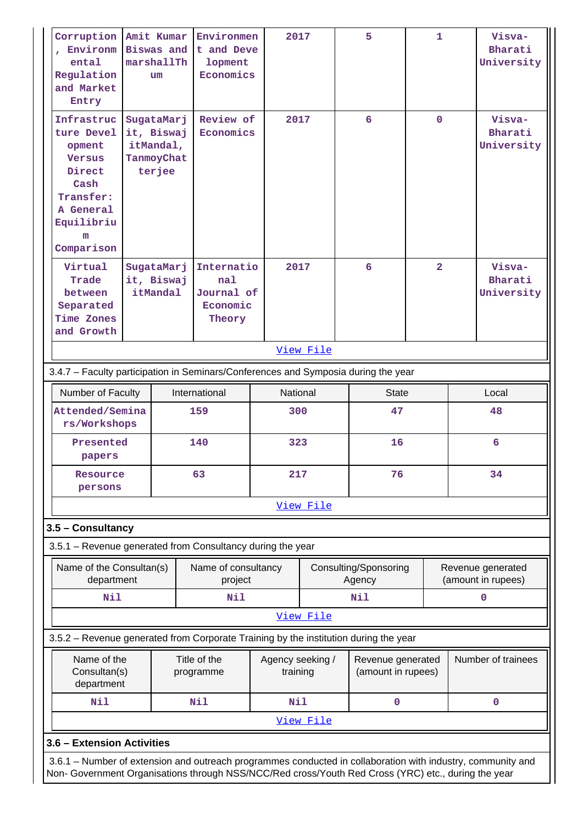| Corruption Amit Kumar<br>, Environm<br>ental<br>Regulation<br>and Market<br>Entry                                                | <b>Biswas</b> and<br>marshallTh<br>um                                                                                                                                                                              | Environmen<br>t and Deve<br>lopment<br>Economics      | 2017                         |           | 5                                       | $\mathbf{1}$   |                                         | Visva-<br>Bharati<br>University |
|----------------------------------------------------------------------------------------------------------------------------------|--------------------------------------------------------------------------------------------------------------------------------------------------------------------------------------------------------------------|-------------------------------------------------------|------------------------------|-----------|-----------------------------------------|----------------|-----------------------------------------|---------------------------------|
| Infrastruc<br>ture Devel<br>opment<br><b>Versus</b><br>Direct<br>Cash<br>Transfer:<br>A General<br>Equilibriu<br>m<br>Comparison | SugataMarj<br>it, Biswaj<br>itMandal,<br>TanmoyChat<br>terjee                                                                                                                                                      | Review of<br>Economics                                | 2017                         |           | 6                                       | $\mathbf{0}$   |                                         | Visva-<br>Bharati<br>University |
| Virtual<br>Trade<br>between<br>Separated<br>Time Zones<br>and Growth                                                             | SugataMarj<br>it, Biswaj<br>itMandal                                                                                                                                                                               | Internatio<br>nal<br>Journal of<br>Economic<br>Theory | 2017                         |           | 6                                       | $\overline{2}$ |                                         | Visva-<br>Bharati<br>University |
|                                                                                                                                  |                                                                                                                                                                                                                    |                                                       |                              | View File |                                         |                |                                         |                                 |
| 3.4.7 - Faculty participation in Seminars/Conferences and Symposia during the year                                               |                                                                                                                                                                                                                    |                                                       |                              |           |                                         |                |                                         |                                 |
| Number of Faculty                                                                                                                |                                                                                                                                                                                                                    | International                                         | National                     |           | <b>State</b>                            |                |                                         | Local                           |
| Attended/Semina<br>rs/Workshops                                                                                                  |                                                                                                                                                                                                                    | 159                                                   | 300                          |           | 47                                      |                |                                         | 48                              |
| Presented<br>papers                                                                                                              |                                                                                                                                                                                                                    | 140                                                   | 323                          |           | 16                                      |                |                                         | 6                               |
| Resource<br>persons                                                                                                              |                                                                                                                                                                                                                    | 63                                                    | 217                          |           | 76                                      |                | 34                                      |                                 |
|                                                                                                                                  |                                                                                                                                                                                                                    |                                                       |                              | View File |                                         |                |                                         |                                 |
| 3.5 - Consultancy                                                                                                                |                                                                                                                                                                                                                    |                                                       |                              |           |                                         |                |                                         |                                 |
| 3.5.1 - Revenue generated from Consultancy during the year                                                                       |                                                                                                                                                                                                                    |                                                       |                              |           |                                         |                |                                         |                                 |
| Name of the Consultan(s)<br>department                                                                                           |                                                                                                                                                                                                                    | Name of consultancy<br>project                        |                              |           | Consulting/Sponsoring<br>Agency         |                | Revenue generated<br>(amount in rupees) |                                 |
| Nil                                                                                                                              |                                                                                                                                                                                                                    | Nil                                                   |                              |           | Nil                                     |                |                                         | $\mathbf 0$                     |
|                                                                                                                                  |                                                                                                                                                                                                                    |                                                       |                              | View File |                                         |                |                                         |                                 |
| 3.5.2 – Revenue generated from Corporate Training by the institution during the year                                             |                                                                                                                                                                                                                    |                                                       |                              |           |                                         |                |                                         |                                 |
| Name of the<br>Consultan(s)<br>department                                                                                        |                                                                                                                                                                                                                    | Title of the<br>programme                             | Agency seeking /<br>training |           | Revenue generated<br>(amount in rupees) |                |                                         | Number of trainees              |
| Nil                                                                                                                              |                                                                                                                                                                                                                    | <b>Nil</b>                                            | Nil                          |           | 0                                       |                |                                         | 0                               |
|                                                                                                                                  |                                                                                                                                                                                                                    |                                                       |                              | View File |                                         |                |                                         |                                 |
| 3.6 - Extension Activities                                                                                                       |                                                                                                                                                                                                                    |                                                       |                              |           |                                         |                |                                         |                                 |
|                                                                                                                                  | 3.6.1 - Number of extension and outreach programmes conducted in collaboration with industry, community and<br>Non- Government Organisations through NSS/NCC/Red cross/Youth Red Cross (YRC) etc., during the year |                                                       |                              |           |                                         |                |                                         |                                 |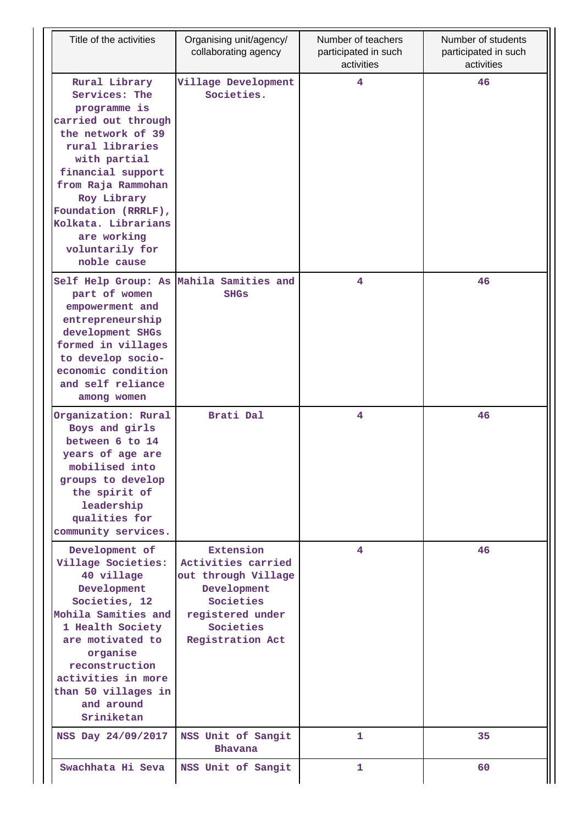| Title of the activities                                                                                                                                                                                                                                                                | Organising unit/agency/<br>collaborating agency                                                                                         | Number of teachers<br>participated in such<br>activities | Number of students<br>participated in such<br>activities |
|----------------------------------------------------------------------------------------------------------------------------------------------------------------------------------------------------------------------------------------------------------------------------------------|-----------------------------------------------------------------------------------------------------------------------------------------|----------------------------------------------------------|----------------------------------------------------------|
| Rural Library<br>Services: The<br>programme is<br>carried out through<br>the network of 39<br>rural libraries<br>with partial<br>financial support<br>from Raja Rammohan<br>Roy Library<br>Foundation (RRRLF),<br>Kolkata. Librarians<br>are working<br>voluntarily for<br>noble cause | Village Development<br>Societies.                                                                                                       | 4                                                        | 46                                                       |
| part of women<br>empowerment and<br>entrepreneurship<br>development SHGs<br>formed in villages<br>to develop socio-<br>economic condition<br>and self reliance<br>among women                                                                                                          | Self Help Group: As Mahila Samities and<br><b>SHGs</b>                                                                                  | 4                                                        | 46                                                       |
| Organization: Rural<br>Boys and girls<br>between 6 to 14<br>years of age are<br>mobilised into<br>groups to develop<br>the spirit of<br>leadership<br>qualities for<br>community services.                                                                                             | Brati Dal                                                                                                                               | 4                                                        | 46                                                       |
| Development of<br>Village Societies:<br>40 village<br>Development<br>Societies, 12<br>Mohila Samities and<br>1 Health Society<br>are motivated to<br>organise<br>reconstruction<br>activities in more<br>than 50 villages in<br>and around<br>Sriniketan                               | Extension<br>Activities carried<br>out through Village<br>Development<br>Societies<br>registered under<br>Societies<br>Registration Act | 4                                                        | 46                                                       |
| NSS Day 24/09/2017                                                                                                                                                                                                                                                                     | NSS Unit of Sangit<br>Bhavana                                                                                                           | 1                                                        | 35                                                       |
| Swachhata Hi Seva                                                                                                                                                                                                                                                                      | NSS Unit of Sangit                                                                                                                      | 1                                                        | 60                                                       |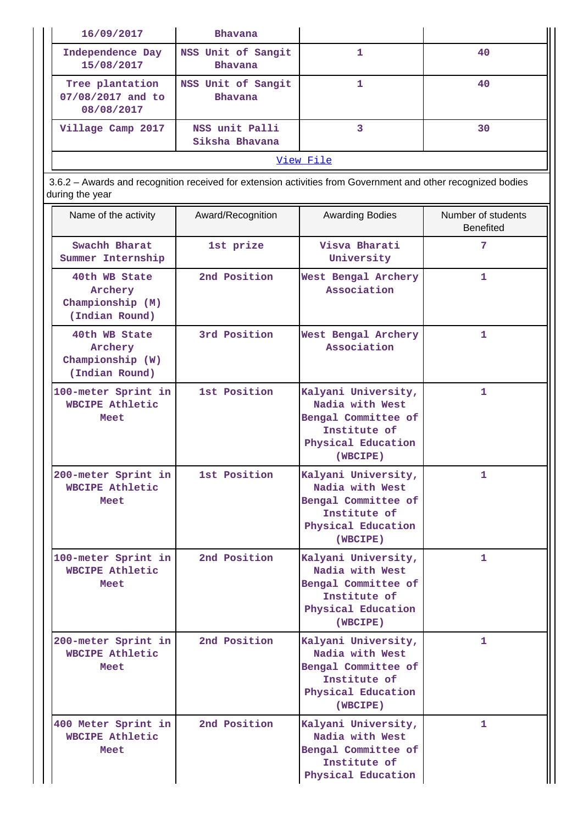| 16/09/2017                                                                                                                      | <b>Bhavana</b>                       |                                                                                                                 |                                        |
|---------------------------------------------------------------------------------------------------------------------------------|--------------------------------------|-----------------------------------------------------------------------------------------------------------------|----------------------------------------|
| Independence Day<br>15/08/2017                                                                                                  | NSS Unit of Sangit<br><b>Bhavana</b> | 1                                                                                                               | 40                                     |
| Tree plantation<br>07/08/2017 and to<br>08/08/2017                                                                              | NSS Unit of Sangit<br><b>Bhavana</b> | $\mathbf{1}$                                                                                                    | 40                                     |
| Village Camp 2017                                                                                                               | NSS unit Palli<br>Siksha Bhavana     | $\overline{3}$                                                                                                  | 30                                     |
|                                                                                                                                 |                                      | View File                                                                                                       |                                        |
| 3.6.2 - Awards and recognition received for extension activities from Government and other recognized bodies<br>during the year |                                      |                                                                                                                 |                                        |
| Name of the activity                                                                                                            | Award/Recognition                    | <b>Awarding Bodies</b>                                                                                          | Number of students<br><b>Benefited</b> |
| Swachh Bharat<br>Summer Internship                                                                                              | 1st prize                            | Visva Bharati<br>University                                                                                     | 7                                      |
| 40th WB State<br>Archery<br>Championship (M)<br>(Indian Round)                                                                  | 2nd Position                         | West Bengal Archery<br>Association                                                                              | 1.                                     |
| 40th WB State<br>Archery<br>Championship (W)<br>(Indian Round)                                                                  | 3rd Position                         | West Bengal Archery<br>Association                                                                              | 1.                                     |
| 100-meter Sprint in<br>WBCIPE Athletic<br>Meet                                                                                  | 1st Position                         | Kalyani University,<br>Nadia with West<br>Bengal Committee of<br>Institute of<br>Physical Education<br>(WBCIPE) | 1                                      |
| 200-meter Sprint in<br>WBCIPE Athletic<br><b>Meet</b>                                                                           | 1st Position                         | Kalyani University,<br>Nadia with West<br>Bengal Committee of<br>Institute of<br>Physical Education<br>(WBCIPE) | 1                                      |
| 100-meter Sprint in<br>WBCIPE Athletic<br>Meet                                                                                  | 2nd Position                         | Kalyani University,<br>Nadia with West<br>Bengal Committee of<br>Institute of<br>Physical Education<br>(WBCIPE) | 1.                                     |
| 200-meter Sprint in<br><b>WBCIPE Athletic</b><br>Meet                                                                           | 2nd Position                         | Kalyani University,<br>Nadia with West<br>Bengal Committee of<br>Institute of<br>Physical Education<br>(WBCIPE) | 1.                                     |
| 400 Meter Sprint in<br><b>WBCIPE Athletic</b><br>Meet                                                                           | 2nd Position                         | Kalyani University,<br>Nadia with West<br>Bengal Committee of<br>Institute of<br>Physical Education             | 1                                      |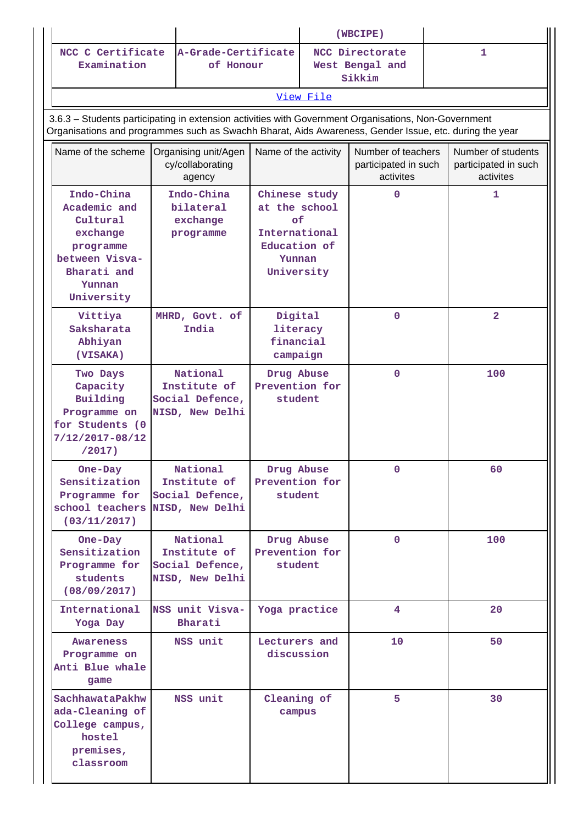|                                                                                                                                                                                                                |                                                                |                                                                                               |           | (WBCIPE)                                                |                                                         |
|----------------------------------------------------------------------------------------------------------------------------------------------------------------------------------------------------------------|----------------------------------------------------------------|-----------------------------------------------------------------------------------------------|-----------|---------------------------------------------------------|---------------------------------------------------------|
| NCC C Certificate<br>Examination                                                                                                                                                                               | A-Grade-Certificate<br>of Honour                               |                                                                                               |           | NCC Directorate<br>West Bengal and<br>Sikkim            | $\mathbf{1}$                                            |
|                                                                                                                                                                                                                |                                                                |                                                                                               | View File |                                                         |                                                         |
| 3.6.3 - Students participating in extension activities with Government Organisations, Non-Government<br>Organisations and programmes such as Swachh Bharat, Aids Awareness, Gender Issue, etc. during the year |                                                                |                                                                                               |           |                                                         |                                                         |
| Name of the scheme                                                                                                                                                                                             | Organising unit/Agen<br>cy/collaborating<br>agency             | Name of the activity                                                                          |           | Number of teachers<br>participated in such<br>activites | Number of students<br>participated in such<br>activites |
| Indo-China<br>Academic and<br>Cultural<br>exchange<br>programme<br>between Visva-<br>Bharati and<br>Yunnan<br>University                                                                                       | Indo-China<br>bilateral<br>exchange<br>programme               | Chinese study<br>at the school<br>оf<br>International<br>Education of<br>Yunnan<br>University |           | $\mathbf 0$                                             | 1                                                       |
| Vittiya<br>Saksharata<br>Abhiyan<br>(VISAKA)                                                                                                                                                                   | MHRD, Govt. of<br>India                                        | Digital<br>literacy<br>financial<br>campaign                                                  |           | $\mathbf 0$                                             | $\overline{\mathbf{2}}$                                 |
| Two Days<br>Capacity<br>Building<br>Programme on<br>for Students (0<br>$7/12/2017 - 08/12$<br>/2017)                                                                                                           | National<br>Institute of<br>Social Defence,<br>NISD, New Delhi | Drug Abuse<br>Prevention for<br>student                                                       |           | $\mathbf 0$                                             | 100                                                     |
| One-Day<br>Sensitization<br>Programme for<br>school teachers NISD, New Delhi<br>(03/11/2017)                                                                                                                   | National<br>Institute of<br>Social Defence,                    | Drug Abuse<br>Prevention for<br>student                                                       |           | $\mathbf 0$                                             | 60                                                      |
| One-Day<br>Sensitization<br>Programme for<br>students<br>(08/09/2017)                                                                                                                                          | National<br>Institute of<br>Social Defence,<br>NISD, New Delhi | Drug Abuse<br>Prevention for<br>student                                                       |           | $\mathbf 0$                                             | 100                                                     |
| International<br>Yoga Day                                                                                                                                                                                      | NSS unit Visva-<br>Bharati                                     | Yoga practice                                                                                 |           | 4                                                       | 20                                                      |
| Awareness<br>Programme on<br>Anti Blue whale<br>game                                                                                                                                                           | NSS unit                                                       | Lecturers and<br>discussion                                                                   |           | 10                                                      | 50                                                      |
| SachhawataPakhw<br>ada-Cleaning of<br>College campus,<br>hostel<br>premises,<br>classroom                                                                                                                      | NSS unit                                                       | Cleaning of<br>campus                                                                         |           | 5                                                       | 30                                                      |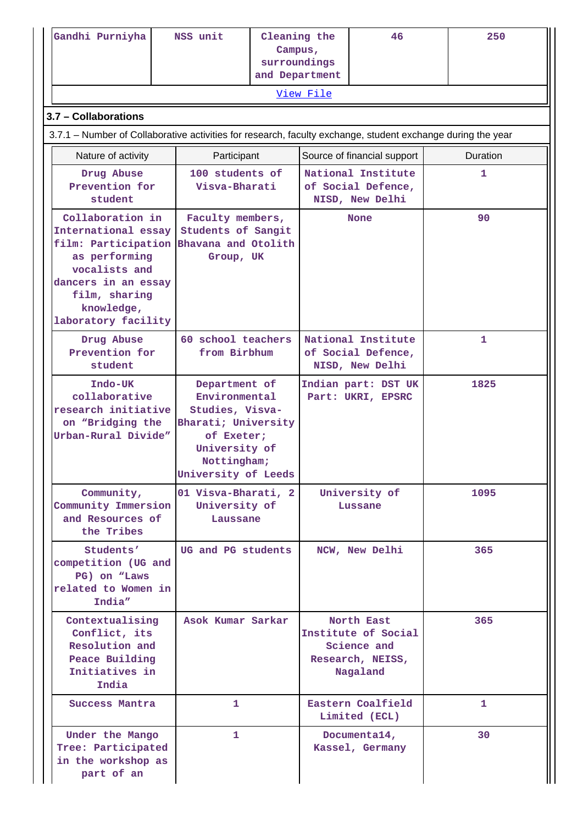| Gandhi Purniyha                                                                                                                                                               | NSS unit                                                                                                                                      | Cleaning the<br>Campus,<br>surroundings<br>and Department |                  | 46                                                                               | 250      |
|-------------------------------------------------------------------------------------------------------------------------------------------------------------------------------|-----------------------------------------------------------------------------------------------------------------------------------------------|-----------------------------------------------------------|------------------|----------------------------------------------------------------------------------|----------|
|                                                                                                                                                                               |                                                                                                                                               |                                                           | <u>View File</u> |                                                                                  |          |
| 3.7 - Collaborations                                                                                                                                                          |                                                                                                                                               |                                                           |                  |                                                                                  |          |
| 3.7.1 – Number of Collaborative activities for research, faculty exchange, student exchange during the year                                                                   |                                                                                                                                               |                                                           |                  |                                                                                  |          |
| Nature of activity                                                                                                                                                            | Participant                                                                                                                                   |                                                           |                  | Source of financial support                                                      | Duration |
| Drug Abuse<br>Prevention for<br>student                                                                                                                                       | 100 students of<br>Visva-Bharati                                                                                                              |                                                           |                  | National Institute<br>of Social Defence,<br>NISD, New Delhi                      | 1        |
| Collaboration in<br>International essay<br>film: Participation<br>as performing<br>vocalists and<br>dancers in an essay<br>film, sharing<br>knowledge,<br>laboratory facility | Faculty members,<br>Students of Sangit<br>Bhavana and Otolith<br>Group, UK                                                                    |                                                           |                  | <b>None</b>                                                                      | 90       |
| Drug Abuse<br>Prevention for<br>student                                                                                                                                       | 60 school teachers<br>from Birbhum                                                                                                            |                                                           |                  | National Institute<br>of Social Defence,<br>NISD, New Delhi                      | 1.       |
| Indo-UK<br>collaborative<br>research initiative<br>on "Bridging the<br>Urban-Rural Divide"                                                                                    | Department of<br>Environmental<br>Studies, Visva-<br>Bharati; University<br>of Exeter;<br>University of<br>Nottingham;<br>University of Leeds |                                                           |                  | Indian part: DST UK<br>Part: UKRI, EPSRC                                         | 1825     |
| Community,<br>Community Immersion<br>and Resources of<br>the Tribes                                                                                                           | 01 Visva-Bharati, 2<br>University of<br>Laussane                                                                                              |                                                           |                  | University of<br>Lussane                                                         | 1095     |
| Students'<br>competition (UG and<br>PG) on "Laws<br>related to Women in<br>India"                                                                                             | UG and PG students                                                                                                                            |                                                           |                  | NCW, New Delhi                                                                   | 365      |
| Contextualising<br>Conflict, its<br>Resolution and<br>Peace Building<br>Initiatives in<br>India                                                                               | Asok Kumar Sarkar                                                                                                                             |                                                           |                  | North East<br>Institute of Social<br>Science and<br>Research, NEISS,<br>Nagaland | 365      |
| Success Mantra                                                                                                                                                                | 1                                                                                                                                             |                                                           |                  | Eastern Coalfield<br>Limited (ECL)                                               | 1.       |
| Under the Mango<br>Tree: Participated<br>in the workshop as<br>part of an                                                                                                     | 1                                                                                                                                             |                                                           |                  | Documenta14,<br>Kassel, Germany                                                  | 30       |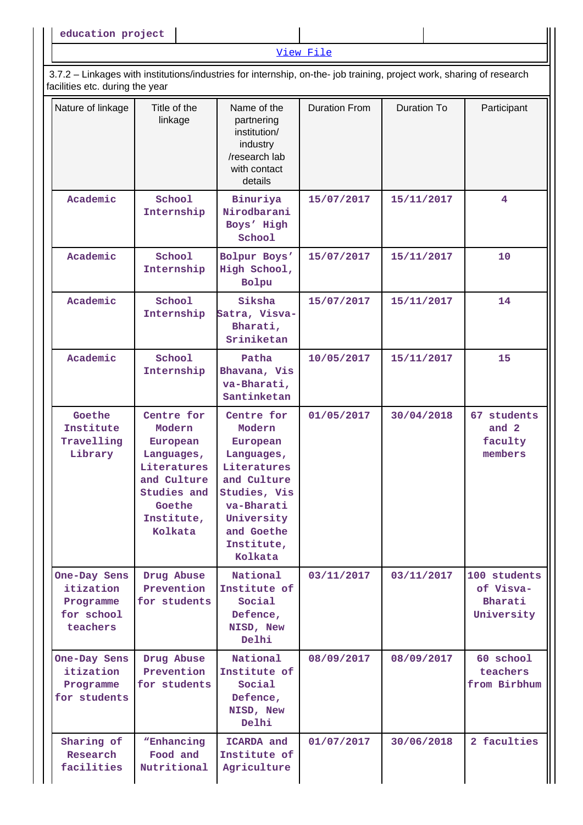|                                                                                                                                                          |                                                                                                                                |                                                                                                                                                                 | View File            |                    |                                                    |
|----------------------------------------------------------------------------------------------------------------------------------------------------------|--------------------------------------------------------------------------------------------------------------------------------|-----------------------------------------------------------------------------------------------------------------------------------------------------------------|----------------------|--------------------|----------------------------------------------------|
| 3.7.2 - Linkages with institutions/industries for internship, on-the- job training, project work, sharing of research<br>facilities etc. during the year |                                                                                                                                |                                                                                                                                                                 |                      |                    |                                                    |
| Nature of linkage                                                                                                                                        | Title of the<br>linkage                                                                                                        | Name of the<br>partnering<br>institution/<br>industry<br>/research lab<br>with contact<br>details                                                               | <b>Duration From</b> | <b>Duration To</b> | Participant                                        |
| Academic                                                                                                                                                 | School<br>Internship                                                                                                           | Binuriya<br>Nirodbarani<br>Boys' High<br>School                                                                                                                 | 15/07/2017           | 15/11/2017         | 4                                                  |
| Academic                                                                                                                                                 | School<br>Internship                                                                                                           | Bolpur Boys'<br>High School,<br>Bolpu                                                                                                                           | 15/07/2017           | 15/11/2017         | 10                                                 |
| Academic                                                                                                                                                 | School<br>Internship                                                                                                           | Siksha<br>Satra, Visva-<br>Bharati,<br>Sriniketan                                                                                                               | 15/07/2017           | 15/11/2017         | 14                                                 |
| Academic                                                                                                                                                 | School<br>Internship                                                                                                           | Patha<br>Bhavana, Vis<br>va-Bharati,<br>Santinketan                                                                                                             | 10/05/2017           | 15/11/2017         | 15                                                 |
| Goethe<br>Institute<br>Travelling<br>Library                                                                                                             | Centre for<br>Modern<br>European<br>Languages,<br>Literatures<br>and Culture<br>Studies and<br>Goethe<br>Institute,<br>Kolkata | Centre for<br>Modern<br>European<br>Languages,<br>Literatures<br>and Culture<br>Studies, Vis<br>va-Bharati<br>University<br>and Goethe<br>Institute,<br>Kolkata | 01/05/2017           | 30/04/2018         | 67 students<br>and 2<br>faculty<br>members         |
| One-Day Sens<br>itization<br>Programme<br>for school<br>teachers                                                                                         | Drug Abuse<br>Prevention<br>for students                                                                                       | National<br>Institute of<br>Social<br>Defence,<br>NISD, New<br>Delhi                                                                                            | 03/11/2017           | 03/11/2017         | 100 students<br>of Visva-<br>Bharati<br>University |
| One-Day Sens<br>itization<br>Programme<br>for students                                                                                                   | Drug Abuse<br>Prevention<br>for students                                                                                       | National<br>Institute of<br>Social<br>Defence,<br>NISD, New<br>Delhi                                                                                            | 08/09/2017           | 08/09/2017         | 60 school<br>teachers<br>from Birbhum              |
| Sharing of<br>Research<br>facilities                                                                                                                     | "Enhancing<br>Food and<br>Nutritional                                                                                          | ICARDA and<br>Institute of<br>Agriculture                                                                                                                       | 01/07/2017           | 30/06/2018         | 2 faculties                                        |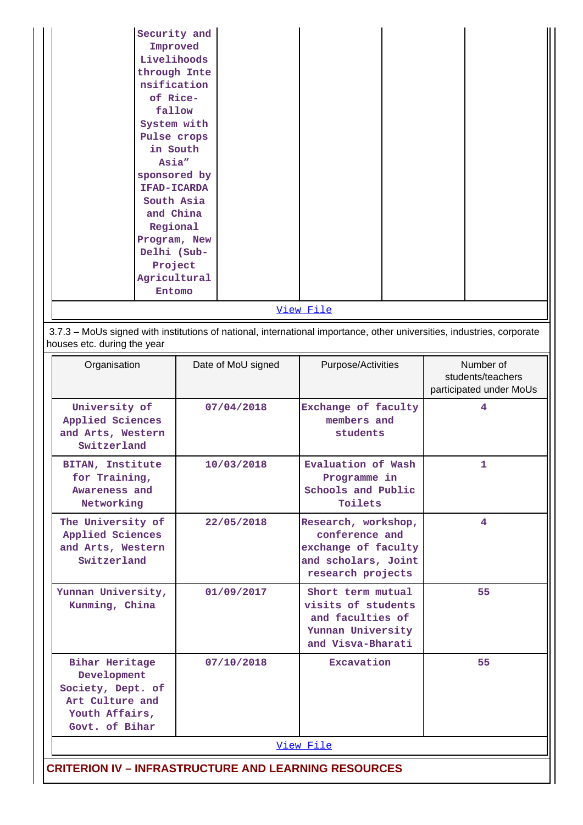| Security and |  |
|--------------|--|
| Improved     |  |
| Livelihoods  |  |
| through Inte |  |
| nsification  |  |
| of Rice-     |  |
| fallow       |  |
| System with  |  |
| Pulse crops  |  |
| in South     |  |
| Asia"        |  |
| sponsored by |  |
| IFAD-ICARDA  |  |
| South Asia   |  |
| and China    |  |
| Regional     |  |
| Program, New |  |
| Delhi (Sub-  |  |
| Project      |  |
| Agricultural |  |
| Entomo       |  |
| View File    |  |

 3.7.3 – MoUs signed with institutions of national, international importance, other universities, industries, corporate houses etc. during the year

| Organisation                                                                                                     | Date of MoU signed | Purpose/Activities                                                                                       | Number of<br>students/teachers<br>participated under MoUs |
|------------------------------------------------------------------------------------------------------------------|--------------------|----------------------------------------------------------------------------------------------------------|-----------------------------------------------------------|
| University of<br>Applied Sciences<br>and Arts, Western<br>Switzerland                                            | 07/04/2018         | Exchange of faculty<br>members and<br>students                                                           | 4                                                         |
| BITAN, Institute<br>for Training,<br>Awareness and<br>Networking                                                 | 10/03/2018         | Evaluation of Wash<br>Programme in<br>Schools and Public<br>Toilets                                      | $\mathbf{1}$                                              |
| The University of<br>Applied Sciences<br>and Arts, Western<br>Switzerland                                        | 22/05/2018         | Research, workshop,<br>conference and<br>exchange of faculty<br>and scholars, Joint<br>research projects | 4                                                         |
| Yunnan University,<br>Kunming, China                                                                             | 01/09/2017         | Short term mutual<br>visits of students<br>and faculties of<br>Yunnan University<br>and Visva-Bharati    | 55                                                        |
| <b>Bihar Heritage</b><br>Development<br>Society, Dept. of<br>Art Culture and<br>Youth Affairs,<br>Govt. of Bihar | 07/10/2018         | Excavation                                                                                               | 55                                                        |
|                                                                                                                  |                    | View File                                                                                                |                                                           |
| <b>CRITERION IV - INFRASTRUCTURE AND LEARNING RESOURCES</b>                                                      |                    |                                                                                                          |                                                           |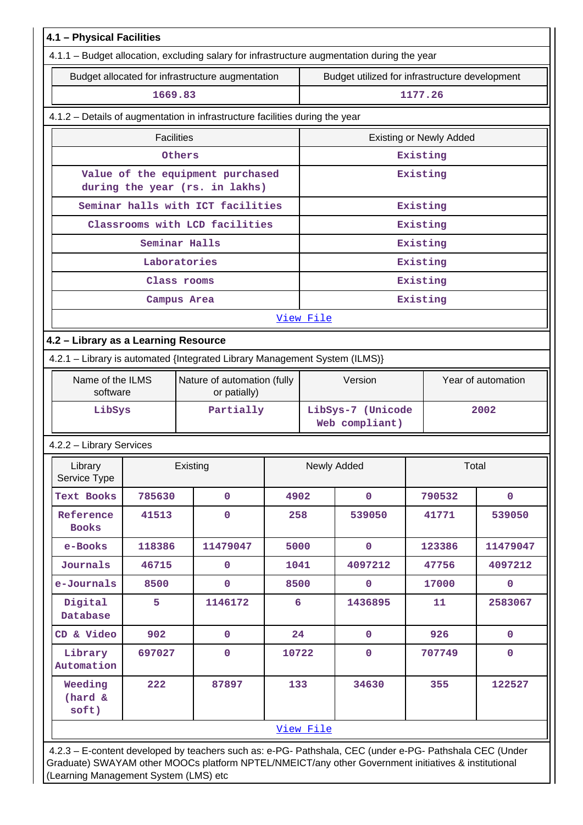|                                      |                   | 4.1.1 - Budget allocation, excluding salary for infrastructure augmentation during the year |       |                                                |                                     |                                |                    |  |  |
|--------------------------------------|-------------------|---------------------------------------------------------------------------------------------|-------|------------------------------------------------|-------------------------------------|--------------------------------|--------------------|--|--|
|                                      |                   | Budget allocated for infrastructure augmentation                                            |       | Budget utilized for infrastructure development |                                     |                                |                    |  |  |
|                                      | 1669.83           |                                                                                             |       |                                                |                                     | 1177.26                        |                    |  |  |
|                                      |                   | 4.1.2 - Details of augmentation in infrastructure facilities during the year                |       |                                                |                                     |                                |                    |  |  |
|                                      | <b>Facilities</b> |                                                                                             |       |                                                |                                     | <b>Existing or Newly Added</b> |                    |  |  |
|                                      |                   | Others                                                                                      |       |                                                |                                     | Existing                       |                    |  |  |
|                                      |                   | Value of the equipment purchased<br>during the year (rs. in lakhs)                          |       |                                                |                                     | Existing                       |                    |  |  |
|                                      |                   | Seminar halls with ICT facilities                                                           |       |                                                |                                     | Existing                       |                    |  |  |
|                                      |                   | Classrooms with LCD facilities                                                              |       |                                                |                                     | Existing                       |                    |  |  |
|                                      |                   | Seminar Halls                                                                               |       |                                                |                                     | Existing                       |                    |  |  |
| Laboratories                         |                   |                                                                                             |       |                                                |                                     | Existing                       |                    |  |  |
| Class rooms                          |                   |                                                                                             |       |                                                |                                     | Existing                       |                    |  |  |
|                                      |                   | Campus Area                                                                                 |       |                                                |                                     | Existing                       |                    |  |  |
|                                      |                   |                                                                                             |       | View File                                      |                                     |                                |                    |  |  |
| 4.2 - Library as a Learning Resource |                   |                                                                                             |       |                                                |                                     |                                |                    |  |  |
|                                      |                   | 4.2.1 - Library is automated {Integrated Library Management System (ILMS)}                  |       |                                                |                                     |                                |                    |  |  |
| Name of the ILMS<br>software         |                   | Nature of automation (fully<br>or patially)                                                 |       | Version                                        |                                     |                                | Year of automation |  |  |
| LibSys                               |                   | Partially                                                                                   |       |                                                | LibSys-7 (Unicode<br>Web compliant) |                                | 2002               |  |  |
| 4.2.2 - Library Services             |                   |                                                                                             |       |                                                |                                     |                                |                    |  |  |
| Library<br>Service Type              |                   | Existing                                                                                    |       |                                                | Newly Added                         |                                | Total              |  |  |
| Text Books                           | 785630            | $\mathbf 0$                                                                                 | 4902  |                                                | $\mathbf 0$                         | 790532                         | $\mathbf{0}$       |  |  |
| Reference<br><b>Books</b>            | 41513             | 0                                                                                           | 258   |                                                | 539050                              | 41771                          | 539050             |  |  |
| e-Books                              | 118386            | 11479047                                                                                    | 5000  |                                                | $\mathbf{0}$                        | 123386                         | 11479047           |  |  |
| Journals                             | 46715             | 0                                                                                           | 1041  |                                                | 4097212                             | 47756                          | 4097212            |  |  |
| e-Journals                           | 8500              | $\mathbf 0$                                                                                 | 8500  |                                                | $\mathbf 0$                         | 17000                          | $\mathbf 0$        |  |  |
| Digital<br>Database                  | 5                 | 1146172                                                                                     | 6     |                                                | 1436895                             | 11                             | 2583067            |  |  |
| CD & Video                           | 902               | $\mathbf 0$                                                                                 | 24    |                                                | $\mathbf{0}$                        | 926                            | $\mathbf 0$        |  |  |
| Library<br>Automation                | 697027            | 0                                                                                           | 10722 |                                                | $\mathbf 0$                         | 707749                         | $\mathbf 0$        |  |  |
| Weeding<br>(hard &<br>soft)          | 222               | 87897                                                                                       | 133   |                                                | 34630                               | 355                            | 122527             |  |  |
|                                      |                   |                                                                                             |       | View File                                      |                                     |                                |                    |  |  |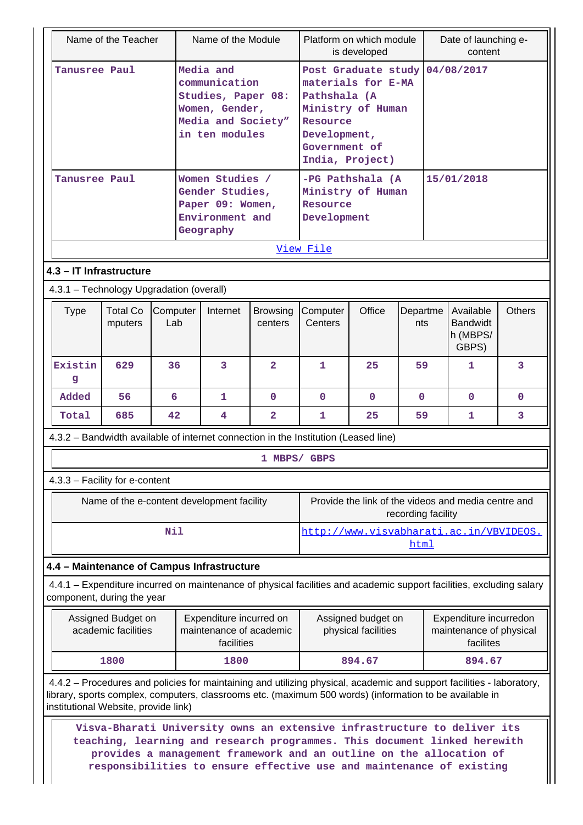|                                                                                                                                                                                                                                                                          | Name of the Teacher                       |                 | Name of the Module                                                                                         |                            |                                                                                | Platform on which module<br>is developed                     |                    | Date of launching e-<br>content                                                                                                                                                                                                                                                                      |               |
|--------------------------------------------------------------------------------------------------------------------------------------------------------------------------------------------------------------------------------------------------------------------------|-------------------------------------------|-----------------|------------------------------------------------------------------------------------------------------------|----------------------------|--------------------------------------------------------------------------------|--------------------------------------------------------------|--------------------|------------------------------------------------------------------------------------------------------------------------------------------------------------------------------------------------------------------------------------------------------------------------------------------------------|---------------|
| Tanusree Paul                                                                                                                                                                                                                                                            |                                           |                 | Media and<br>communication<br>Studies, Paper 08:<br>Women, Gender,<br>Media and Society"<br>in ten modules |                            | Pathshala (A<br>Ministry of Human<br>Resource<br>Development,<br>Government of | Post Graduate study<br>materials for E-MA<br>India, Project) |                    | 04/08/2017                                                                                                                                                                                                                                                                                           |               |
| Tanusree Paul                                                                                                                                                                                                                                                            |                                           |                 | Women Studies /<br>Gender Studies,<br>Paper 09: Women,<br>Environment and<br>Geography                     |                            | Resource<br>Development                                                        | -PG Pathshala (A<br>Ministry of Human                        |                    | 15/01/2018                                                                                                                                                                                                                                                                                           |               |
|                                                                                                                                                                                                                                                                          |                                           |                 |                                                                                                            |                            | View File                                                                      |                                                              |                    |                                                                                                                                                                                                                                                                                                      |               |
| 4.3 - IT Infrastructure                                                                                                                                                                                                                                                  |                                           |                 |                                                                                                            |                            |                                                                                |                                                              |                    |                                                                                                                                                                                                                                                                                                      |               |
| 4.3.1 - Technology Upgradation (overall)                                                                                                                                                                                                                                 |                                           |                 |                                                                                                            |                            |                                                                                |                                                              |                    |                                                                                                                                                                                                                                                                                                      |               |
| <b>Type</b>                                                                                                                                                                                                                                                              | <b>Total Co</b><br>mputers                | Computer<br>Lab | Internet                                                                                                   | <b>Browsing</b><br>centers | Computer<br>Centers                                                            | Office                                                       | Departme<br>nts    | Available<br><b>Bandwidt</b><br>h (MBPS/<br>GBPS)                                                                                                                                                                                                                                                    | <b>Others</b> |
| Existin<br>g                                                                                                                                                                                                                                                             | 629                                       | 36              | 3                                                                                                          | $\overline{2}$             | $\mathbf{1}$                                                                   | 25                                                           | 59                 | 1                                                                                                                                                                                                                                                                                                    | 3             |
| Added                                                                                                                                                                                                                                                                    | 56                                        | 6               | 1                                                                                                          | $\mathbf{0}$               | $\Omega$                                                                       | $\Omega$                                                     | $\Omega$           | $\Omega$                                                                                                                                                                                                                                                                                             | 0             |
| Total                                                                                                                                                                                                                                                                    | 685                                       | 42              | 4                                                                                                          | $\overline{2}$             | 1                                                                              | 25                                                           | 59                 | 1                                                                                                                                                                                                                                                                                                    | 3             |
| 4.3.2 - Bandwidth available of internet connection in the Institution (Leased line)                                                                                                                                                                                      |                                           |                 |                                                                                                            |                            |                                                                                |                                                              |                    |                                                                                                                                                                                                                                                                                                      |               |
|                                                                                                                                                                                                                                                                          |                                           |                 |                                                                                                            | 1 MBPS/ GBPS               |                                                                                |                                                              |                    |                                                                                                                                                                                                                                                                                                      |               |
| 4.3.3 - Facility for e-content                                                                                                                                                                                                                                           |                                           |                 |                                                                                                            |                            |                                                                                |                                                              |                    |                                                                                                                                                                                                                                                                                                      |               |
|                                                                                                                                                                                                                                                                          |                                           |                 | Name of the e-content development facility                                                                 |                            |                                                                                |                                                              | recording facility | Provide the link of the videos and media centre and                                                                                                                                                                                                                                                  |               |
|                                                                                                                                                                                                                                                                          |                                           | Nil             |                                                                                                            |                            |                                                                                |                                                              |                    | http://www.visvabharati.ac.in/VBVIDEOS.                                                                                                                                                                                                                                                              |               |
|                                                                                                                                                                                                                                                                          |                                           |                 |                                                                                                            |                            |                                                                                |                                                              | html               |                                                                                                                                                                                                                                                                                                      |               |
| 4.4 - Maintenance of Campus Infrastructure                                                                                                                                                                                                                               |                                           |                 |                                                                                                            |                            |                                                                                |                                                              |                    |                                                                                                                                                                                                                                                                                                      |               |
| component, during the year                                                                                                                                                                                                                                               |                                           |                 |                                                                                                            |                            |                                                                                |                                                              |                    | 4.4.1 – Expenditure incurred on maintenance of physical facilities and academic support facilities, excluding salary                                                                                                                                                                                 |               |
|                                                                                                                                                                                                                                                                          | Assigned Budget on<br>academic facilities |                 | Expenditure incurred on<br>maintenance of academic<br>facilities                                           |                            |                                                                                | Assigned budget on<br>physical facilities                    |                    | Expenditure incurredon<br>maintenance of physical<br>facilites                                                                                                                                                                                                                                       |               |
|                                                                                                                                                                                                                                                                          | 1800                                      |                 | 1800                                                                                                       |                            |                                                                                | 894.67                                                       |                    | 894.67                                                                                                                                                                                                                                                                                               |               |
| 4.4.2 – Procedures and policies for maintaining and utilizing physical, academic and support facilities - laboratory,<br>library, sports complex, computers, classrooms etc. (maximum 500 words) (information to be available in<br>institutional Website, provide link) |                                           |                 |                                                                                                            |                            |                                                                                |                                                              |                    |                                                                                                                                                                                                                                                                                                      |               |
|                                                                                                                                                                                                                                                                          |                                           |                 |                                                                                                            |                            |                                                                                |                                                              |                    | Visva-Bharati University owns an extensive infrastructure to deliver its<br>teaching, learning and research programmes. This document linked herewith<br>provides a management framework and an outline on the allocation of<br>responsibilities to ensure effective use and maintenance of existing |               |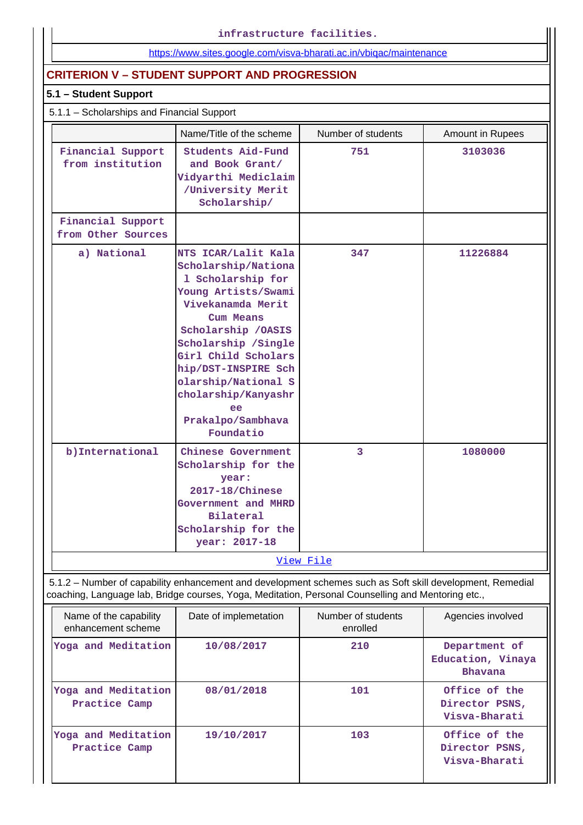**infrastructure facilities.**

# <https://www.sites.google.com/visva-bharati.ac.in/vbiqac/maintenance>

# **CRITERION V – STUDENT SUPPORT AND PROGRESSION**

## **5.1 – Student Support**

# 5.1.1 – Scholarships and Financial Support

|                                         | Name/Title of the scheme                                                                                                                                                                                                                                                                                    | Number of students | Amount in Rupees |
|-----------------------------------------|-------------------------------------------------------------------------------------------------------------------------------------------------------------------------------------------------------------------------------------------------------------------------------------------------------------|--------------------|------------------|
| Financial Support<br>from institution   | <b>Students Aid-Fund</b><br>and Book Grant/<br>Vidyarthi Mediclaim<br>/University Merit<br>Scholarship/                                                                                                                                                                                                     | 751                | 3103036          |
| Financial Support<br>from Other Sources |                                                                                                                                                                                                                                                                                                             |                    |                  |
| a) National                             | NTS ICAR/Lalit Kala<br>Scholarship/Nationa<br>1 Scholarship for<br>Young Artists/Swami<br>Vivekanamda Merit<br>Cum Means<br>Scholarship / OASIS<br>Scholarship / Single<br>Girl Child Scholars<br>hip/DST-INSPIRE Sch<br>olarship/National S<br>cholarship/Kanyashr<br>ee<br>Prakalpo/Sambhava<br>Foundatio | 347                | 11226884         |
| b) International                        | Chinese Government<br>Scholarship for the<br>year:<br>2017-18/Chinese<br>Government and MHRD<br><b>Bilateral</b><br>Scholarship for the<br>year: 2017-18                                                                                                                                                    | 3                  | 1080000          |
|                                         |                                                                                                                                                                                                                                                                                                             | View File          |                  |

coaching, Language lab, Bridge courses, Yoga, Meditation, Personal Counselling and Mentoring etc.,

| Name of the capability<br>enhancement scheme | Date of implemetation | Number of students<br>enrolled | Agencies involved                                    |
|----------------------------------------------|-----------------------|--------------------------------|------------------------------------------------------|
| Yoga and Meditation                          | 10/08/2017            | 210                            | Department of<br>Education, Vinaya<br><b>Bhavana</b> |
| Yoga and Meditation<br>Practice Camp         | 08/01/2018            | 101                            | Office of the<br>Director PSNS,<br>Visva-Bharati     |
| Yoga and Meditation<br>Practice Camp         | 19/10/2017            | 103                            | Office of the<br>Director PSNS,<br>Visva-Bharati     |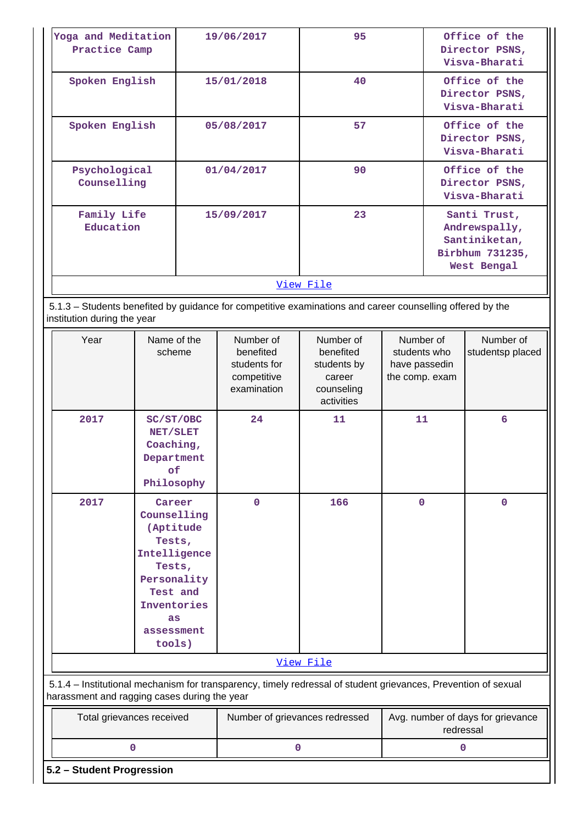| Yoga and Meditation<br>Practice Camp                                                                                                                           |                                                                                                                                   |           | 19/06/2017                                                           | 95                                                                          |                                                              |                                                  | Office of the<br>Director PSNS,<br>Visva-Bharati                                 |  |
|----------------------------------------------------------------------------------------------------------------------------------------------------------------|-----------------------------------------------------------------------------------------------------------------------------------|-----------|----------------------------------------------------------------------|-----------------------------------------------------------------------------|--------------------------------------------------------------|--------------------------------------------------|----------------------------------------------------------------------------------|--|
| Spoken English                                                                                                                                                 |                                                                                                                                   |           | 15/01/2018                                                           | 40                                                                          |                                                              | Office of the<br>Director PSNS,<br>Visva-Bharati |                                                                                  |  |
| Spoken English                                                                                                                                                 |                                                                                                                                   |           | 05/08/2017                                                           | 57                                                                          |                                                              |                                                  | Office of the<br>Director PSNS,<br>Visva-Bharati                                 |  |
| Psychological<br>Counselling                                                                                                                                   |                                                                                                                                   |           | 01/04/2017                                                           | 90                                                                          |                                                              |                                                  | Office of the<br>Director PSNS,<br>Visva-Bharati                                 |  |
| Family Life<br>Education                                                                                                                                       |                                                                                                                                   |           | 15/09/2017                                                           | 23                                                                          |                                                              |                                                  | Santi Trust,<br>Andrewspally,<br>Santiniketan,<br>Birbhum 731235,<br>West Bengal |  |
|                                                                                                                                                                |                                                                                                                                   |           |                                                                      | View File                                                                   |                                                              |                                                  |                                                                                  |  |
| 5.1.3 - Students benefited by guidance for competitive examinations and career counselling offered by the<br>institution during the year                       |                                                                                                                                   |           |                                                                      |                                                                             |                                                              |                                                  |                                                                                  |  |
| Year                                                                                                                                                           | Name of the<br>scheme                                                                                                             |           | Number of<br>benefited<br>students for<br>competitive<br>examination | Number of<br>benefited<br>students by<br>career<br>counseling<br>activities | Number of<br>students who<br>have passedin<br>the comp. exam |                                                  | Number of<br>studentsp placed                                                    |  |
| 2017                                                                                                                                                           | SC/ST/OBC<br>NET/SLET<br>Coaching,<br>Department<br>оf<br>Philosophy                                                              |           | 24                                                                   | 11                                                                          | 11                                                           |                                                  | 6                                                                                |  |
| 2017                                                                                                                                                           | Career<br>Counselling<br>Tests,<br>Intelligence<br>Tests,<br>Personality<br>Test and<br>Inventories<br>as<br>assessment<br>tools) | (Aptitude | $\mathbf 0$                                                          | 166                                                                         | $\mathbf 0$                                                  |                                                  | $\mathbf 0$                                                                      |  |
|                                                                                                                                                                |                                                                                                                                   |           |                                                                      | View File                                                                   |                                                              |                                                  |                                                                                  |  |
| 5.1.4 - Institutional mechanism for transparency, timely redressal of student grievances, Prevention of sexual<br>harassment and ragging cases during the year |                                                                                                                                   |           |                                                                      |                                                                             |                                                              |                                                  |                                                                                  |  |
| Total grievances received                                                                                                                                      |                                                                                                                                   |           | Number of grievances redressed                                       |                                                                             |                                                              | redressal                                        | Avg. number of days for grievance                                                |  |
|                                                                                                                                                                | 0                                                                                                                                 |           | 0                                                                    |                                                                             |                                                              | 0                                                |                                                                                  |  |
| 5.2 - Student Progression                                                                                                                                      |                                                                                                                                   |           |                                                                      |                                                                             |                                                              |                                                  |                                                                                  |  |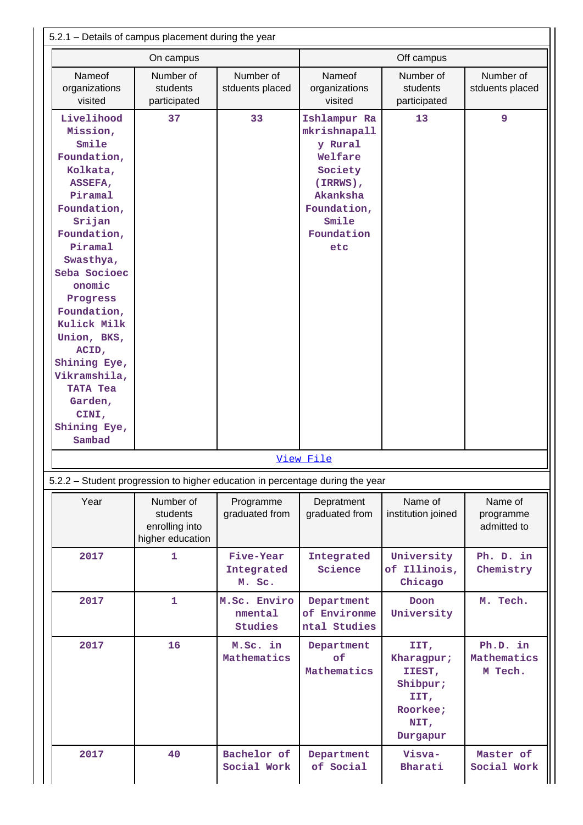|                                                                                                                                                                                                                                                                                                                                               | On campus                                                                     |                                   |                                                                                                                                       | Off campus                                                                       |                                     |
|-----------------------------------------------------------------------------------------------------------------------------------------------------------------------------------------------------------------------------------------------------------------------------------------------------------------------------------------------|-------------------------------------------------------------------------------|-----------------------------------|---------------------------------------------------------------------------------------------------------------------------------------|----------------------------------------------------------------------------------|-------------------------------------|
|                                                                                                                                                                                                                                                                                                                                               |                                                                               |                                   |                                                                                                                                       |                                                                                  |                                     |
| Nameof<br>organizations<br>visited                                                                                                                                                                                                                                                                                                            | Number of<br>students<br>participated                                         | Number of<br>stduents placed      | <b>Nameof</b><br>organizations<br>visited                                                                                             | Number of<br>students<br>participated                                            | Number of<br>stduents placed        |
| Livelihood<br>Mission,<br>Smile<br>Foundation,<br>Kolkata,<br>ASSEFA,<br>Piramal<br>Foundation,<br>Srijan<br>Foundation,<br>Piramal<br>Swasthya,<br>Seba Socioec<br>onomic<br>Progress<br>Foundation,<br>Kulick Milk<br>Union, BKS,<br>ACID,<br>Shining Eye,<br>Vikramshila,<br><b>TATA Tea</b><br>Garden,<br>CINI,<br>Shining Eye,<br>Sambad | 37                                                                            | 33                                | Ishlampur Ra<br>mkrishnapall<br>y Rural<br>Welfare<br>Society<br>$(IRRWS)$ ,<br>Akanksha<br>Foundation,<br>Smile<br>Foundation<br>etc | 13                                                                               | 9                                   |
|                                                                                                                                                                                                                                                                                                                                               |                                                                               |                                   | View File                                                                                                                             |                                                                                  |                                     |
|                                                                                                                                                                                                                                                                                                                                               | 5.2.2 - Student progression to higher education in percentage during the year |                                   |                                                                                                                                       |                                                                                  |                                     |
| Year                                                                                                                                                                                                                                                                                                                                          | Number of<br>students<br>enrolling into<br>higher education                   | Programme<br>graduated from       | Depratment<br>graduated from                                                                                                          | Name of<br>institution joined                                                    | Name of<br>programme<br>admitted to |
| 2017                                                                                                                                                                                                                                                                                                                                          | 1                                                                             | Five-Year<br>Integrated<br>M. Sc. | Integrated<br>Science                                                                                                                 | University<br>of Illinois,<br>Chicago                                            | Ph. D. in<br>Chemistry              |
| 2017                                                                                                                                                                                                                                                                                                                                          | $\mathbf{1}$                                                                  | M.Sc. Enviro<br>nmental           | Department<br>of Environme<br>ntal Studies                                                                                            | <b>Doon</b><br>University                                                        | M. Tech.                            |
|                                                                                                                                                                                                                                                                                                                                               |                                                                               | <b>Studies</b>                    |                                                                                                                                       |                                                                                  |                                     |
| 2017                                                                                                                                                                                                                                                                                                                                          | 16                                                                            | M.Sc. in<br>Mathematics           | Department<br>of<br>Mathematics                                                                                                       | IIT,<br>Kharagpur;<br>IIEST,<br>Shibpur;<br>IIT,<br>Roorkee;<br>NIT,<br>Durgapur | Ph.D. in<br>Mathematics<br>M Tech.  |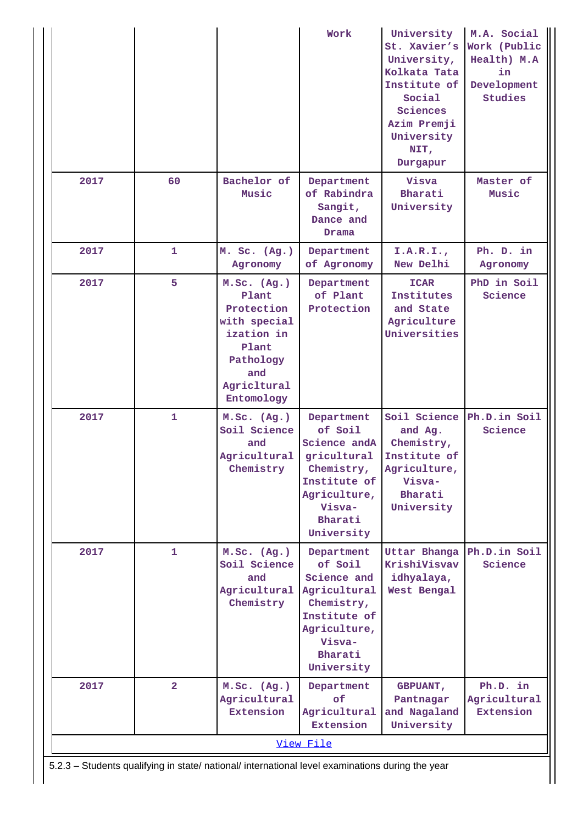|      |                                                                                                  |                                                                                                                            | Work                                                                                                                                   | University<br>St. Xavier's<br>University,<br>Kolkata Tata<br>Institute of<br>Social<br>Sciences<br>Azim Premji<br>University<br>NIT,<br>Durgapur | M.A. Social<br>Work (Public<br>Health) M.A<br>in<br>Development<br>Studies |  |  |  |  |
|------|--------------------------------------------------------------------------------------------------|----------------------------------------------------------------------------------------------------------------------------|----------------------------------------------------------------------------------------------------------------------------------------|--------------------------------------------------------------------------------------------------------------------------------------------------|----------------------------------------------------------------------------|--|--|--|--|
| 2017 | 60                                                                                               | Bachelor of<br>Music                                                                                                       | Department<br>of Rabindra<br>Sangit,<br>Dance and<br>Drama                                                                             | Visva<br>Bharati<br>University                                                                                                                   | Master of<br>Music                                                         |  |  |  |  |
| 2017 | 1                                                                                                | M. Sc. (Ag.)<br>Agronomy                                                                                                   | Department<br>of Agronomy                                                                                                              | I.A.R.I.,<br>New Delhi                                                                                                                           | Ph. D. in<br>Agronomy                                                      |  |  |  |  |
| 2017 | 5                                                                                                | M.Sc. (Ag.)<br>Plant<br>Protection<br>with special<br>ization in<br>Plant<br>Pathology<br>and<br>Agricltural<br>Entomology | Department<br>of Plant<br>Protection                                                                                                   | <b>ICAR</b><br>Institutes<br>and State<br>Agriculture<br>Universities                                                                            | PhD in Soil<br>Science                                                     |  |  |  |  |
| 2017 | $\mathbf{1}$                                                                                     | M.Sc. (Ag.)<br>Soil Science<br>and<br>Agricultural<br>Chemistry                                                            | Department<br>of Soil<br>Science and A<br>gricultural<br>Chemistry,<br>Institute of<br>Agriculture,<br>Visva-<br>Bharati<br>University | Soil Science<br>and Ag.<br>Chemistry,<br>Institute of<br>Agriculture,<br>Visva-<br>Bharati<br>University                                         | Ph.D.in Soil<br>Science                                                    |  |  |  |  |
| 2017 | 1                                                                                                | M.Sc. (Ag.)<br>Soil Science<br>and<br>Agricultural<br>Chemistry                                                            | Department<br>of Soil<br>Science and<br>Agricultural<br>Chemistry,<br>Institute of<br>Agriculture,<br>Visva-<br>Bharati<br>University  | Uttar Bhanga<br>KrishiVisvav<br>idhyalaya,<br>West Bengal                                                                                        | Ph.D.in Soil<br>Science                                                    |  |  |  |  |
| 2017 | $\overline{2}$                                                                                   | M.Sc. (Ag.)<br>Agricultural<br>Extension                                                                                   | Department<br>of<br>Agricultural<br>Extension                                                                                          | <b>GBPUANT,</b><br>Pantnagar<br>and Nagaland<br>University                                                                                       | Ph.D. in<br>Agricultural<br>Extension                                      |  |  |  |  |
|      |                                                                                                  |                                                                                                                            | View File                                                                                                                              |                                                                                                                                                  |                                                                            |  |  |  |  |
|      | 5.2.3 - Students qualifying in state/ national/ international level examinations during the year |                                                                                                                            |                                                                                                                                        |                                                                                                                                                  |                                                                            |  |  |  |  |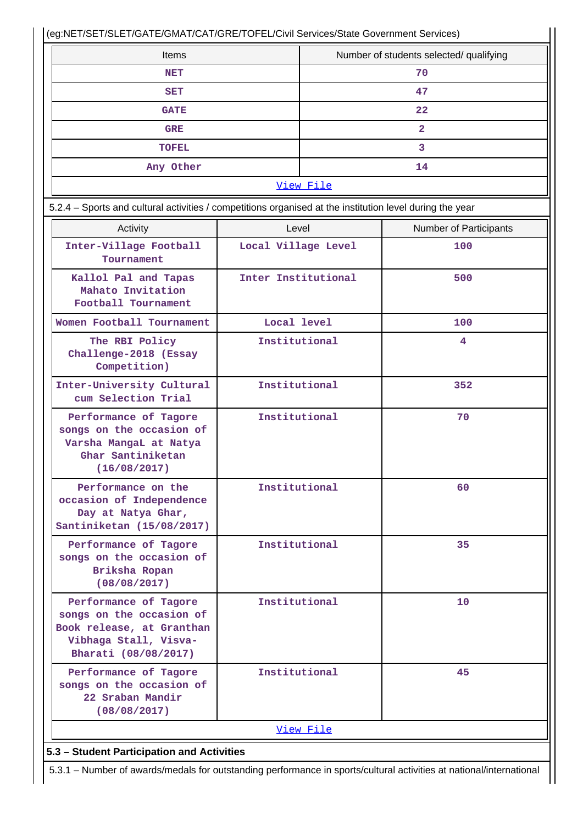(eg:NET/SET/SLET/GATE/GMAT/CAT/GRE/TOFEL/Civil Services/State Government Services)

| Items        | Number of students selected/ qualifying |  |  |  |  |
|--------------|-----------------------------------------|--|--|--|--|
| <b>NET</b>   | 70                                      |  |  |  |  |
| <b>SET</b>   | 47                                      |  |  |  |  |
| <b>GATE</b>  | 22                                      |  |  |  |  |
| <b>GRE</b>   | 2                                       |  |  |  |  |
| <b>TOFEL</b> |                                         |  |  |  |  |
| Any Other    | 14                                      |  |  |  |  |
| View File    |                                         |  |  |  |  |

| 5.2.4 – Sports and cultural activities / competitions organised at the institution level during the year                        |                     |                               |  |  |  |  |  |
|---------------------------------------------------------------------------------------------------------------------------------|---------------------|-------------------------------|--|--|--|--|--|
| Activity                                                                                                                        | Level               | <b>Number of Participants</b> |  |  |  |  |  |
| Inter-Village Football<br>Tournament                                                                                            | Local Village Level | 100                           |  |  |  |  |  |
| Kallol Pal and Tapas<br>Mahato Invitation<br>Football Tournament                                                                | Inter Institutional | 500                           |  |  |  |  |  |
| Women Football Tournament                                                                                                       | Local level         | 100                           |  |  |  |  |  |
| The RBI Policy<br>Challenge-2018 (Essay<br>Competition)                                                                         | Institutional       | 4                             |  |  |  |  |  |
| Inter-University Cultural<br>cum Selection Trial                                                                                | Institutional       | 352                           |  |  |  |  |  |
| Performance of Tagore<br>songs on the occasion of<br>Varsha MangaL at Natya<br>Ghar Santiniketan<br>(16/08/2017)                | Institutional       | 70                            |  |  |  |  |  |
| Performance on the<br>occasion of Independence<br>Day at Natya Ghar,<br>Santiniketan (15/08/2017)                               | Institutional       | 60                            |  |  |  |  |  |
| Performance of Tagore<br>songs on the occasion of<br>Briksha Ropan<br>(08/08/2017)                                              | Institutional       | 35                            |  |  |  |  |  |
| Performance of Tagore<br>songs on the occasion of<br>Book release, at Granthan<br>Vibhaga Stall, Visva-<br>Bharati (08/08/2017) | Institutional       | 10                            |  |  |  |  |  |
| Performance of Tagore<br>songs on the occasion of<br>22 Sraban Mandir<br>(08/08/2017)                                           | Institutional       | 45                            |  |  |  |  |  |
|                                                                                                                                 | View File           |                               |  |  |  |  |  |

# **5.3 – Student Participation and Activities**

5.3.1 – Number of awards/medals for outstanding performance in sports/cultural activities at national/international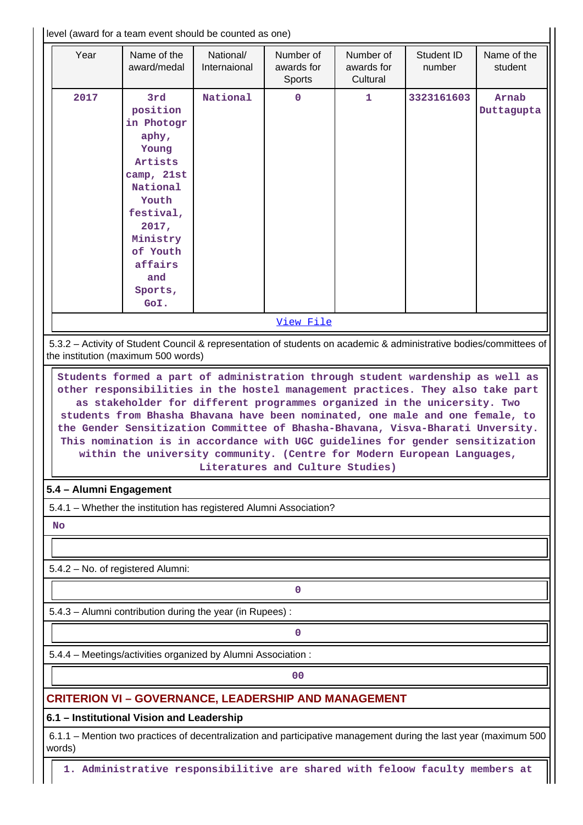| level (award for a team event should be counted as one)                      |                                                                                                                                                                                                                                                                                                                                                                                                                                                                                                                               |                           |                                   |                                     |                      |                        |  |  |
|------------------------------------------------------------------------------|-------------------------------------------------------------------------------------------------------------------------------------------------------------------------------------------------------------------------------------------------------------------------------------------------------------------------------------------------------------------------------------------------------------------------------------------------------------------------------------------------------------------------------|---------------------------|-----------------------------------|-------------------------------------|----------------------|------------------------|--|--|
| Year                                                                         | Name of the<br>award/medal                                                                                                                                                                                                                                                                                                                                                                                                                                                                                                    | National/<br>Internaional | Number of<br>awards for<br>Sports | Number of<br>awards for<br>Cultural | Student ID<br>number | Name of the<br>student |  |  |
| 2017                                                                         | 3rd<br>position<br>in Photogr<br>aphy,<br>Young<br>Artists<br>camp, 21st<br>National<br>Youth<br>festival,<br>2017,<br>Ministry<br>of Youth<br>affairs<br>and<br>Sports,<br>GoI.                                                                                                                                                                                                                                                                                                                                              | National                  | 0                                 | $\mathbf{1}$                        | 3323161603           | Arnab<br>Duttagupta    |  |  |
|                                                                              |                                                                                                                                                                                                                                                                                                                                                                                                                                                                                                                               |                           |                                   |                                     |                      |                        |  |  |
|                                                                              |                                                                                                                                                                                                                                                                                                                                                                                                                                                                                                                               |                           | View File                         |                                     |                      |                        |  |  |
|                                                                              | 5.3.2 - Activity of Student Council & representation of students on academic & administrative bodies/committees of<br>the institution (maximum 500 words)                                                                                                                                                                                                                                                                                                                                                                     |                           |                                   |                                     |                      |                        |  |  |
|                                                                              | other responsibilities in the hostel management practices. They also take part<br>as stakeholder for different programmes organized in the unicersity. Two<br>students from Bhasha Bhavana have been nominated, one male and one female, to<br>the Gender Sensitization Committee of Bhasha-Bhavana, Visva-Bharati Unversity.<br>This nomination is in accordance with UGC guidelines for gender sensitization<br>within the university community. (Centre for Modern European Languages,<br>Literatures and Culture Studies) |                           |                                   |                                     |                      |                        |  |  |
| 5.4 - Alumni Engagement                                                      |                                                                                                                                                                                                                                                                                                                                                                                                                                                                                                                               |                           |                                   |                                     |                      |                        |  |  |
|                                                                              | 5.4.1 - Whether the institution has registered Alumni Association?                                                                                                                                                                                                                                                                                                                                                                                                                                                            |                           |                                   |                                     |                      |                        |  |  |
| <b>No</b>                                                                    |                                                                                                                                                                                                                                                                                                                                                                                                                                                                                                                               |                           |                                   |                                     |                      |                        |  |  |
|                                                                              |                                                                                                                                                                                                                                                                                                                                                                                                                                                                                                                               |                           |                                   |                                     |                      |                        |  |  |
|                                                                              | 5.4.2 - No. of registered Alumni:                                                                                                                                                                                                                                                                                                                                                                                                                                                                                             |                           |                                   |                                     |                      |                        |  |  |
|                                                                              |                                                                                                                                                                                                                                                                                                                                                                                                                                                                                                                               |                           |                                   |                                     |                      |                        |  |  |
|                                                                              |                                                                                                                                                                                                                                                                                                                                                                                                                                                                                                                               |                           | 0                                 |                                     |                      |                        |  |  |
|                                                                              | 5.4.3 - Alumni contribution during the year (in Rupees) :                                                                                                                                                                                                                                                                                                                                                                                                                                                                     |                           |                                   |                                     |                      |                        |  |  |
|                                                                              |                                                                                                                                                                                                                                                                                                                                                                                                                                                                                                                               |                           | 0                                 |                                     |                      |                        |  |  |
|                                                                              | 5.4.4 - Meetings/activities organized by Alumni Association:                                                                                                                                                                                                                                                                                                                                                                                                                                                                  |                           |                                   |                                     |                      |                        |  |  |
|                                                                              |                                                                                                                                                                                                                                                                                                                                                                                                                                                                                                                               |                           | 0 <sup>0</sup>                    |                                     |                      |                        |  |  |
|                                                                              | <b>CRITERION VI - GOVERNANCE, LEADERSHIP AND MANAGEMENT</b>                                                                                                                                                                                                                                                                                                                                                                                                                                                                   |                           |                                   |                                     |                      |                        |  |  |
|                                                                              | 6.1 - Institutional Vision and Leadership                                                                                                                                                                                                                                                                                                                                                                                                                                                                                     |                           |                                   |                                     |                      |                        |  |  |
| words)                                                                       | 6.1.1 – Mention two practices of decentralization and participative management during the last year (maximum 500                                                                                                                                                                                                                                                                                                                                                                                                              |                           |                                   |                                     |                      |                        |  |  |
| 1. Administrative responsibilitive are shared with feloow faculty members at |                                                                                                                                                                                                                                                                                                                                                                                                                                                                                                                               |                           |                                   |                                     |                      |                        |  |  |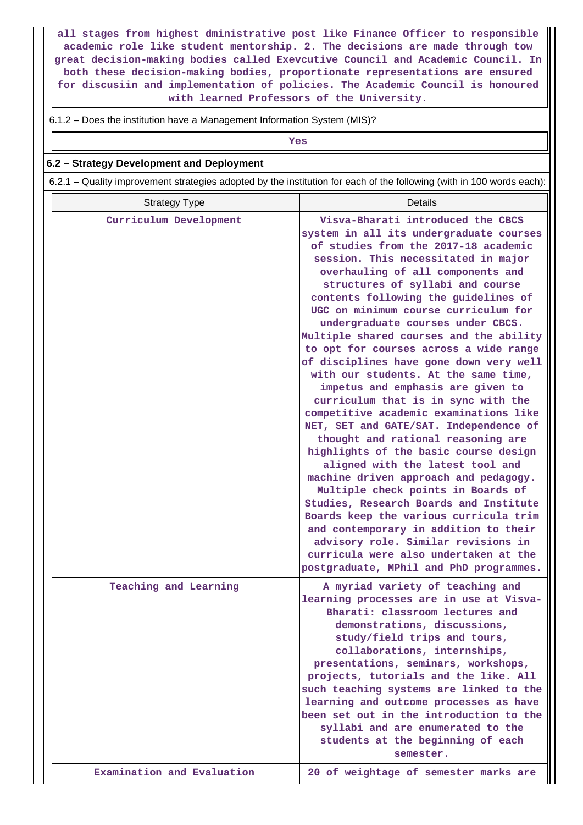**all stages from highest dministrative post like Finance Officer to responsible academic role like student mentorship. 2. The decisions are made through tow great decision-making bodies called Exevcutive Council and Academic Council. In both these decision-making bodies, proportionate representations are ensured for discusiin and implementation of policies. The Academic Council is honoured with learned Professors of the University.**

6.1.2 – Does the institution have a Management Information System (MIS)?

*Yes* 

#### **6.2 – Strategy Development and Deployment**

6.2.1 – Quality improvement strategies adopted by the institution for each of the following (with in 100 words each):

| <b>Strategy Type</b>       | <b>Details</b>                                                                                                                                                                                                                                                                                                                                                                                                                                                                                                                                                                                                                                                                                                                                                                                                                                                                                                                                                                                                                                                                                                                                              |
|----------------------------|-------------------------------------------------------------------------------------------------------------------------------------------------------------------------------------------------------------------------------------------------------------------------------------------------------------------------------------------------------------------------------------------------------------------------------------------------------------------------------------------------------------------------------------------------------------------------------------------------------------------------------------------------------------------------------------------------------------------------------------------------------------------------------------------------------------------------------------------------------------------------------------------------------------------------------------------------------------------------------------------------------------------------------------------------------------------------------------------------------------------------------------------------------------|
| Curriculum Development     | Visva-Bharati introduced the CBCS<br>system in all its undergraduate courses<br>of studies from the 2017-18 academic<br>session. This necessitated in major<br>overhauling of all components and<br>structures of syllabi and course<br>contents following the guidelines of<br>UGC on minimum course curriculum for<br>undergraduate courses under CBCS.<br>Multiple shared courses and the ability<br>to opt for courses across a wide range<br>of disciplines have gone down very well<br>with our students. At the same time,<br>impetus and emphasis are given to<br>curriculum that is in sync with the<br>competitive academic examinations like<br>NET, SET and GATE/SAT. Independence of<br>thought and rational reasoning are<br>highlights of the basic course design<br>aligned with the latest tool and<br>machine driven approach and pedagogy.<br>Multiple check points in Boards of<br>Studies, Research Boards and Institute<br>Boards keep the various curricula trim<br>and contemporary in addition to their<br>advisory role. Similar revisions in<br>curricula were also undertaken at the<br>postgraduate, MPhil and PhD programmes. |
| Teaching and Learning      | A myriad variety of teaching and<br>learning processes are in use at Visva-<br>Bharati: classroom lectures and<br>demonstrations, discussions,<br>study/field trips and tours,<br>collaborations, internships,<br>presentations, seminars, workshops,<br>projects, tutorials and the like. All<br>such teaching systems are linked to the<br>learning and outcome processes as have<br>been set out in the introduction to the<br>syllabi and are enumerated to the<br>students at the beginning of each<br>semester.                                                                                                                                                                                                                                                                                                                                                                                                                                                                                                                                                                                                                                       |
| Examination and Evaluation | 20 of weightage of semester marks are                                                                                                                                                                                                                                                                                                                                                                                                                                                                                                                                                                                                                                                                                                                                                                                                                                                                                                                                                                                                                                                                                                                       |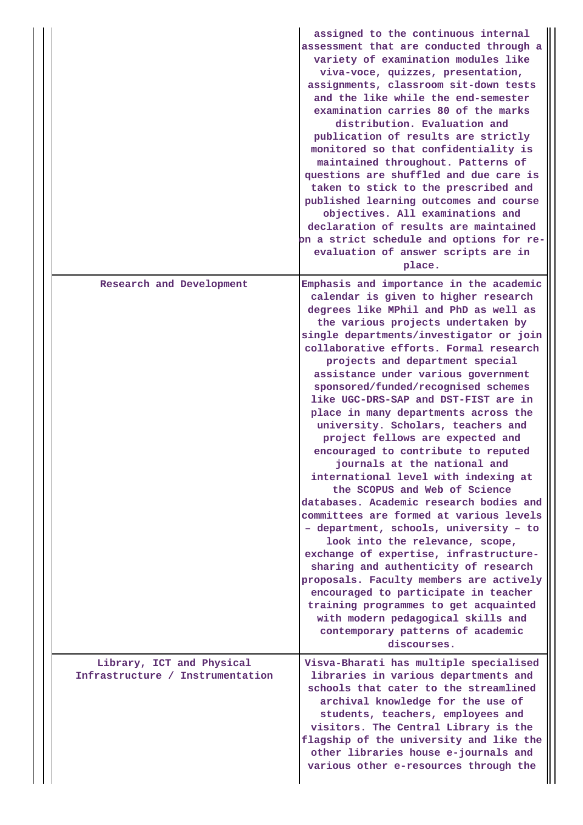|  |                                                               | assigned to the continuous internal<br>assessment that are conducted through a<br>variety of examination modules like<br>viva-voce, quizzes, presentation,<br>assignments, classroom sit-down tests<br>and the like while the end-semester<br>examination carries 80 of the marks<br>distribution. Evaluation and<br>publication of results are strictly<br>monitored so that confidentiality is<br>maintained throughout. Patterns of<br>questions are shuffled and due care is<br>taken to stick to the prescribed and<br>published learning outcomes and course<br>objectives. All examinations and<br>declaration of results are maintained<br>on a strict schedule and options for re-<br>evaluation of answer scripts are in<br>place.                                                                                                                                                                                                                                                                                                                                                                                                              |
|--|---------------------------------------------------------------|-----------------------------------------------------------------------------------------------------------------------------------------------------------------------------------------------------------------------------------------------------------------------------------------------------------------------------------------------------------------------------------------------------------------------------------------------------------------------------------------------------------------------------------------------------------------------------------------------------------------------------------------------------------------------------------------------------------------------------------------------------------------------------------------------------------------------------------------------------------------------------------------------------------------------------------------------------------------------------------------------------------------------------------------------------------------------------------------------------------------------------------------------------------|
|  | Research and Development                                      | Emphasis and importance in the academic<br>calendar is given to higher research<br>degrees like MPhil and PhD as well as<br>the various projects undertaken by<br>single departments/investigator or join<br>collaborative efforts. Formal research<br>projects and department special<br>assistance under various government<br>sponsored/funded/recognised schemes<br>like UGC-DRS-SAP and DST-FIST are in<br>place in many departments across the<br>university. Scholars, teachers and<br>project fellows are expected and<br>encouraged to contribute to reputed<br>journals at the national and<br>international level with indexing at<br>the SCOPUS and Web of Science<br>databases. Academic research bodies and<br>committees are formed at various levels<br>- department, schools, university - to<br>look into the relevance, scope,<br>exchange of expertise, infrastructure-<br>sharing and authenticity of research<br>proposals. Faculty members are actively<br>encouraged to participate in teacher<br>training programmes to get acquainted<br>with modern pedagogical skills and<br>contemporary patterns of academic<br>discourses. |
|  | Library, ICT and Physical<br>Infrastructure / Instrumentation | Visva-Bharati has multiple specialised<br>libraries in various departments and<br>schools that cater to the streamlined<br>archival knowledge for the use of<br>students, teachers, employees and<br>visitors. The Central Library is the<br>flagship of the university and like the<br>other libraries house e-journals and<br>various other e-resources through the                                                                                                                                                                                                                                                                                                                                                                                                                                                                                                                                                                                                                                                                                                                                                                                     |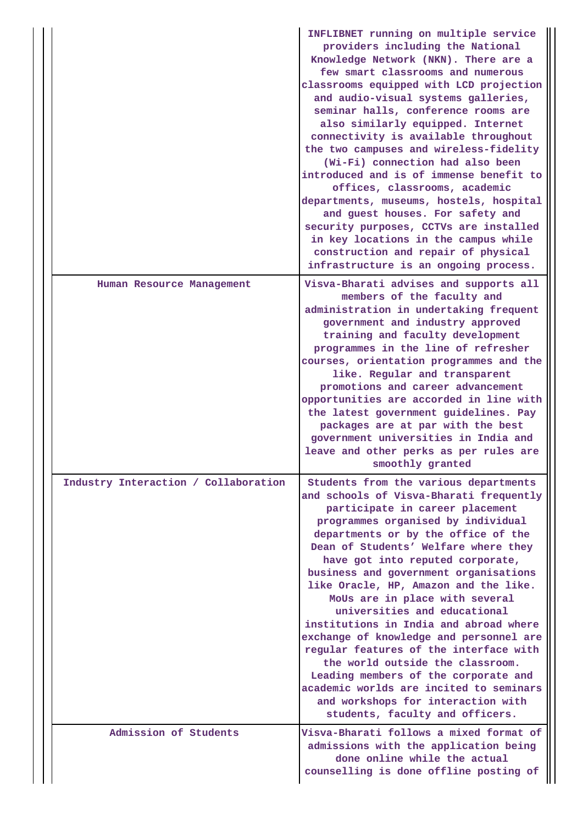|                                      | INFLIBNET running on multiple service<br>providers including the National<br>Knowledge Network (NKN). There are a<br>few smart classrooms and numerous<br>classrooms equipped with LCD projection<br>and audio-visual systems galleries,<br>seminar halls, conference rooms are<br>also similarly equipped. Internet<br>connectivity is available throughout<br>the two campuses and wireless-fidelity<br>(Wi-Fi) connection had also been<br>introduced and is of immense benefit to<br>offices, classrooms, academic<br>departments, museums, hostels, hospital<br>and guest houses. For safety and<br>security purposes, CCTVs are installed<br>in key locations in the campus while<br>construction and repair of physical<br>infrastructure is an ongoing process. |
|--------------------------------------|-------------------------------------------------------------------------------------------------------------------------------------------------------------------------------------------------------------------------------------------------------------------------------------------------------------------------------------------------------------------------------------------------------------------------------------------------------------------------------------------------------------------------------------------------------------------------------------------------------------------------------------------------------------------------------------------------------------------------------------------------------------------------|
| Human Resource Management            | Visva-Bharati advises and supports all<br>members of the faculty and<br>administration in undertaking frequent<br>government and industry approved<br>training and faculty development<br>programmes in the line of refresher<br>courses, orientation programmes and the<br>like. Regular and transparent<br>promotions and career advancement<br>opportunities are accorded in line with<br>the latest government guidelines. Pay<br>packages are at par with the best<br>government universities in India and<br>leave and other perks as per rules are<br>smoothly granted                                                                                                                                                                                           |
| Industry Interaction / Collaboration | Students from the various departments<br>and schools of Visva-Bharati frequently<br>participate in career placement<br>programmes organised by individual<br>departments or by the office of the<br>Dean of Students' Welfare where they<br>have got into reputed corporate,<br>business and government organisations<br>like Oracle, HP, Amazon and the like.<br>MoUs are in place with several<br>universities and educational<br>institutions in India and abroad where<br>exchange of knowledge and personnel are<br>regular features of the interface with<br>the world outside the classroom.<br>Leading members of the corporate and<br>academic worlds are incited to seminars<br>and workshops for interaction with<br>students, faculty and officers.         |
| Admission of Students                | Visva-Bharati follows a mixed format of<br>admissions with the application being<br>done online while the actual<br>counselling is done offline posting of                                                                                                                                                                                                                                                                                                                                                                                                                                                                                                                                                                                                              |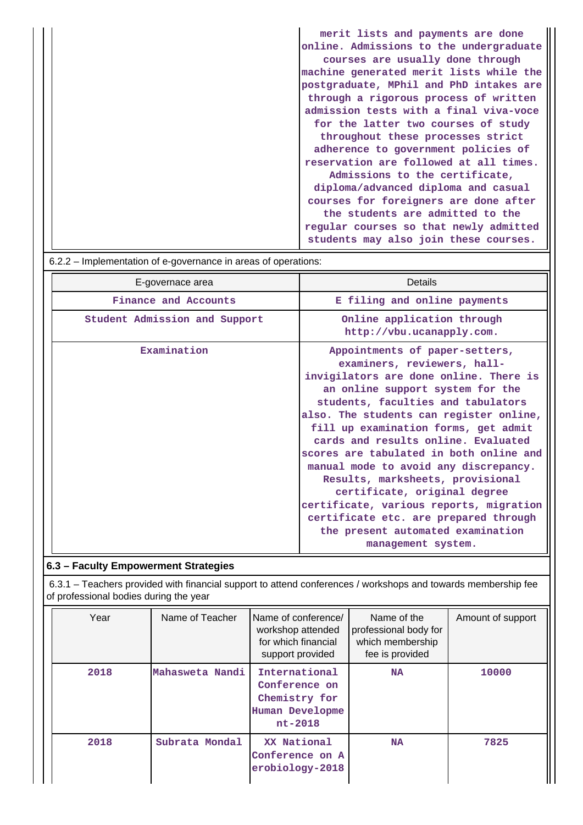| merit lists and payments are done       |
|-----------------------------------------|
| online. Admissions to the undergraduate |
| courses are usually done through        |
| machine generated merit lists while the |
| postgraduate, MPhil and PhD intakes are |
| through a rigorous process of written   |
| admission tests with a final viva-voce  |
| for the latter two courses of study     |
| throughout these processes strict       |
| adherence to government policies of     |
| reservation are followed at all times.  |
| Admissions to the certificate,          |
| diploma/advanced diploma and casual     |
| courses for foreigners are done after   |
| the students are admitted to the        |
| regular courses so that newly admitted  |
| students may also join these courses.   |

# 6.2.2 – Implementation of e-governance in areas of operations:

| E-governace area              | Details                                                                                                                                                                                                                                                                                                                                                                                                                                                                                                                                                                                                            |
|-------------------------------|--------------------------------------------------------------------------------------------------------------------------------------------------------------------------------------------------------------------------------------------------------------------------------------------------------------------------------------------------------------------------------------------------------------------------------------------------------------------------------------------------------------------------------------------------------------------------------------------------------------------|
| Finance and Accounts          | E filing and online payments                                                                                                                                                                                                                                                                                                                                                                                                                                                                                                                                                                                       |
| Student Admission and Support | Online application through<br>http://vbu.ucanapply.com.                                                                                                                                                                                                                                                                                                                                                                                                                                                                                                                                                            |
| Examination                   | Appointments of paper-setters,<br>examiners, reviewers, hall-<br>invigilators are done online. There is<br>an online support system for the<br>students, faculties and tabulators<br>also. The students can register online,<br>fill up examination forms, get admit<br>cards and results online. Evaluated<br>scores are tabulated in both online and<br>manual mode to avoid any discrepancy.<br>Results, marksheets, provisional<br>certificate, original degree<br>certificate, various reports, migration<br>certificate etc. are prepared through<br>the present automated examination<br>management system. |

# **6.3 – Faculty Empowerment Strategies**

 6.3.1 – Teachers provided with financial support to attend conferences / workshops and towards membership fee of professional bodies during the year

| Year | Name of Teacher | Name of conference/<br>workshop attended<br>for which financial<br>support provided | Name of the<br>professional body for<br>which membership<br>fee is provided | Amount of support |
|------|-----------------|-------------------------------------------------------------------------------------|-----------------------------------------------------------------------------|-------------------|
| 2018 | Mahasweta Nandi | International<br>Conference on<br>Chemistry for<br>Human Developme<br>$nt-2018$     | <b>NA</b>                                                                   | 10000             |
| 2018 | Subrata Mondal  | XX National<br>Conference on A<br>erobiology-2018                                   | <b>NA</b>                                                                   | 7825              |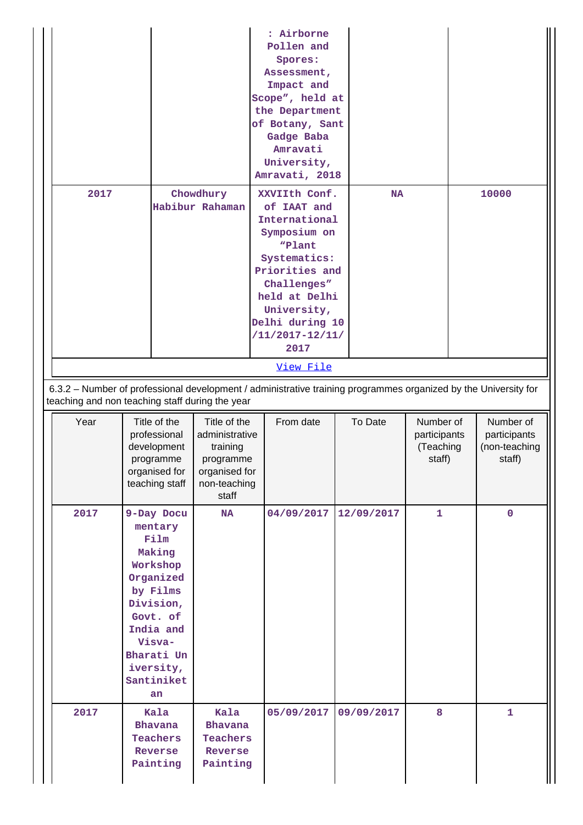|                                                 |                                                                                                                                                                             |                                                                                                   | : Airborne<br>Pollen and<br>Spores:<br>Assessment,<br>Impact and<br>Scope", held at<br>the Department<br>of Botany, Sant<br>Gadge Baba<br>Amravati<br>University,<br>Amravati, 2018                        |            |                                                  |                                                      |
|-------------------------------------------------|-----------------------------------------------------------------------------------------------------------------------------------------------------------------------------|---------------------------------------------------------------------------------------------------|------------------------------------------------------------------------------------------------------------------------------------------------------------------------------------------------------------|------------|--------------------------------------------------|------------------------------------------------------|
| 2017                                            |                                                                                                                                                                             | Chowdhury<br>Habibur Rahaman                                                                      | XXVIIth Conf.<br>of IAAT and<br>International<br>Symposium on<br>"Plant<br>Systematics:<br>Priorities and<br>Challenges"<br>held at Delhi<br>University,<br>Delhi during 10<br>$/11/2017 - 12/11/$<br>2017 | <b>NA</b>  |                                                  | 10000                                                |
|                                                 |                                                                                                                                                                             |                                                                                                   | View File                                                                                                                                                                                                  |            |                                                  |                                                      |
| teaching and non teaching staff during the year |                                                                                                                                                                             |                                                                                                   | 6.3.2 - Number of professional development / administrative training programmes organized by the University for                                                                                            |            |                                                  |                                                      |
| Year                                            | Title of the<br>professional<br>development<br>programme<br>organised for<br>teaching staff                                                                                 | Title of the<br>administrative<br>training<br>programme<br>organised for<br>non-teaching<br>staff | From date                                                                                                                                                                                                  | To Date    | Number of<br>participants<br>(Teaching<br>staff) | Number of<br>participants<br>(non-teaching<br>staff) |
| 2017                                            | 9-Day Docu<br>mentary<br>Film<br>Making<br>Workshop<br>Organized<br>by Films<br>Division,<br>Govt. of<br>India and<br>Visva-<br>Bharati Un<br>iversity,<br>Santiniket<br>an | <b>NA</b>                                                                                         | 04/09/2017                                                                                                                                                                                                 | 12/09/2017 | 1                                                | $\mathbf{0}$                                         |
| 2017                                            | Kala<br>Bhavana<br>Teachers<br>Reverse<br>Painting                                                                                                                          | Kala<br><b>Bhavana</b><br><b>Teachers</b><br>Reverse<br>Painting                                  | 05/09/2017                                                                                                                                                                                                 | 09/09/2017 | 8                                                | $\mathbf{1}$                                         |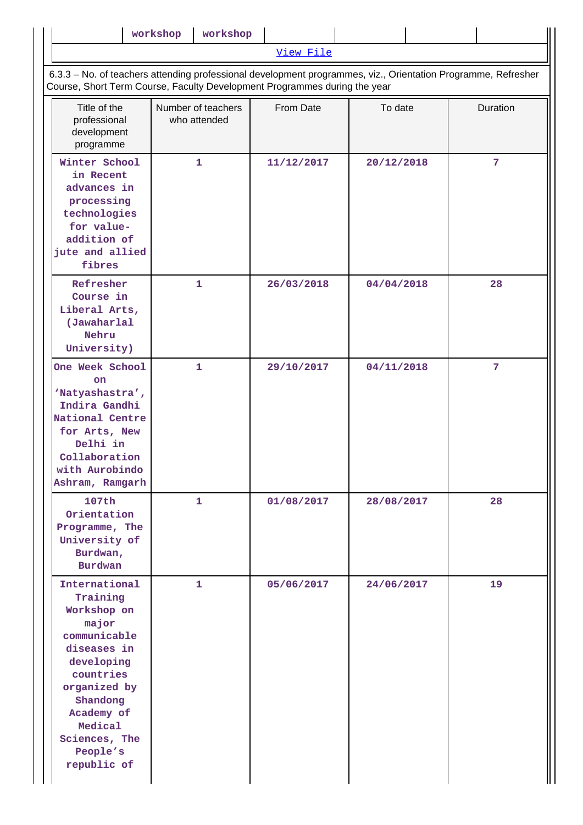|                                                                                                                                                                                                              | workshop                                                                                                                                                                                   | workshop                           |            |            |  |                |  |  |
|--------------------------------------------------------------------------------------------------------------------------------------------------------------------------------------------------------------|--------------------------------------------------------------------------------------------------------------------------------------------------------------------------------------------|------------------------------------|------------|------------|--|----------------|--|--|
|                                                                                                                                                                                                              |                                                                                                                                                                                            |                                    | View File  |            |  |                |  |  |
|                                                                                                                                                                                                              | 6.3.3 - No. of teachers attending professional development programmes, viz., Orientation Programme, Refresher<br>Course, Short Term Course, Faculty Development Programmes during the year |                                    |            |            |  |                |  |  |
| Title of the<br>professional<br>development<br>programme                                                                                                                                                     |                                                                                                                                                                                            | Number of teachers<br>who attended | From Date  | To date    |  | Duration       |  |  |
| Winter School<br>in Recent<br>advances in<br>processing<br>technologies<br>for value-<br>addition of<br>jute and allied<br>fibres                                                                            |                                                                                                                                                                                            | $\mathbf{1}$                       | 11/12/2017 | 20/12/2018 |  | $\overline{7}$ |  |  |
| Refresher<br>Course in<br>Liberal Arts,<br>(Jawaharlal<br>Nehru<br>University)                                                                                                                               |                                                                                                                                                                                            | $\mathbf{1}$                       | 26/03/2018 | 04/04/2018 |  | 28             |  |  |
| One Week School<br>on<br>'Natyashastra',<br>Indira Gandhi<br>National Centre<br>for Arts, New<br>Delhi in<br>Collaboration<br>with Aurobindo<br>Ashram, Ramgarh                                              |                                                                                                                                                                                            | $\mathbf{1}$                       | 29/10/2017 | 04/11/2018 |  | $\overline{7}$ |  |  |
| 107th<br>Orientation<br>Programme, The<br>University of<br>Burdwan,<br><b>Burdwan</b>                                                                                                                        |                                                                                                                                                                                            | $\mathbf{1}$                       | 01/08/2017 | 28/08/2017 |  | 28             |  |  |
| International<br>Training<br>Workshop on<br>major<br>communicable<br>diseases in<br>developing<br>countries<br>organized by<br>Shandong<br>Academy of<br>Medical<br>Sciences, The<br>People's<br>republic of |                                                                                                                                                                                            | 1                                  | 05/06/2017 | 24/06/2017 |  | 19             |  |  |

 $\parallel$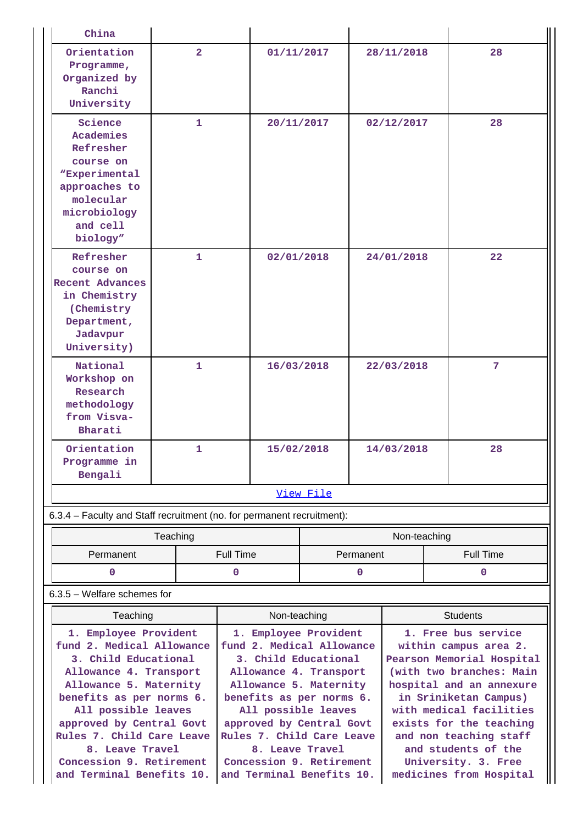| China                                                                                                                                                                                                                                      |                                                                                                                                                                                                                                            |                                                                          |                  |                 |                                                                                                                                                                                                                                            |            |                  |                   |
|--------------------------------------------------------------------------------------------------------------------------------------------------------------------------------------------------------------------------------------------|--------------------------------------------------------------------------------------------------------------------------------------------------------------------------------------------------------------------------------------------|--------------------------------------------------------------------------|------------------|-----------------|--------------------------------------------------------------------------------------------------------------------------------------------------------------------------------------------------------------------------------------------|------------|------------------|-------------------|
| Orientation<br>Programme,<br>Organized by<br>Ranchi<br>University                                                                                                                                                                          | $\overline{2}$                                                                                                                                                                                                                             |                                                                          | 01/11/2017       |                 |                                                                                                                                                                                                                                            | 28/11/2018 |                  | 28                |
| Science<br>Academies<br>Refresher<br>course on<br><i><b>WExperimental</b></i><br>approaches to<br>molecular<br>microbiology<br>and cell<br>biology"                                                                                        | 1                                                                                                                                                                                                                                          |                                                                          | 20/11/2017       |                 | 02/12/2017                                                                                                                                                                                                                                 |            |                  | 28                |
| Refresher<br>course on<br><b>Recent Advances</b><br>in Chemistry<br>(Chemistry<br>Department,<br>Jadavpur<br>University)                                                                                                                   | $\mathbf{1}$                                                                                                                                                                                                                               |                                                                          | 02/01/2018       |                 | 24/01/2018                                                                                                                                                                                                                                 |            |                  | $22 \overline{)}$ |
| National<br>Workshop on<br>Research<br>methodology<br>from Visva-<br>Bharati                                                                                                                                                               | $\mathbf{1}$                                                                                                                                                                                                                               |                                                                          | 16/03/2018       |                 | 22/03/2018                                                                                                                                                                                                                                 |            |                  | 7                 |
| Orientation<br>Programme in<br>Bengali                                                                                                                                                                                                     | 1.                                                                                                                                                                                                                                         |                                                                          | 15/02/2018       |                 |                                                                                                                                                                                                                                            | 14/03/2018 |                  | 28                |
|                                                                                                                                                                                                                                            |                                                                                                                                                                                                                                            |                                                                          |                  | View File       |                                                                                                                                                                                                                                            |            |                  |                   |
| 6.3.4 - Faculty and Staff recruitment (no. for permanent recruitment):                                                                                                                                                                     |                                                                                                                                                                                                                                            |                                                                          |                  |                 |                                                                                                                                                                                                                                            |            |                  |                   |
|                                                                                                                                                                                                                                            |                                                                                                                                                                                                                                            |                                                                          |                  |                 | Non-teaching                                                                                                                                                                                                                               |            |                  |                   |
| Permanent                                                                                                                                                                                                                                  |                                                                                                                                                                                                                                            |                                                                          | <b>Full Time</b> | Permanent       |                                                                                                                                                                                                                                            |            | <b>Full Time</b> |                   |
| 0                                                                                                                                                                                                                                          |                                                                                                                                                                                                                                            |                                                                          | 0                |                 | 0                                                                                                                                                                                                                                          |            |                  | $\mathbf 0$       |
| 6.3.5 - Welfare schemes for                                                                                                                                                                                                                |                                                                                                                                                                                                                                            |                                                                          |                  |                 |                                                                                                                                                                                                                                            |            |                  |                   |
| Teaching                                                                                                                                                                                                                                   | Non-teaching                                                                                                                                                                                                                               |                                                                          |                  | <b>Students</b> |                                                                                                                                                                                                                                            |            |                  |                   |
| 1. Employee Provident<br>fund 2. Medical Allowance<br>3. Child Educational<br>Allowance 4. Transport<br>Allowance 5. Maternity<br>benefits as per norms 6.<br>All possible leaves<br>approved by Central Govt<br>Rules 7. Child Care Leave | 1. Employee Provident<br>fund 2. Medical Allowance<br>3. Child Educational<br>Allowance 4. Transport<br>Allowance 5. Maternity<br>benefits as per norms 6.<br>All possible leaves<br>approved by Central Govt<br>Rules 7. Child Care Leave |                                                                          |                  |                 | 1. Free bus service<br>within campus area 2.<br>Pearson Memorial Hospital<br>(with two branches: Main<br>hospital and an annexure<br>in Sriniketan Campus)<br>with medical facilities<br>exists for the teaching<br>and non teaching staff |            |                  |                   |
| 8. Leave Travel<br>Concession 9. Retirement<br>and Terminal Benefits 10.                                                                                                                                                                   |                                                                                                                                                                                                                                            | 8. Leave Travel<br>Concession 9. Retirement<br>and Terminal Benefits 10. |                  |                 | and students of the<br>University. 3. Free<br>medicines from Hospital                                                                                                                                                                      |            |                  |                   |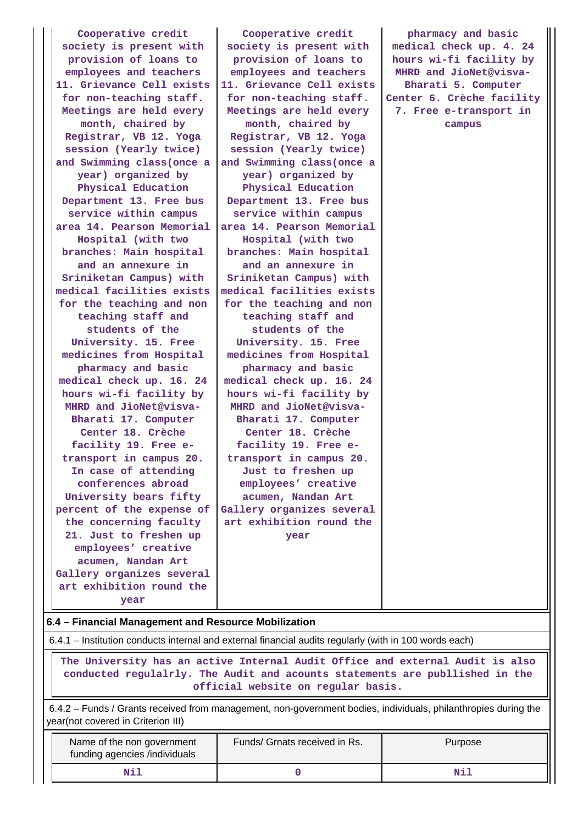**Cooperative credit society is present with provision of loans to employees and teachers 11. Grievance Cell exists for non-teaching staff. Meetings are held every month, chaired by Registrar, VB 12. Yoga session (Yearly twice) and Swimming class(once a year) organized by Physical Education Department 13. Free bus service within campus area 14. Pearson Memorial Hospital (with two branches: Main hospital and an annexure in Sriniketan Campus) with medical facilities exists for the teaching and non teaching staff and students of the University. 15. Free medicines from Hospital pharmacy and basic medical check up. 16. 24 hours wi-fi facility by MHRD and JioNet@visva-Bharati 17. Computer Center 18. Crèche facility 19. Free etransport in campus 20. In case of attending conferences abroad University bears fifty percent of the expense of the concerning faculty 21. Just to freshen up employees' creative acumen, Nandan Art Gallery organizes several art exhibition round the year**

**Cooperative credit society is present with provision of loans to employees and teachers 11. Grievance Cell exists for non-teaching staff. Meetings are held every month, chaired by Registrar, VB 12. Yoga session (Yearly twice) and Swimming class(once a year) organized by Physical Education Department 13. Free bus service within campus area 14. Pearson Memorial Hospital (with two branches: Main hospital and an annexure in Sriniketan Campus) with medical facilities exists for the teaching and non teaching staff and students of the University. 15. Free medicines from Hospital pharmacy and basic medical check up. 16. 24 hours wi-fi facility by MHRD and JioNet@visva-Bharati 17. Computer Center 18. Crèche facility 19. Free etransport in campus 20. Just to freshen up employees' creative acumen, Nandan Art Gallery organizes several art exhibition round the year**

**pharmacy and basic medical check up. 4. 24 hours wi-fi facility by MHRD and JioNet@visva-Bharati 5. Computer Center 6. Crèche facility 7. Free e-transport in campus**

#### **6.4 – Financial Management and Resource Mobilization**

6.4.1 – Institution conducts internal and external financial audits regularly (with in 100 words each)

 **The University has an active Internal Audit Office and external Audit is also conducted regulalrly. The Audit and acounts statements are publlished in the official website on regular basis.**

 6.4.2 – Funds / Grants received from management, non-government bodies, individuals, philanthropies during the year(not covered in Criterion III)

| Name of the non government<br>funding agencies /individuals | Funds/ Grnats received in Rs. | Purpose |  |  |
|-------------------------------------------------------------|-------------------------------|---------|--|--|
| Nil                                                         |                               | Ni.     |  |  |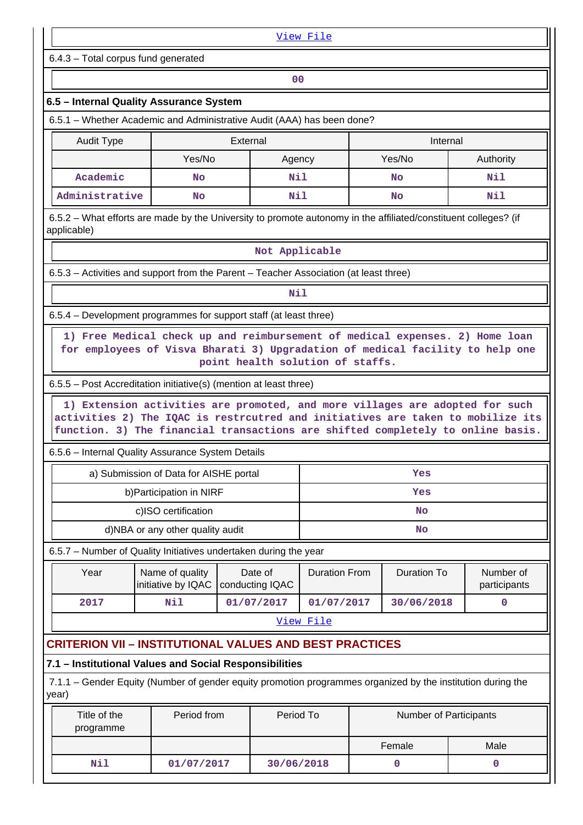| View File                                                                                                                                                                                                                                          |                                                         |           |                        |                          |    |                    |  |              |  |
|----------------------------------------------------------------------------------------------------------------------------------------------------------------------------------------------------------------------------------------------------|---------------------------------------------------------|-----------|------------------------|--------------------------|----|--------------------|--|--------------|--|
| 6.4.3 - Total corpus fund generated                                                                                                                                                                                                                |                                                         |           |                        |                          |    |                    |  |              |  |
|                                                                                                                                                                                                                                                    |                                                         |           | 0 <sub>0</sub>         |                          |    |                    |  |              |  |
| 6.5 - Internal Quality Assurance System                                                                                                                                                                                                            |                                                         |           |                        |                          |    |                    |  |              |  |
| 6.5.1 – Whether Academic and Administrative Audit (AAA) has been done?                                                                                                                                                                             |                                                         |           |                        |                          |    |                    |  |              |  |
| <b>Audit Type</b>                                                                                                                                                                                                                                  | External<br>Internal                                    |           |                        |                          |    |                    |  |              |  |
|                                                                                                                                                                                                                                                    | Yes/No                                                  |           | Agency                 |                          |    | Yes/No             |  | Authority    |  |
| Academic                                                                                                                                                                                                                                           | <b>No</b>                                               |           | Nil                    |                          |    | <b>No</b>          |  | Nil          |  |
| Administrative                                                                                                                                                                                                                                     | Nil<br>Nil<br><b>No</b><br><b>No</b>                    |           |                        |                          |    |                    |  |              |  |
| 6.5.2 – What efforts are made by the University to promote autonomy in the affiliated/constituent colleges? (if<br>applicable)                                                                                                                     |                                                         |           |                        |                          |    |                    |  |              |  |
|                                                                                                                                                                                                                                                    |                                                         |           | Not Applicable         |                          |    |                    |  |              |  |
| 6.5.3 – Activities and support from the Parent – Teacher Association (at least three)                                                                                                                                                              |                                                         |           |                        |                          |    |                    |  |              |  |
|                                                                                                                                                                                                                                                    |                                                         |           | Nil                    |                          |    |                    |  |              |  |
| 6.5.4 – Development programmes for support staff (at least three)                                                                                                                                                                                  |                                                         |           |                        |                          |    |                    |  |              |  |
| 1) Free Medical check up and reimbursement of medical expenses. 2) Home loan<br>for employees of Visva Bharati 3) Upgradation of medical facility to help one<br>point health solution of staffs.                                                  |                                                         |           |                        |                          |    |                    |  |              |  |
| 6.5.5 – Post Accreditation initiative(s) (mention at least three)                                                                                                                                                                                  |                                                         |           |                        |                          |    |                    |  |              |  |
| 1) Extension activities are promoted, and more villages are adopted for such<br>activities 2) The IQAC is restrcutred and initiatives are taken to mobilize its<br>function. 3) The financial transactions are shifted completely to online basis. |                                                         |           |                        |                          |    |                    |  |              |  |
| 6.5.6 - Internal Quality Assurance System Details                                                                                                                                                                                                  |                                                         |           |                        |                          |    |                    |  |              |  |
|                                                                                                                                                                                                                                                    | a) Submission of Data for AISHE portal                  |           |                        |                          |    | Yes                |  |              |  |
|                                                                                                                                                                                                                                                    | b) Participation in NIRF                                |           |                        | Yes<br>No                |    |                    |  |              |  |
|                                                                                                                                                                                                                                                    | c)ISO certification<br>d)NBA or any other quality audit |           |                        |                          | No |                    |  |              |  |
|                                                                                                                                                                                                                                                    |                                                         |           |                        |                          |    |                    |  |              |  |
| 6.5.7 - Number of Quality Initiatives undertaken during the year<br>Year                                                                                                                                                                           | Name of quality                                         |           | Date of                |                          |    | <b>Duration To</b> |  | Number of    |  |
|                                                                                                                                                                                                                                                    | initiative by IQAC                                      |           | conducting IQAC        | <b>Duration From</b>     |    |                    |  | participants |  |
| 2017                                                                                                                                                                                                                                               | Nil                                                     |           | 01/07/2017             | 01/07/2017<br>30/06/2018 |    | $\mathbf 0$        |  |              |  |
| View File                                                                                                                                                                                                                                          |                                                         |           |                        |                          |    |                    |  |              |  |
| <b>CRITERION VII - INSTITUTIONAL VALUES AND BEST PRACTICES</b>                                                                                                                                                                                     |                                                         |           |                        |                          |    |                    |  |              |  |
| 7.1 - Institutional Values and Social Responsibilities                                                                                                                                                                                             |                                                         |           |                        |                          |    |                    |  |              |  |
| 7.1.1 – Gender Equity (Number of gender equity promotion programmes organized by the institution during the<br>year)                                                                                                                               |                                                         |           |                        |                          |    |                    |  |              |  |
| Title of the<br>Period from<br>programme                                                                                                                                                                                                           |                                                         | Period To | Number of Participants |                          |    |                    |  |              |  |
|                                                                                                                                                                                                                                                    |                                                         |           |                        |                          |    |                    |  |              |  |
|                                                                                                                                                                                                                                                    |                                                         |           |                        |                          |    | Female             |  | Male         |  |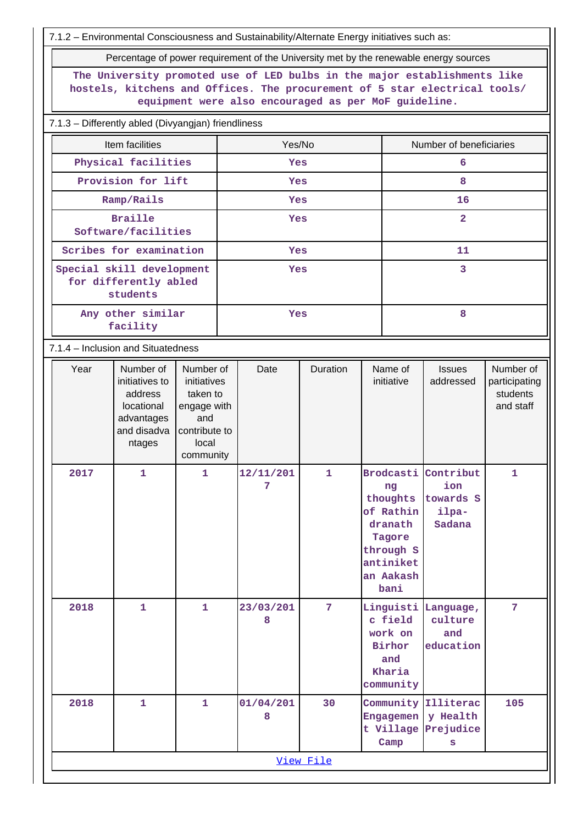7.1.2 – Environmental Consciousness and Sustainability/Alternate Energy initiatives such as:

Percentage of power requirement of the University met by the renewable energy sources

**The University promoted use of LED bulbs in the major establishments like hostels, kitchens and Offices. The procurement of 5 star electrical tools/ equipment were also encouraged as per MoF guideline.**

7.1.3 – Differently abled (Divyangjan) friendliness

| Item facilities                                                | Yes/No     | Number of beneficiaries |  |  |  |
|----------------------------------------------------------------|------------|-------------------------|--|--|--|
| Physical facilities                                            | <b>Yes</b> | 6                       |  |  |  |
| Provision for lift                                             | <b>Yes</b> | 8                       |  |  |  |
| Ramp/Rails                                                     | <b>Yes</b> | 16                      |  |  |  |
| <b>Braille</b><br>Software/facilities                          | <b>Yes</b> | $\overline{a}$          |  |  |  |
| Scribes for examination                                        | <b>Yes</b> | 11                      |  |  |  |
| Special skill development<br>for differently abled<br>students | <b>Yes</b> | 3                       |  |  |  |
| Any other similar<br>facility                                  | Yes        | 8                       |  |  |  |

7.1.4 – Inclusion and Situatedness

| Year | Number of<br>initiatives to<br>address<br>locational<br>advantages<br>and disadva<br>ntages | Number of<br>initiatives<br>taken to<br>engage with<br>and<br>contribute to<br>local<br>community | Date           | Duration        | Name of<br>initiative                                                                                               | <b>Issues</b><br>addressed                       | Number of<br>participating<br>students<br>and staff |  |  |
|------|---------------------------------------------------------------------------------------------|---------------------------------------------------------------------------------------------------|----------------|-----------------|---------------------------------------------------------------------------------------------------------------------|--------------------------------------------------|-----------------------------------------------------|--|--|
| 2017 | $\mathbf 1$                                                                                 | $\mathbf{1}$                                                                                      | 12/11/201<br>7 | $\mathbf{1}$    | <b>Brodcasti</b><br>ng<br>thoughts<br>of Rathin<br>dranath<br>Tagore<br>through S<br>antiniket<br>an Aakash<br>bani | Contribut<br>ion<br>towards S<br>ilpa-<br>Sadana | $\mathbf{1}$                                        |  |  |
| 2018 | $\mathbf{1}$                                                                                | $\mathbf{1}$                                                                                      | 23/03/201<br>8 | $7\phantom{.0}$ | Linguisti Language,<br>c field<br>work on<br>Birhor<br>and<br>Kharia<br>community                                   | culture<br>and<br>education                      | 7                                                   |  |  |
| 2018 | $\mathbf{1}$                                                                                | $\mathbf{1}$                                                                                      | 01/04/201<br>8 | 30              | Community Illiterac<br>Engagemen<br>Camp                                                                            | y Health<br>t Village Prejudice<br>S             | 105                                                 |  |  |
|      | View File                                                                                   |                                                                                                   |                |                 |                                                                                                                     |                                                  |                                                     |  |  |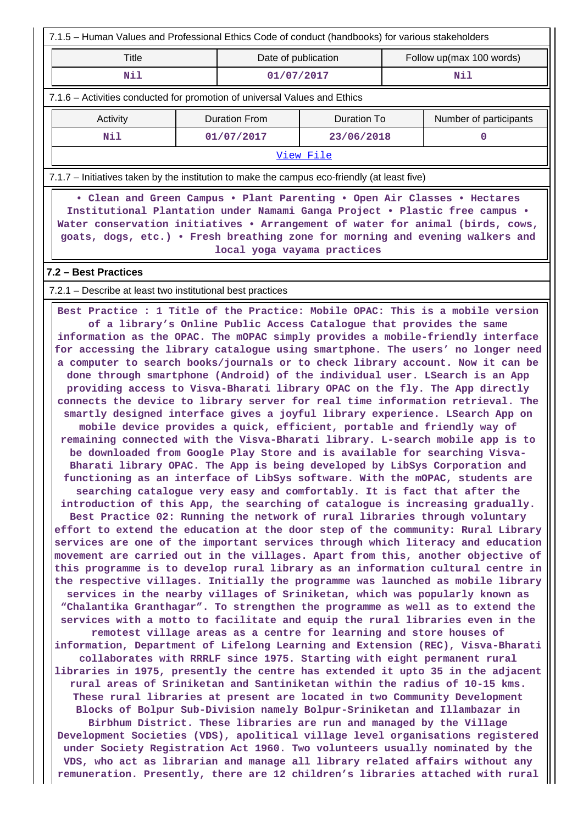| 7.1.5 - Human Values and Professional Ethics Code of conduct (handbooks) for various stakeholders                                                                                                                                                                                                                                                                                                                                                                                                                                                                                                                                                                                                                                                                                                                                                                                                                                                                                                                                                                                                                                                                                                                                                                                                                                                                                                                                                                                                                                                                                                                                                                                                                                                                                                                                                                                                                                                                                                                                                                                                                                                                                                                                                                                                                                                                                                                                                                                                                                                                                                                                                                                                                                                                                                                                                                                                                                                       |                                                                           |                             |                          |     |                        |  |  |  |
|---------------------------------------------------------------------------------------------------------------------------------------------------------------------------------------------------------------------------------------------------------------------------------------------------------------------------------------------------------------------------------------------------------------------------------------------------------------------------------------------------------------------------------------------------------------------------------------------------------------------------------------------------------------------------------------------------------------------------------------------------------------------------------------------------------------------------------------------------------------------------------------------------------------------------------------------------------------------------------------------------------------------------------------------------------------------------------------------------------------------------------------------------------------------------------------------------------------------------------------------------------------------------------------------------------------------------------------------------------------------------------------------------------------------------------------------------------------------------------------------------------------------------------------------------------------------------------------------------------------------------------------------------------------------------------------------------------------------------------------------------------------------------------------------------------------------------------------------------------------------------------------------------------------------------------------------------------------------------------------------------------------------------------------------------------------------------------------------------------------------------------------------------------------------------------------------------------------------------------------------------------------------------------------------------------------------------------------------------------------------------------------------------------------------------------------------------------------------------------------------------------------------------------------------------------------------------------------------------------------------------------------------------------------------------------------------------------------------------------------------------------------------------------------------------------------------------------------------------------------------------------------------------------------------------------------------------------|---------------------------------------------------------------------------|-----------------------------|--------------------------|-----|------------------------|--|--|--|
| <b>Title</b>                                                                                                                                                                                                                                                                                                                                                                                                                                                                                                                                                                                                                                                                                                                                                                                                                                                                                                                                                                                                                                                                                                                                                                                                                                                                                                                                                                                                                                                                                                                                                                                                                                                                                                                                                                                                                                                                                                                                                                                                                                                                                                                                                                                                                                                                                                                                                                                                                                                                                                                                                                                                                                                                                                                                                                                                                                                                                                                                            | Date of publication                                                       |                             | Follow up(max 100 words) |     |                        |  |  |  |
| Nil                                                                                                                                                                                                                                                                                                                                                                                                                                                                                                                                                                                                                                                                                                                                                                                                                                                                                                                                                                                                                                                                                                                                                                                                                                                                                                                                                                                                                                                                                                                                                                                                                                                                                                                                                                                                                                                                                                                                                                                                                                                                                                                                                                                                                                                                                                                                                                                                                                                                                                                                                                                                                                                                                                                                                                                                                                                                                                                                                     | 01/07/2017                                                                |                             |                          | Nil |                        |  |  |  |
|                                                                                                                                                                                                                                                                                                                                                                                                                                                                                                                                                                                                                                                                                                                                                                                                                                                                                                                                                                                                                                                                                                                                                                                                                                                                                                                                                                                                                                                                                                                                                                                                                                                                                                                                                                                                                                                                                                                                                                                                                                                                                                                                                                                                                                                                                                                                                                                                                                                                                                                                                                                                                                                                                                                                                                                                                                                                                                                                                         | 7.1.6 – Activities conducted for promotion of universal Values and Ethics |                             |                          |     |                        |  |  |  |
| Activity                                                                                                                                                                                                                                                                                                                                                                                                                                                                                                                                                                                                                                                                                                                                                                                                                                                                                                                                                                                                                                                                                                                                                                                                                                                                                                                                                                                                                                                                                                                                                                                                                                                                                                                                                                                                                                                                                                                                                                                                                                                                                                                                                                                                                                                                                                                                                                                                                                                                                                                                                                                                                                                                                                                                                                                                                                                                                                                                                |                                                                           | <b>Duration From</b>        | <b>Duration To</b>       |     | Number of participants |  |  |  |
| Nil                                                                                                                                                                                                                                                                                                                                                                                                                                                                                                                                                                                                                                                                                                                                                                                                                                                                                                                                                                                                                                                                                                                                                                                                                                                                                                                                                                                                                                                                                                                                                                                                                                                                                                                                                                                                                                                                                                                                                                                                                                                                                                                                                                                                                                                                                                                                                                                                                                                                                                                                                                                                                                                                                                                                                                                                                                                                                                                                                     |                                                                           | 01/07/2017                  | 23/06/2018               |     | 0                      |  |  |  |
|                                                                                                                                                                                                                                                                                                                                                                                                                                                                                                                                                                                                                                                                                                                                                                                                                                                                                                                                                                                                                                                                                                                                                                                                                                                                                                                                                                                                                                                                                                                                                                                                                                                                                                                                                                                                                                                                                                                                                                                                                                                                                                                                                                                                                                                                                                                                                                                                                                                                                                                                                                                                                                                                                                                                                                                                                                                                                                                                                         |                                                                           |                             | View File                |     |                        |  |  |  |
| 7.1.7 – Initiatives taken by the institution to make the campus eco-friendly (at least five)                                                                                                                                                                                                                                                                                                                                                                                                                                                                                                                                                                                                                                                                                                                                                                                                                                                                                                                                                                                                                                                                                                                                                                                                                                                                                                                                                                                                                                                                                                                                                                                                                                                                                                                                                                                                                                                                                                                                                                                                                                                                                                                                                                                                                                                                                                                                                                                                                                                                                                                                                                                                                                                                                                                                                                                                                                                            |                                                                           |                             |                          |     |                        |  |  |  |
| • Clean and Green Campus • Plant Parenting • Open Air Classes • Hectares<br>Institutional Plantation under Namami Ganga Project . Plastic free campus .<br>Water conservation initiatives . Arrangement of water for animal (birds, cows,<br>goats, dogs, etc.) . Fresh breathing zone for morning and evening walkers and                                                                                                                                                                                                                                                                                                                                                                                                                                                                                                                                                                                                                                                                                                                                                                                                                                                                                                                                                                                                                                                                                                                                                                                                                                                                                                                                                                                                                                                                                                                                                                                                                                                                                                                                                                                                                                                                                                                                                                                                                                                                                                                                                                                                                                                                                                                                                                                                                                                                                                                                                                                                                              |                                                                           | local yoga vayama practices |                          |     |                        |  |  |  |
| 7.2 - Best Practices                                                                                                                                                                                                                                                                                                                                                                                                                                                                                                                                                                                                                                                                                                                                                                                                                                                                                                                                                                                                                                                                                                                                                                                                                                                                                                                                                                                                                                                                                                                                                                                                                                                                                                                                                                                                                                                                                                                                                                                                                                                                                                                                                                                                                                                                                                                                                                                                                                                                                                                                                                                                                                                                                                                                                                                                                                                                                                                                    |                                                                           |                             |                          |     |                        |  |  |  |
|                                                                                                                                                                                                                                                                                                                                                                                                                                                                                                                                                                                                                                                                                                                                                                                                                                                                                                                                                                                                                                                                                                                                                                                                                                                                                                                                                                                                                                                                                                                                                                                                                                                                                                                                                                                                                                                                                                                                                                                                                                                                                                                                                                                                                                                                                                                                                                                                                                                                                                                                                                                                                                                                                                                                                                                                                                                                                                                                                         |                                                                           |                             |                          |     |                        |  |  |  |
| 7.2.1 - Describe at least two institutional best practices<br>Best Practice : 1 Title of the Practice: Mobile OPAC: This is a mobile version<br>of a library's Online Public Access Catalogue that provides the same<br>information as the OPAC. The mOPAC simply provides a mobile-friendly interface<br>for accessing the library catalogue using smartphone. The users' no longer need<br>a computer to search books/journals or to check library account. Now it can be<br>done through smartphone (Android) of the individual user. LSearch is an App<br>providing access to Visva-Bharati library OPAC on the fly. The App directly<br>connects the device to library server for real time information retrieval. The<br>smartly designed interface gives a joyful library experience. LSearch App on<br>mobile device provides a quick, efficient, portable and friendly way of<br>remaining connected with the Visva-Bharati library. L-search mobile app is to<br>be downloaded from Google Play Store and is available for searching Visva-<br>Bharati library OPAC. The App is being developed by LibSys Corporation and<br>functioning as an interface of LibSys software. With the mOPAC, students are<br>searching catalogue very easy and comfortably. It is fact that after the<br>introduction of this App, the searching of catalogue is increasing gradually.<br>Best Practice 02: Running the network of rural libraries through voluntary<br>effort to extend the education at the door step of the community: Rural Library<br>services are one of the important services through which literacy and education<br>movement are carried out in the villages. Apart from this, another objective of<br>this programme is to develop rural library as an information cultural centre in<br>the respective villages. Initially the programme was launched as mobile library<br>services in the nearby villages of Sriniketan, which was popularly known as<br>"Chalantika Granthagar". To strengthen the programme as well as to extend the<br>services with a motto to facilitate and equip the rural libraries even in the<br>remotest village areas as a centre for learning and store houses of<br>information, Department of Lifelong Learning and Extension (REC), Visva-Bharati<br>collaborates with RRRLF since 1975. Starting with eight permanent rural<br>libraries in 1975, presently the centre has extended it upto 35 in the adjacent<br>rural areas of Sriniketan and Santiniketan within the radius of 10-15 kms.<br>These rural libraries at present are located in two Community Development<br>Blocks of Bolpur Sub-Division namely Bolpur-Sriniketan and Illambazar in<br>Birbhum District. These libraries are run and managed by the Village<br>Development Societies (VDS), apolitical village level organisations registered<br>under Society Registration Act 1960. Two volunteers usually nominated by the |                                                                           |                             |                          |     |                        |  |  |  |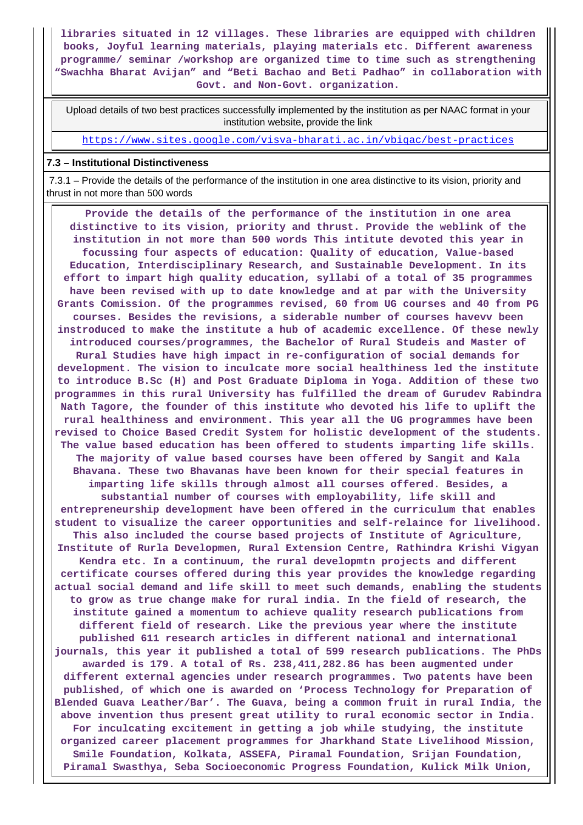**libraries situated in 12 villages. These libraries are equipped with children books, Joyful learning materials, playing materials etc. Different awareness programme/ seminar /workshop are organized time to time such as strengthening "Swachha Bharat Avijan" and "Beti Bachao and Beti Padhao" in collaboration with Govt. and Non-Govt. organization.**

 Upload details of two best practices successfully implemented by the institution as per NAAC format in your institution website, provide the link

<https://www.sites.google.com/visva-bharati.ac.in/vbiqac/best-practices>

#### **7.3 – Institutional Distinctiveness**

 7.3.1 – Provide the details of the performance of the institution in one area distinctive to its vision, priority and thrust in not more than 500 words

 **Provide the details of the performance of the institution in one area distinctive to its vision, priority and thrust. Provide the weblink of the institution in not more than 500 words This intitute devoted this year in focussing four aspects of education: Quality of education, Value-based Education, Interdisciplinary Research, and Sustainable Development. In its effort to impart high quality education, syllabi of a total of 35 programmes have been revised with up to date knowledge and at par with the University Grants Comission. Of the programmes revised, 60 from UG courses and 40 from PG courses. Besides the revisions, a siderable number of courses havevv been instroduced to make the institute a hub of academic excellence. Of these newly introduced courses/programmes, the Bachelor of Rural Studeis and Master of Rural Studies have high impact in re-configuration of social demands for development. The vision to inculcate more social healthiness led the institute to introduce B.Sc (H) and Post Graduate Diploma in Yoga. Addition of these two programmes in this rural University has fulfilled the dream of Gurudev Rabindra Nath Tagore, the founder of this institute who devoted his life to uplift the rural healthiness and environment. This year all the UG programmes have been revised to Choice Based Credit System for holistic development of the students. The value based education has been offered to students imparting life skills. The majority of value based courses have been offered by Sangit and Kala Bhavana. These two Bhavanas have been known for their special features in imparting life skills through almost all courses offered. Besides, a substantial number of courses with employability, life skill and entrepreneurship development have been offered in the curriculum that enables student to visualize the career opportunities and self-relaince for livelihood. This also included the course based projects of Institute of Agriculture, Institute of Rurla Developmen, Rural Extension Centre, Rathindra Krishi Vigyan Kendra etc. In a continuum, the rural developmtn projects and different certificate courses offered during this year provides the knowledge regarding actual social demand and life skill to meet such demands, enabling the students to grow as true change make for rural india. In the field of research, the institute gained a momentum to achieve quality research publications from different field of research. Like the previous year where the institute published 611 research articles in different national and international journals, this year it published a total of 599 research publications. The PhDs awarded is 179. A total of Rs. 238,411,282.86 has been augmented under different external agencies under research programmes. Two patents have been published, of which one is awarded on 'Process Technology for Preparation of Blended Guava Leather/Bar'. The Guava, being a common fruit in rural India, the above invention thus present great utility to rural economic sector in India. For inculcating excitement in getting a job while studying, the institute organized career placement programmes for Jharkhand State Livelihood Mission, Smile Foundation, Kolkata, ASSEFA, Piramal Foundation, Srijan Foundation, Piramal Swasthya, Seba Socioeconomic Progress Foundation, Kulick Milk Union,**